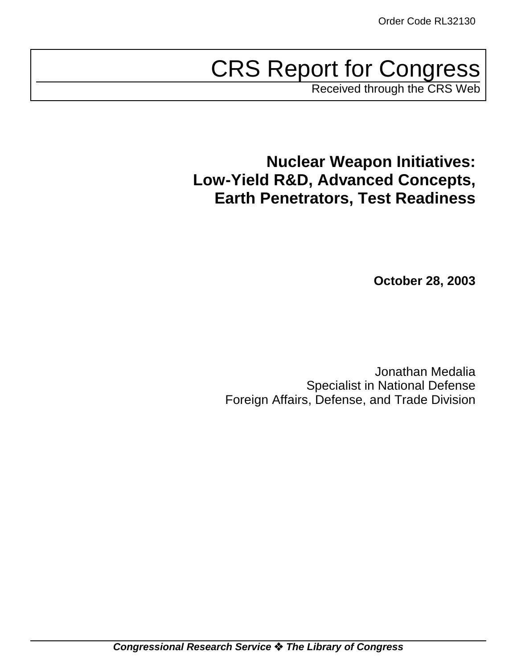# CRS Report for Congress

Received through the CRS Web

**Nuclear Weapon Initiatives: Low-Yield R&D, Advanced Concepts, Earth Penetrators, Test Readiness**

**October 28, 2003**

Jonathan Medalia Specialist in National Defense Foreign Affairs, Defense, and Trade Division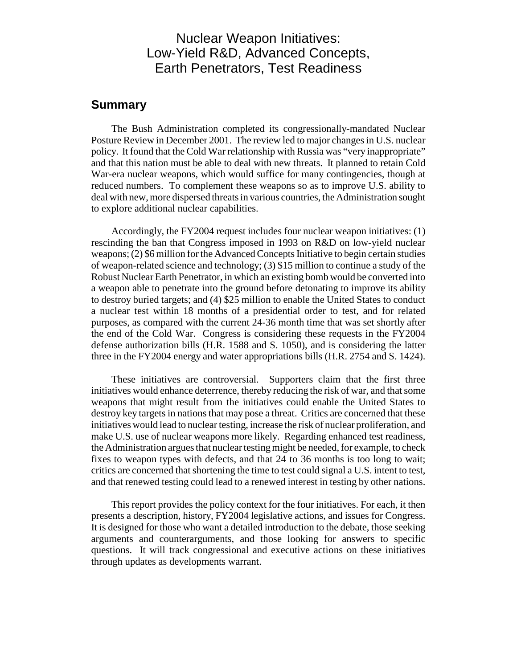## Nuclear Weapon Initiatives: Low-Yield R&D, Advanced Concepts, Earth Penetrators, Test Readiness

## **Summary**

The Bush Administration completed its congressionally-mandated Nuclear Posture Review in December 2001. The review led to major changes in U.S. nuclear policy. It found that the Cold War relationship with Russia was "very inappropriate" and that this nation must be able to deal with new threats. It planned to retain Cold War-era nuclear weapons, which would suffice for many contingencies, though at reduced numbers. To complement these weapons so as to improve U.S. ability to deal with new, more dispersed threats in various countries, the Administration sought to explore additional nuclear capabilities.

Accordingly, the FY2004 request includes four nuclear weapon initiatives: (1) rescinding the ban that Congress imposed in 1993 on R&D on low-yield nuclear weapons; (2) \$6 million for the Advanced Concepts Initiative to begin certain studies of weapon-related science and technology; (3) \$15 million to continue a study of the Robust Nuclear Earth Penetrator, in which an existing bomb would be converted into a weapon able to penetrate into the ground before detonating to improve its ability to destroy buried targets; and (4) \$25 million to enable the United States to conduct a nuclear test within 18 months of a presidential order to test, and for related purposes, as compared with the current 24-36 month time that was set shortly after the end of the Cold War. Congress is considering these requests in the FY2004 defense authorization bills (H.R. 1588 and S. 1050), and is considering the latter three in the FY2004 energy and water appropriations bills (H.R. 2754 and S. 1424).

These initiatives are controversial. Supporters claim that the first three initiatives would enhance deterrence, thereby reducing the risk of war, and that some weapons that might result from the initiatives could enable the United States to destroy key targets in nations that may pose a threat. Critics are concerned that these initiatives would lead to nuclear testing, increase the risk of nuclear proliferation, and make U.S. use of nuclear weapons more likely. Regarding enhanced test readiness, the Administration argues that nuclear testing might be needed, for example, to check fixes to weapon types with defects, and that 24 to 36 months is too long to wait; critics are concerned that shortening the time to test could signal a U.S. intent to test, and that renewed testing could lead to a renewed interest in testing by other nations.

This report provides the policy context for the four initiatives. For each, it then presents a description, history, FY2004 legislative actions, and issues for Congress. It is designed for those who want a detailed introduction to the debate, those seeking arguments and counterarguments, and those looking for answers to specific questions. It will track congressional and executive actions on these initiatives through updates as developments warrant.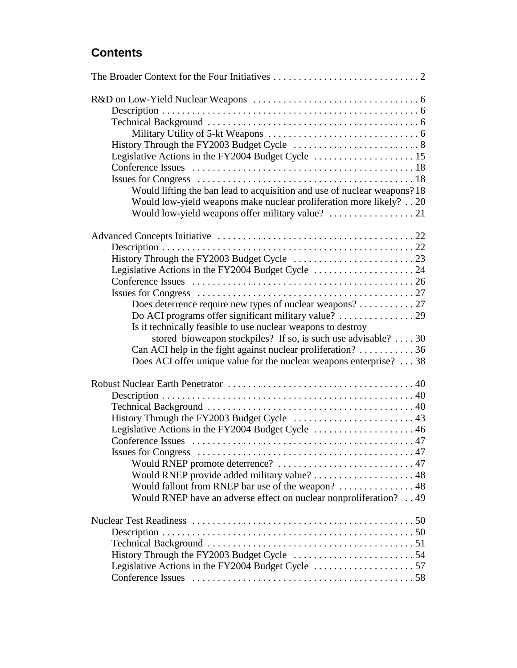## **Contents**

| Would lifting the ban lead to acquisition and use of nuclear weapons? 18<br>Would low-yield weapons make nuclear proliferation more likely? 20 |
|------------------------------------------------------------------------------------------------------------------------------------------------|
|                                                                                                                                                |
|                                                                                                                                                |
|                                                                                                                                                |
|                                                                                                                                                |
|                                                                                                                                                |
|                                                                                                                                                |
|                                                                                                                                                |
|                                                                                                                                                |
| Does deterrence require new types of nuclear weapons? 27                                                                                       |
|                                                                                                                                                |
| Is it technically feasible to use nuclear weapons to destroy                                                                                   |
| stored bioweapon stockpiles? If so, is such use advisable?  . 30                                                                               |
| Can ACI help in the fight against nuclear proliferation? $\dots \dots \dots 36$                                                                |
| Does ACI offer unique value for the nuclear weapons enterprise? 38                                                                             |
|                                                                                                                                                |
|                                                                                                                                                |
|                                                                                                                                                |
|                                                                                                                                                |
| Legislative Actions in the FY2004 Budget Cycle  46                                                                                             |
|                                                                                                                                                |
|                                                                                                                                                |
| Would RNEP promote deterrence?  47                                                                                                             |
| Would RNEP provide added military value? 48                                                                                                    |
| Would fallout from RNEP bar use of the weapon?  48                                                                                             |
| Would RNEP have an adverse effect on nuclear nonproliferation? 49                                                                              |
|                                                                                                                                                |
|                                                                                                                                                |
|                                                                                                                                                |
|                                                                                                                                                |
|                                                                                                                                                |
|                                                                                                                                                |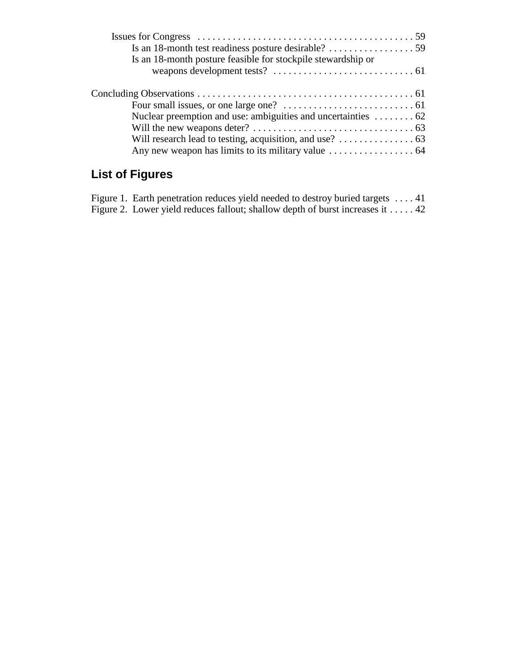| Is an 18-month posture feasible for stockpile stewardship or                      |  |
|-----------------------------------------------------------------------------------|--|
|                                                                                   |  |
|                                                                                   |  |
|                                                                                   |  |
| Nuclear preemption and use: ambiguities and uncertainties $\dots \dots 62$        |  |
|                                                                                   |  |
| Will research lead to testing, acquisition, and use? $\dots \dots \dots \dots$ 63 |  |
|                                                                                   |  |
|                                                                                   |  |

## **List of Figures**

| Figure 1. Earth penetration reduces yield needed to destroy buried targets  41          |  |
|-----------------------------------------------------------------------------------------|--|
| Figure 2. Lower yield reduces fallout; shallow depth of burst increases it $\dots$ . 42 |  |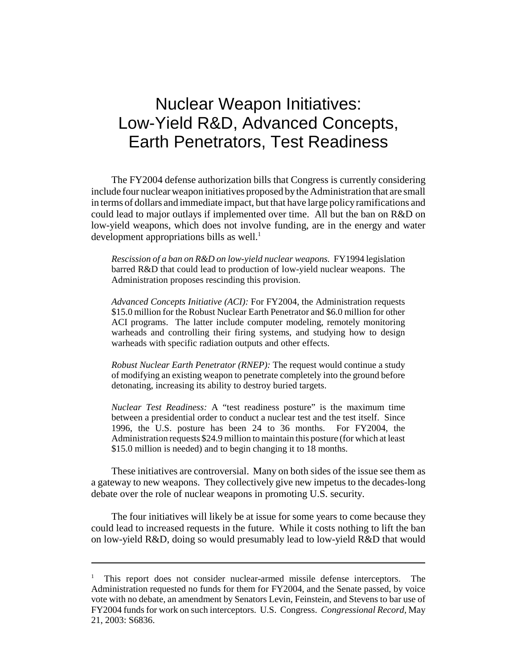## Nuclear Weapon Initiatives: Low-Yield R&D, Advanced Concepts, Earth Penetrators, Test Readiness

The FY2004 defense authorization bills that Congress is currently considering include four nuclear weapon initiatives proposed bythe Administration that are small in terms of dollars and immediate impact, but that have large policyramifications and could lead to major outlays if implemented over time. All but the ban on R&D on low-yield weapons, which does not involve funding, are in the energy and water development appropriations bills as well.<sup>1</sup>

*Rescission of a ban on R&D on low-yield nuclear weapons.* FY1994 legislation barred R&D that could lead to production of low-yield nuclear weapons. The Administration proposes rescinding this provision.

*Advanced Concepts Initiative (ACI):* For FY2004, the Administration requests \$15.0 million for the Robust Nuclear Earth Penetrator and \$6.0 million for other ACI programs. The latter include computer modeling, remotely monitoring warheads and controlling their firing systems, and studying how to design warheads with specific radiation outputs and other effects.

*Robust Nuclear Earth Penetrator (RNEP):* The request would continue a study of modifying an existing weapon to penetrate completely into the ground before detonating, increasing its ability to destroy buried targets.

*Nuclear Test Readiness:* A "test readiness posture" is the maximum time between a presidential order to conduct a nuclear test and the test itself. Since 1996, the U.S. posture has been 24 to 36 months. For FY2004, the Administration requests \$24.9 million to maintain this posture (for which at least \$15.0 million is needed) and to begin changing it to 18 months.

These initiatives are controversial. Many on both sides of the issue see them as a gateway to new weapons. They collectively give new impetus to the decades-long debate over the role of nuclear weapons in promoting U.S. security.

The four initiatives will likely be at issue for some years to come because they could lead to increased requests in the future. While it costs nothing to lift the ban on low-yield R&D, doing so would presumably lead to low-yield R&D that would

<sup>&</sup>lt;sup>1</sup> This report does not consider nuclear-armed missile defense interceptors. The Administration requested no funds for them for FY2004, and the Senate passed, by voice vote with no debate, an amendment by Senators Levin, Feinstein, and Stevens to bar use of FY2004 funds for work on such interceptors. U.S. Congress. *Congressional Record,* May 21, 2003: S6836.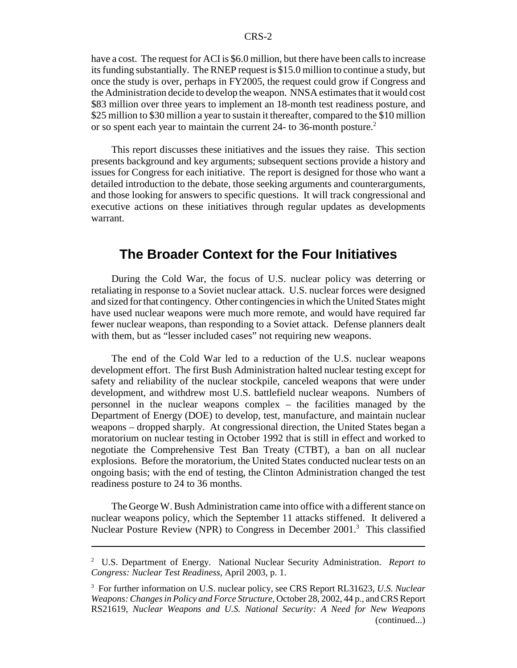have a cost. The request for ACI is \$6.0 million, but there have been calls to increase its funding substantially. The RNEP request is \$15.0 million to continue a study, but once the study is over, perhaps in FY2005, the request could grow if Congress and the Administration decide to develop theweapon. NNSA estimates that it would cost \$83 million over three years to implement an 18-month test readiness posture, and \$25 million to \$30 million a year to sustain it thereafter, compared to the \$10 million or so spent each year to maintain the current 24- to 36-month posture.<sup>2</sup>

This report discusses these initiatives and the issues they raise. This section presents background and key arguments; subsequent sections provide a history and issues for Congress for each initiative. The report is designed for those who want a detailed introduction to the debate, those seeking arguments and counterarguments, and those looking for answers to specific questions. It will track congressional and executive actions on these initiatives through regular updates as developments warrant.

## **The Broader Context for the Four Initiatives**

During the Cold War, the focus of U.S. nuclear policy was deterring or retaliating in response to a Soviet nuclear attack. U.S. nuclear forces were designed and sized for that contingency. Other contingencies in which the United States might have used nuclear weapons were much more remote, and would have required far fewer nuclear weapons, than responding to a Soviet attack. Defense planners dealt with them, but as "lesser included cases" not requiring new weapons.

The end of the Cold War led to a reduction of the U.S. nuclear weapons development effort. The first Bush Administration halted nuclear testing except for safety and reliability of the nuclear stockpile, canceled weapons that were under development, and withdrew most U.S. battlefield nuclear weapons. Numbers of personnel in the nuclear weapons complex – the facilities managed by the Department of Energy (DOE) to develop, test, manufacture, and maintain nuclear weapons – dropped sharply. At congressional direction, the United States began a moratorium on nuclear testing in October 1992 that is still in effect and worked to negotiate the Comprehensive Test Ban Treaty (CTBT), a ban on all nuclear explosions. Before the moratorium, the United States conducted nuclear tests on an ongoing basis; with the end of testing, the Clinton Administration changed the test readiness posture to 24 to 36 months.

The George W. Bush Administration came into office with a different stance on nuclear weapons policy, which the September 11 attacks stiffened. It delivered a Nuclear Posture Review (NPR) to Congress in December  $2001<sup>3</sup>$  This classified

<sup>2</sup> U.S. Department of Energy. National Nuclear Security Administration. *Report to Congress: Nuclear Test Readiness,* April 2003, p. 1.

<sup>3</sup> For further information on U.S. nuclear policy, see CRS Report RL31623, *U.S. Nuclear Weapons: Changes in Policy and Force Structure,* October 28, 2002, 44 p., and CRS Report RS21619, *Nuclear Weapons and U.S. National Security: A Need for New Weapons* (continued...)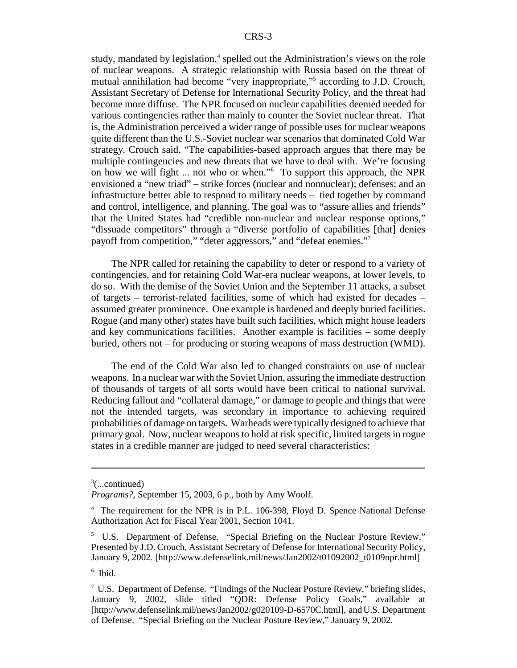study, mandated by legislation, $\frac{4}{3}$  spelled out the Administration's views on the role of nuclear weapons. A strategic relationship with Russia based on the threat of mutual annihilation had become "very inappropriate,"5 according to J.D. Crouch, Assistant Secretary of Defense for International Security Policy, and the threat had become more diffuse. The NPR focused on nuclear capabilities deemed needed for various contingencies rather than mainly to counter the Soviet nuclear threat. That is, the Administration perceived a wider range of possible uses for nuclear weapons quite different than the U.S.-Soviet nuclear war scenarios that dominated Cold War strategy. Crouch said, "The capabilities-based approach argues that there may be multiple contingencies and new threats that we have to deal with. We're focusing on how we will fight ... not who or when."6 To support this approach, the NPR envisioned a "new triad" – strike forces (nuclear and nonnuclear); defenses; and an infrastructure better able to respond to military needs – tied together by command and control, intelligence, and planning. The goal was to "assure allies and friends" that the United States had "credible non-nuclear and nuclear response options," "dissuade competitors" through a "diverse portfolio of capabilities [that] denies payoff from competition," "deter aggressors," and "defeat enemies."<sup>7</sup>

The NPR called for retaining the capability to deter or respond to a variety of contingencies, and for retaining Cold War-era nuclear weapons, at lower levels, to do so. With the demise of the Soviet Union and the September 11 attacks, a subset of targets – terrorist-related facilities, some of which had existed for decades – assumed greater prominence. One example is hardened and deeply buried facilities. Rogue (and many other) states have built such facilities, which might house leaders and key communications facilities. Another example is facilities – some deeply buried, others not – for producing or storing weapons of mass destruction (WMD).

The end of the Cold War also led to changed constraints on use of nuclear weapons. In a nuclear war with the Soviet Union, assuring the immediate destruction of thousands of targets of all sorts would have been critical to national survival. Reducing fallout and "collateral damage," or damage to people and things that were not the intended targets, was secondary in importance to achieving required probabilities of damage on targets. Warheads were typically designed to achieve that primary goal. Now, nuclear weapons to hold at risk specific, limited targets in rogue states in a credible manner are judged to need several characteristics:

 $3$ (...continued)

*Programs?,* September 15, 2003, 6 p., both by Amy Woolf.

<sup>&</sup>lt;sup>4</sup> The requirement for the NPR is in P.L. 106-398, Floyd D. Spence National Defense Authorization Act for Fiscal Year 2001, Section 1041.

<sup>5</sup> U.S. Department of Defense. "Special Briefing on the Nuclear Posture Review." Presented by J.D. Crouch, Assistant Secretary of Defense for International Security Policy, January 9, 2002. [http://www.defenselink.mil/news/Jan2002/t01092002\_t0109npr.html]

 $6$  Ibid.

 $7 \text{ U.S. Department of Defense. "Findings of the Nuclear Posture Review," briefly slides,$ January 9, 2002, slide titled "QDR: Defense Policy Goals," available at [http://www.defenselink.mil/news/Jan2002/g020109-D-6570C.html], and U.S. Department of Defense. "Special Briefing on the Nuclear Posture Review," January 9, 2002.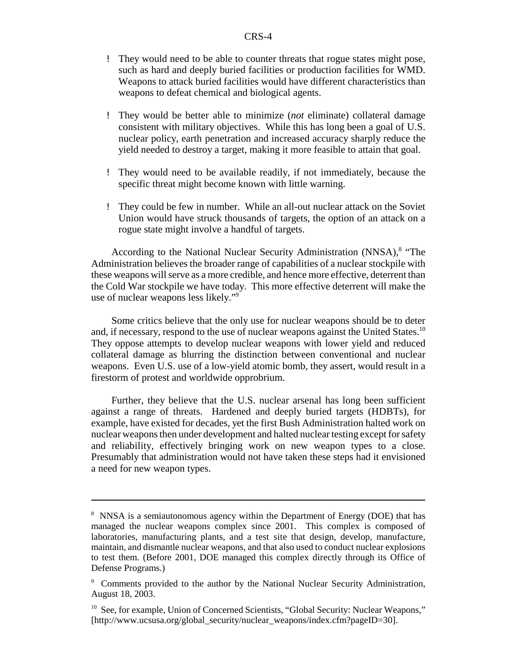- ! They would need to be able to counter threats that rogue states might pose, such as hard and deeply buried facilities or production facilities for WMD. Weapons to attack buried facilities would have different characteristics than weapons to defeat chemical and biological agents.
- ! They would be better able to minimize (*not* eliminate) collateral damage consistent with military objectives. While this has long been a goal of U.S. nuclear policy, earth penetration and increased accuracy sharply reduce the yield needed to destroy a target, making it more feasible to attain that goal.
- ! They would need to be available readily, if not immediately, because the specific threat might become known with little warning.
- ! They could be few in number. While an all-out nuclear attack on the Soviet Union would have struck thousands of targets, the option of an attack on a rogue state might involve a handful of targets.

According to the National Nuclear Security Administration (NNSA),<sup>8</sup> "The Administration believes the broader range of capabilities of a nuclear stockpile with these weapons will serve as a more credible, and hence more effective, deterrent than the Cold War stockpile we have today. This more effective deterrent will make the use of nuclear weapons less likely."9

Some critics believe that the only use for nuclear weapons should be to deter and, if necessary, respond to the use of nuclear weapons against the United States.<sup>10</sup> They oppose attempts to develop nuclear weapons with lower yield and reduced collateral damage as blurring the distinction between conventional and nuclear weapons. Even U.S. use of a low-yield atomic bomb, they assert, would result in a firestorm of protest and worldwide opprobrium.

Further, they believe that the U.S. nuclear arsenal has long been sufficient against a range of threats. Hardened and deeply buried targets (HDBTs), for example, have existed for decades, yet the first Bush Administration halted work on nuclear weapons then under development and halted nuclear testing except for safety and reliability, effectively bringing work on new weapon types to a close. Presumably that administration would not have taken these steps had it envisioned a need for new weapon types.

<sup>&</sup>lt;sup>8</sup> NNSA is a semiautonomous agency within the Department of Energy (DOE) that has managed the nuclear weapons complex since 2001. This complex is composed of laboratories, manufacturing plants, and a test site that design, develop, manufacture, maintain, and dismantle nuclear weapons, and that also used to conduct nuclear explosions to test them. (Before 2001, DOE managed this complex directly through its Office of Defense Programs.)

<sup>9</sup> Comments provided to the author by the National Nuclear Security Administration, August 18, 2003.

<sup>&</sup>lt;sup>10</sup> See, for example, Union of Concerned Scientists, "Global Security: Nuclear Weapons," [http://www.ucsusa.org/global\_security/nuclear\_weapons/index.cfm?pageID=30].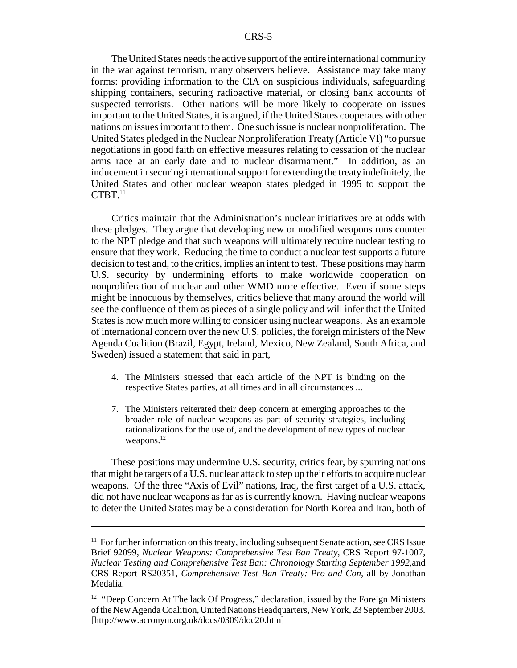The United States needs the active support of the entire international community in the war against terrorism, many observers believe. Assistance may take many forms: providing information to the CIA on suspicious individuals, safeguarding shipping containers, securing radioactive material, or closing bank accounts of suspected terrorists. Other nations will be more likely to cooperate on issues important to the United States, it is argued, if the United States cooperates with other nations on issues important to them. One such issue is nuclear nonproliferation. The United States pledged in the Nuclear Nonproliferation Treaty (Article VI) "to pursue negotiations in good faith on effective measures relating to cessation of the nuclear arms race at an early date and to nuclear disarmament." In addition, as an inducement in securing international support for extending the treatyindefinitely, the United States and other nuclear weapon states pledged in 1995 to support the  $CTBT<sup>11</sup>$ 

Critics maintain that the Administration's nuclear initiatives are at odds with these pledges. They argue that developing new or modified weapons runs counter to the NPT pledge and that such weapons will ultimately require nuclear testing to ensure that they work. Reducing the time to conduct a nuclear test supports a future decision to test and, to the critics, implies an intent to test. These positions may harm U.S. security by undermining efforts to make worldwide cooperation on nonproliferation of nuclear and other WMD more effective. Even if some steps might be innocuous by themselves, critics believe that many around the world will see the confluence of them as pieces of a single policy and will infer that the United States is now much more willing to consider using nuclear weapons. As an example of international concern over the new U.S. policies, the foreign ministers of the New Agenda Coalition (Brazil, Egypt, Ireland, Mexico, New Zealand, South Africa, and Sweden) issued a statement that said in part,

- 4. The Ministers stressed that each article of the NPT is binding on the respective States parties, at all times and in all circumstances ...
- 7. The Ministers reiterated their deep concern at emerging approaches to the broader role of nuclear weapons as part of security strategies, including rationalizations for the use of, and the development of new types of nuclear weapons.<sup>12</sup>

These positions may undermine U.S. security, critics fear, by spurring nations that might be targets of a U.S. nuclear attack to step up their efforts to acquire nuclear weapons. Of the three "Axis of Evil" nations, Iraq, the first target of a U.S. attack, did not have nuclear weapons as far as is currently known. Having nuclear weapons to deter the United States may be a consideration for North Korea and Iran, both of

 $11$  For further information on this treaty, including subsequent Senate action, see CRS Issue Brief 92099, *Nuclear Weapons: Comprehensive Test Ban Treaty,* CRS Report 97-1007, *Nuclear Testing and Comprehensive Test Ban: Chronology Starting September 1992,*and CRS Report RS20351, *Comprehensive Test Ban Treaty: Pro and Con,* all by Jonathan Medalia.

 $12$  "Deep Concern At The lack Of Progress," declaration, issued by the Foreign Ministers of the New Agenda Coalition, United Nations Headquarters, New York, 23 September 2003. [http://www.acronym.org.uk/docs/0309/doc20.htm]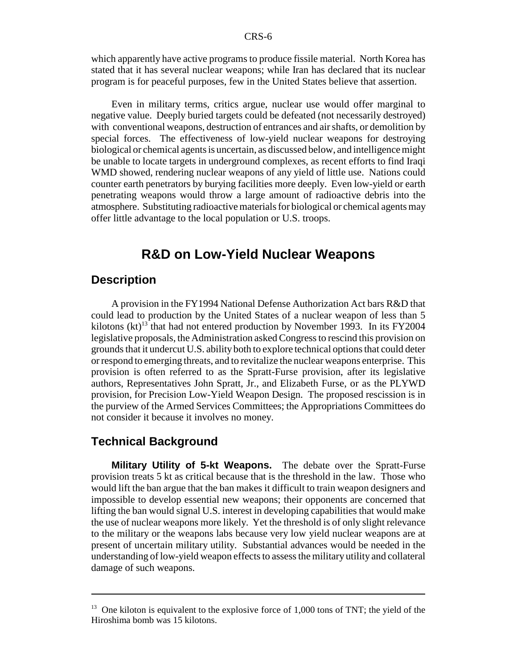which apparently have active programs to produce fissile material. North Korea has stated that it has several nuclear weapons; while Iran has declared that its nuclear program is for peaceful purposes, few in the United States believe that assertion.

Even in military terms, critics argue, nuclear use would offer marginal to negative value. Deeply buried targets could be defeated (not necessarily destroyed) with conventional weapons, destruction of entrances and air shafts, or demolition by special forces. The effectiveness of low-yield nuclear weapons for destroying biological or chemical agents is uncertain, as discussed below, and intelligence might be unable to locate targets in underground complexes, as recent efforts to find Iraqi WMD showed, rendering nuclear weapons of any yield of little use. Nations could counter earth penetrators by burying facilities more deeply. Even low-yield or earth penetrating weapons would throw a large amount of radioactive debris into the atmosphere. Substituting radioactive materials for biological or chemical agents may offer little advantage to the local population or U.S. troops.

## **R&D on Low-Yield Nuclear Weapons**

#### **Description**

A provision in the FY1994 National Defense Authorization Act bars R&D that could lead to production by the United States of a nuclear weapon of less than 5 kilotons (kt)<sup>13</sup> that had not entered production by November 1993. In its FY2004 legislative proposals, the Administration asked Congress to rescind this provision on grounds that it undercut U.S. ability both to explore technical options that could deter or respond to emerging threats, and to revitalize the nuclear weapons enterprise. This provision is often referred to as the Spratt-Furse provision, after its legislative authors, Representatives John Spratt, Jr., and Elizabeth Furse, or as the PLYWD provision, for Precision Low-Yield Weapon Design. The proposed rescission is in the purview of the Armed Services Committees; the Appropriations Committees do not consider it because it involves no money.

#### **Technical Background**

**Military Utility of 5-kt Weapons.** The debate over the Spratt-Furse provision treats 5 kt as critical because that is the threshold in the law. Those who would lift the ban argue that the ban makes it difficult to train weapon designers and impossible to develop essential new weapons; their opponents are concerned that lifting the ban would signal U.S. interest in developing capabilities that would make the use of nuclear weapons more likely. Yet the threshold is of only slight relevance to the military or the weapons labs because very low yield nuclear weapons are at present of uncertain military utility. Substantial advances would be needed in the understanding of low-yield weapon effects to assess the military utility and collateral damage of such weapons.

 $13$  One kiloton is equivalent to the explosive force of 1,000 tons of TNT; the yield of the Hiroshima bomb was 15 kilotons.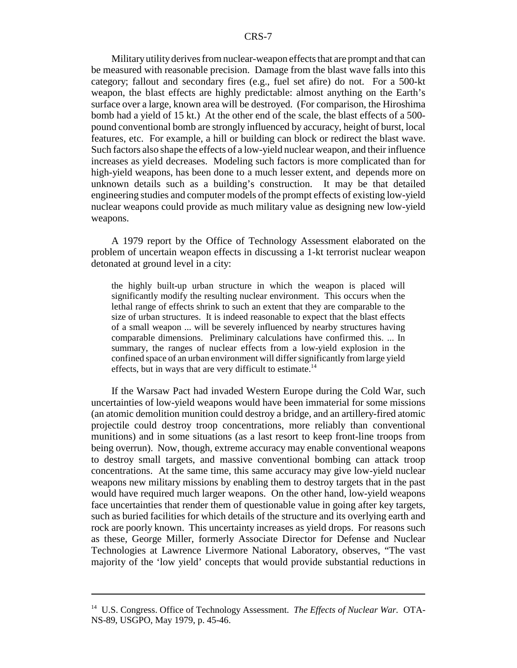Militaryutilityderives from nuclear-weapon effects that are prompt and that can be measured with reasonable precision. Damage from the blast wave falls into this category; fallout and secondary fires (e.g., fuel set afire) do not. For a 500-kt weapon, the blast effects are highly predictable: almost anything on the Earth's surface over a large, known area will be destroyed. (For comparison, the Hiroshima bomb had a yield of 15 kt.) At the other end of the scale, the blast effects of a 500 pound conventional bomb are strongly influenced by accuracy, height of burst, local features, etc. For example, a hill or building can block or redirect the blast wave. Such factors also shape the effects of a low-yield nuclear weapon, and their influence increases as yield decreases. Modeling such factors is more complicated than for high-yield weapons, has been done to a much lesser extent, and depends more on unknown details such as a building's construction. It may be that detailed engineering studies and computer models of the prompt effects of existing low-yield nuclear weapons could provide as much military value as designing new low-yield weapons.

A 1979 report by the Office of Technology Assessment elaborated on the problem of uncertain weapon effects in discussing a 1-kt terrorist nuclear weapon detonated at ground level in a city:

the highly built-up urban structure in which the weapon is placed will significantly modify the resulting nuclear environment. This occurs when the lethal range of effects shrink to such an extent that they are comparable to the size of urban structures. It is indeed reasonable to expect that the blast effects of a small weapon ... will be severely influenced by nearby structures having comparable dimensions. Preliminary calculations have confirmed this. ... In summary, the ranges of nuclear effects from a low-yield explosion in the confined space of an urban environment will differ significantly from large yield effects, but in ways that are very difficult to estimate.<sup>14</sup>

If the Warsaw Pact had invaded Western Europe during the Cold War, such uncertainties of low-yield weapons would have been immaterial for some missions (an atomic demolition munition could destroy a bridge, and an artillery-fired atomic projectile could destroy troop concentrations, more reliably than conventional munitions) and in some situations (as a last resort to keep front-line troops from being overrun). Now, though, extreme accuracy may enable conventional weapons to destroy small targets, and massive conventional bombing can attack troop concentrations. At the same time, this same accuracy may give low-yield nuclear weapons new military missions by enabling them to destroy targets that in the past would have required much larger weapons. On the other hand, low-yield weapons face uncertainties that render them of questionable value in going after key targets, such as buried facilities for which details of the structure and its overlying earth and rock are poorly known. This uncertainty increases as yield drops. For reasons such as these, George Miller, formerly Associate Director for Defense and Nuclear Technologies at Lawrence Livermore National Laboratory, observes, "The vast majority of the 'low yield' concepts that would provide substantial reductions in

<sup>14</sup> U.S. Congress. Office of Technology Assessment. *The Effects of Nuclear War.* OTA-NS-89, USGPO, May 1979, p. 45-46.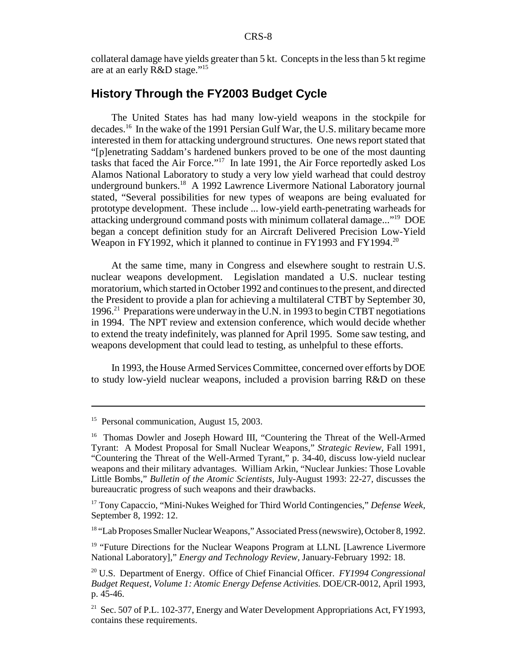collateral damage have yields greater than 5 kt. Concepts in the less than 5 kt regime are at an early R&D stage."15

## **History Through the FY2003 Budget Cycle**

The United States has had many low-yield weapons in the stockpile for decades.16 In the wake of the 1991 Persian Gulf War, the U.S. military became more interested in them for attacking underground structures. One news report stated that "[p]enetrating Saddam's hardened bunkers proved to be one of the most daunting tasks that faced the Air Force."17 In late 1991, the Air Force reportedly asked Los Alamos National Laboratory to study a very low yield warhead that could destroy underground bunkers.<sup>18</sup> A 1992 Lawrence Livermore National Laboratory journal stated, "Several possibilities for new types of weapons are being evaluated for prototype development. These include ... low-yield earth-penetrating warheads for attacking underground command posts with minimum collateral damage..."19 DOE began a concept definition study for an Aircraft Delivered Precision Low-Yield Weapon in FY1992, which it planned to continue in FY1993 and FY1994.<sup>20</sup>

At the same time, many in Congress and elsewhere sought to restrain U.S. nuclear weapons development. Legislation mandated a U.S. nuclear testing moratorium, which started in October 1992 and continues to the present, and directed the President to provide a plan for achieving a multilateral CTBT by September 30, 1996.21 Preparations were underway in the U.N. in 1993 to begin CTBT negotiations in 1994. The NPT review and extension conference, which would decide whether to extend the treaty indefinitely, was planned for April 1995. Some saw testing, and weapons development that could lead to testing, as unhelpful to these efforts.

In 1993, the House Armed Services Committee, concerned over efforts by DOE to study low-yield nuclear weapons, included a provision barring R&D on these

<sup>18</sup> "Lab Proposes Smaller Nuclear Weapons," Associated Press (newswire), October 8, 1992.

<sup>19</sup> "Future Directions for the Nuclear Weapons Program at LLNL [Lawrence Livermore National Laboratory]," *Energy and Technology Review,* January-February 1992: 18.

<sup>&</sup>lt;sup>15</sup> Personal communication, August 15, 2003.

<sup>&</sup>lt;sup>16</sup> Thomas Dowler and Joseph Howard III, "Countering the Threat of the Well-Armed Tyrant: A Modest Proposal for Small Nuclear Weapons," *Strategic Review,* Fall 1991, "Countering the Threat of the Well-Armed Tyrant," p. 34-40, discuss low-yield nuclear weapons and their military advantages. William Arkin, "Nuclear Junkies: Those Lovable Little Bombs," *Bulletin of the Atomic Scientists,* July-August 1993: 22-27, discusses the bureaucratic progress of such weapons and their drawbacks.

<sup>17</sup> Tony Capaccio, "Mini-Nukes Weighed for Third World Contingencies," *Defense Week,* September 8, 1992: 12.

<sup>20</sup> U.S. Department of Energy. Office of Chief Financial Officer. *FY1994 Congressional Budget Request, Volume 1: Atomic Energy Defense Activities.* DOE/CR-0012, April 1993, p. 45-46.

<sup>&</sup>lt;sup>21</sup> Sec. 507 of P.L. 102-377, Energy and Water Development Appropriations Act, FY1993, contains these requirements.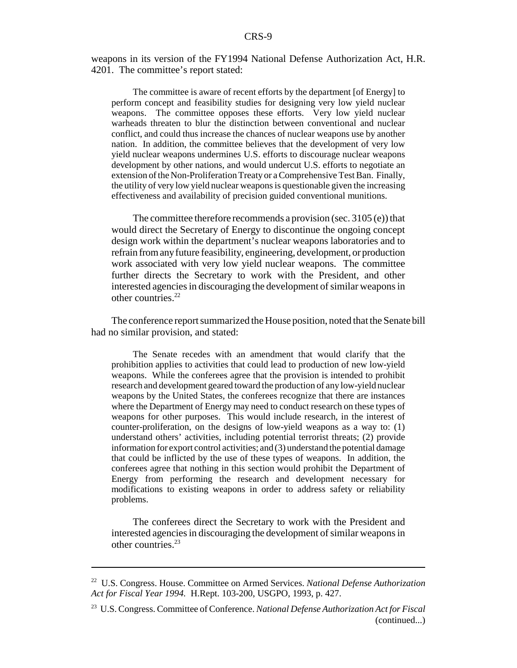weapons in its version of the FY1994 National Defense Authorization Act, H.R. 4201. The committee's report stated:

The committee is aware of recent efforts by the department [of Energy] to perform concept and feasibility studies for designing very low yield nuclear weapons. The committee opposes these efforts. Very low yield nuclear warheads threaten to blur the distinction between conventional and nuclear conflict, and could thus increase the chances of nuclear weapons use by another nation. In addition, the committee believes that the development of very low yield nuclear weapons undermines U.S. efforts to discourage nuclear weapons development by other nations, and would undercut U.S. efforts to negotiate an extension of the Non-Proliferation Treaty or a Comprehensive Test Ban. Finally, the utility of very low yield nuclear weapons is questionable given the increasing effectiveness and availability of precision guided conventional munitions.

The committee therefore recommends a provision (sec. 3105 (e)) that would direct the Secretary of Energy to discontinue the ongoing concept design work within the department's nuclear weapons laboratories and to refrain from anyfuture feasibility, engineering, development, or production work associated with very low yield nuclear weapons. The committee further directs the Secretary to work with the President, and other interested agencies in discouraging the development of similar weapons in other countries.<sup>22</sup>

The conference report summarized the House position, noted that the Senate bill had no similar provision, and stated:

The Senate recedes with an amendment that would clarify that the prohibition applies to activities that could lead to production of new low-yield weapons. While the conferees agree that the provision is intended to prohibit research and development geared toward the production of any low-yield nuclear weapons by the United States, the conferees recognize that there are instances where the Department of Energy may need to conduct research on these types of weapons for other purposes. This would include research, in the interest of counter-proliferation, on the designs of low-yield weapons as a way to: (1) understand others' activities, including potential terrorist threats; (2) provide information for export control activities; and (3) understand the potential damage that could be inflicted by the use of these types of weapons. In addition, the conferees agree that nothing in this section would prohibit the Department of Energy from performing the research and development necessary for modifications to existing weapons in order to address safety or reliability problems.

The conferees direct the Secretary to work with the President and interested agencies in discouraging the development of similar weapons in other countries.23

<sup>22</sup> U.S. Congress. House. Committee on Armed Services. *National Defense Authorization Act for Fiscal Year 1994.* H.Rept. 103-200, USGPO, 1993, p. 427.

<sup>23</sup> U.S. Congress. Committee of Conference. *National Defense Authorization Act for Fiscal* (continued...)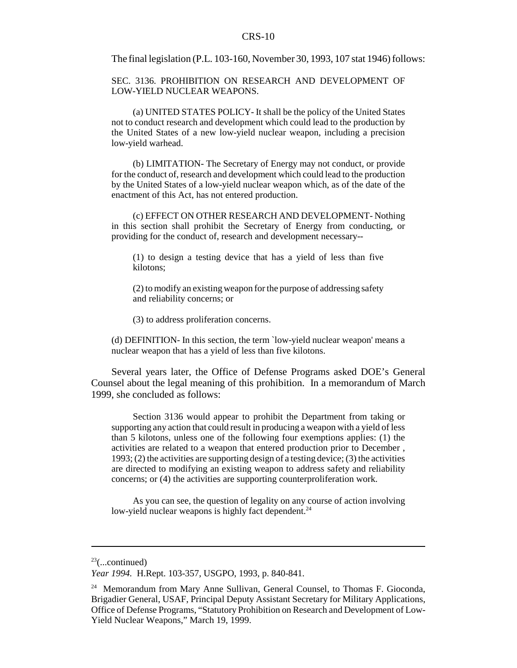The final legislation (P.L. 103-160, November 30, 1993, 107 stat 1946) follows:

SEC. 3136. PROHIBITION ON RESEARCH AND DEVELOPMENT OF LOW-YIELD NUCLEAR WEAPONS.

(a) UNITED STATES POLICY- It shall be the policy of the United States not to conduct research and development which could lead to the production by the United States of a new low-yield nuclear weapon, including a precision low-yield warhead.

(b) LIMITATION- The Secretary of Energy may not conduct, or provide for the conduct of, research and development which could lead to the production by the United States of a low-yield nuclear weapon which, as of the date of the enactment of this Act, has not entered production.

(c) EFFECT ON OTHER RESEARCH AND DEVELOPMENT- Nothing in this section shall prohibit the Secretary of Energy from conducting, or providing for the conduct of, research and development necessary--

(1) to design a testing device that has a yield of less than five kilotons;

(2) to modify an existing weapon for the purpose of addressing safety and reliability concerns; or

(3) to address proliferation concerns.

(d) DEFINITION- In this section, the term `low-yield nuclear weapon' means a nuclear weapon that has a yield of less than five kilotons.

Several years later, the Office of Defense Programs asked DOE's General Counsel about the legal meaning of this prohibition. In a memorandum of March 1999, she concluded as follows:

Section 3136 would appear to prohibit the Department from taking or supporting any action that could result in producing a weapon with a yield of less than 5 kilotons, unless one of the following four exemptions applies: (1) the activities are related to a weapon that entered production prior to December , 1993; (2) the activities are supporting design of a testing device; (3) the activities are directed to modifying an existing weapon to address safety and reliability concerns; or (4) the activities are supporting counterproliferation work.

As you can see, the question of legality on any course of action involving low-yield nuclear weapons is highly fact dependent.<sup>24</sup>

 $23$ (...continued)

*Year 1994.* H.Rept. 103-357, USGPO, 1993, p. 840-841.

<sup>&</sup>lt;sup>24</sup> Memorandum from Mary Anne Sullivan, General Counsel, to Thomas F. Gioconda, Brigadier General, USAF, Principal Deputy Assistant Secretary for Military Applications, Office of Defense Programs, "Statutory Prohibition on Research and Development of Low-Yield Nuclear Weapons," March 19, 1999.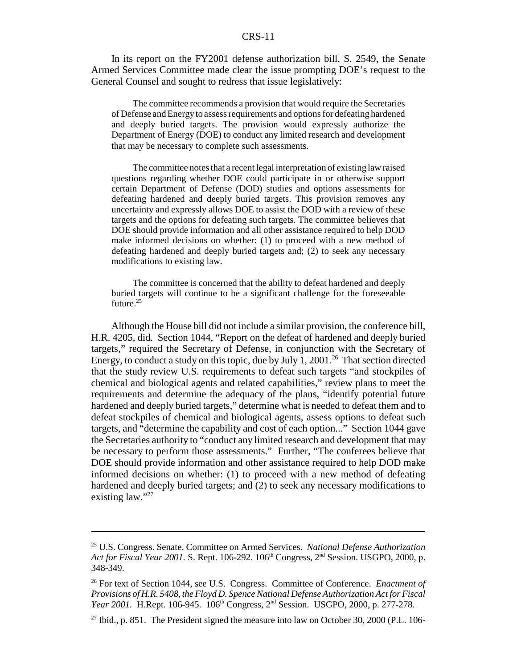In its report on the FY2001 defense authorization bill, S. 2549, the Senate Armed Services Committee made clear the issue prompting DOE's request to the General Counsel and sought to redress that issue legislatively:

The committee recommends a provision that would require the Secretaries of Defense and Energy to assess requirements and options for defeating hardened and deeply buried targets. The provision would expressly authorize the Department of Energy (DOE) to conduct any limited research and development that may be necessary to complete such assessments.

The committee notes that a recent legal interpretation of existing law raised questions regarding whether DOE could participate in or otherwise support certain Department of Defense (DOD) studies and options assessments for defeating hardened and deeply buried targets. This provision removes any uncertainty and expressly allows DOE to assist the DOD with a review of these targets and the options for defeating such targets. The committee believes that DOE should provide information and all other assistance required to help DOD make informed decisions on whether: (1) to proceed with a new method of defeating hardened and deeply buried targets and; (2) to seek any necessary modifications to existing law.

The committee is concerned that the ability to defeat hardened and deeply buried targets will continue to be a significant challenge for the foreseeable future.<sup>25</sup>

Although the House bill did not include a similar provision, the conference bill, H.R. 4205, did. Section 1044, "Report on the defeat of hardened and deeply buried targets," required the Secretary of Defense, in conjunction with the Secretary of Energy, to conduct a study on this topic, due by July 1, 2001.<sup>26</sup> That section directed that the study review U.S. requirements to defeat such targets "and stockpiles of chemical and biological agents and related capabilities," review plans to meet the requirements and determine the adequacy of the plans, "identify potential future hardened and deeply buried targets," determine what is needed to defeat them and to defeat stockpiles of chemical and biological agents, assess options to defeat such targets, and "determine the capability and cost of each option..." Section 1044 gave the Secretaries authority to "conduct any limited research and development that may be necessary to perform those assessments." Further, "The conferees believe that DOE should provide information and other assistance required to help DOD make informed decisions on whether: (1) to proceed with a new method of defeating hardened and deeply buried targets; and (2) to seek any necessary modifications to existing law."27

<sup>25</sup> U.S. Congress. Senate. Committee on Armed Services. *National Defense Authorization* Act for Fiscal Year 2001. S. Rept. 106-292. 106<sup>th</sup> Congress, 2<sup>nd</sup> Session. USGPO, 2000, p. 348-349.

<sup>26</sup> For text of Section 1044, see U.S. Congress. Committee of Conference. *Enactment of Provisions of H.R. 5408, the Floyd D. Spence National Defense Authorization Act for Fiscal Year 2001.* H.Rept. 106-945. 106<sup>th</sup> Congress, 2<sup>nd</sup> Session. USGPO, 2000, p. 277-278.

 $27$  Ibid., p. 851. The President signed the measure into law on October 30, 2000 (P.L. 106-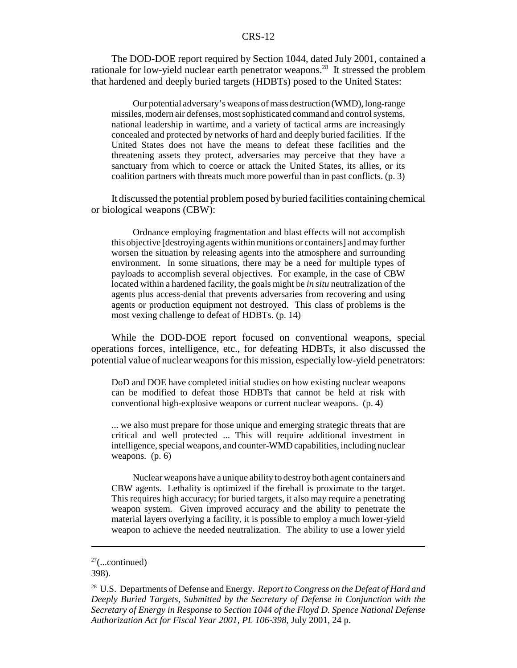The DOD-DOE report required by Section 1044, dated July 2001, contained a rationale for low-yield nuclear earth penetrator weapons.28 It stressed the problem that hardened and deeply buried targets (HDBTs) posed to the United States:

Our potential adversary's weapons of mass destruction (WMD), long-range missiles, modern air defenses, most sophisticated command and control systems, national leadership in wartime, and a variety of tactical arms are increasingly concealed and protected by networks of hard and deeply buried facilities. If the United States does not have the means to defeat these facilities and the threatening assets they protect, adversaries may perceive that they have a sanctuary from which to coerce or attack the United States, its allies, or its coalition partners with threats much more powerful than in past conflicts. (p. 3)

It discussed the potential problem posed byburied facilities containing chemical or biological weapons (CBW):

Ordnance employing fragmentation and blast effects will not accomplish this objective [destroying agents within munitions or containers] and may further worsen the situation by releasing agents into the atmosphere and surrounding environment. In some situations, there may be a need for multiple types of payloads to accomplish several objectives. For example, in the case of CBW located within a hardened facility, the goals might be *in situ* neutralization of the agents plus access-denial that prevents adversaries from recovering and using agents or production equipment not destroyed. This class of problems is the most vexing challenge to defeat of HDBTs. (p. 14)

While the DOD-DOE report focused on conventional weapons, special operations forces, intelligence, etc., for defeating HDBTs, it also discussed the potential value of nuclear weapons for this mission, especially low-yield penetrators:

DoD and DOE have completed initial studies on how existing nuclear weapons can be modified to defeat those HDBTs that cannot be held at risk with conventional high-explosive weapons or current nuclear weapons. (p. 4)

... we also must prepare for those unique and emerging strategic threats that are critical and well protected ... This will require additional investment in intelligence, special weapons, and counter-WMD capabilities, including nuclear weapons. (p. 6)

Nuclear weapons have a unique ability to destroy both agent containers and CBW agents. Lethality is optimized if the fireball is proximate to the target. This requires high accuracy; for buried targets, it also may require a penetrating weapon system. Given improved accuracy and the ability to penetrate the material layers overlying a facility, it is possible to employ a much lower-yield weapon to achieve the needed neutralization. The ability to use a lower yield

 $27$ (...continued)

<sup>398).</sup>

<sup>28</sup> U.S. Departments of Defense and Energy. *Report to Congress on the Defeat of Hard and Deeply Buried Targets, Submitted by the Secretary of Defense in Conjunction with the Secretary of Energy in Response to Section 1044 of the Floyd D. Spence National Defense Authorization Act for Fiscal Year 2001, PL 106-398,* July 2001, 24 p.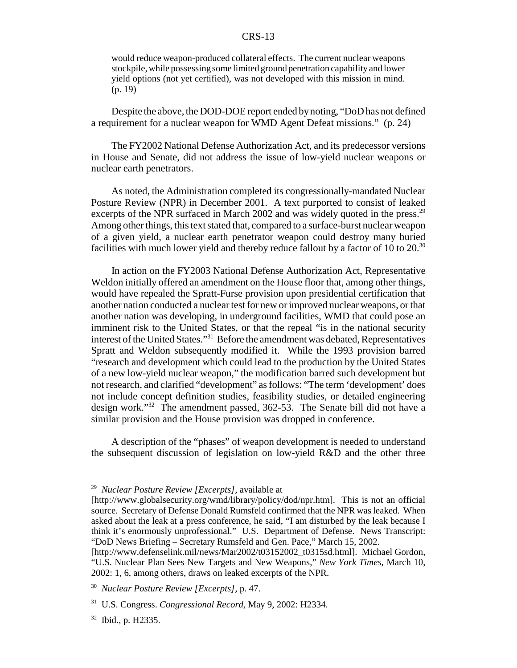would reduce weapon-produced collateral effects. The current nuclear weapons stockpile, while possessing some limited ground penetration capability and lower yield options (not yet certified), was not developed with this mission in mind. (p. 19)

Despite the above, the DOD-DOE report ended bynoting, "DoD has not defined a requirement for a nuclear weapon for WMD Agent Defeat missions." (p. 24)

The FY2002 National Defense Authorization Act, and its predecessor versions in House and Senate, did not address the issue of low-yield nuclear weapons or nuclear earth penetrators.

As noted, the Administration completed its congressionally-mandated Nuclear Posture Review (NPR) in December 2001. A text purported to consist of leaked excerpts of the NPR surfaced in March 2002 and was widely quoted in the press.<sup>29</sup> Among other things, this text stated that, compared to a surface-burst nuclear weapon of a given yield, a nuclear earth penetrator weapon could destroy many buried facilities with much lower yield and thereby reduce fallout by a factor of 10 to  $20^{30}$ 

In action on the FY2003 National Defense Authorization Act, Representative Weldon initially offered an amendment on the House floor that, among other things, would have repealed the Spratt-Furse provision upon presidential certification that another nation conducted a nuclear test for new or improved nuclear weapons, or that another nation was developing, in underground facilities, WMD that could pose an imminent risk to the United States, or that the repeal "is in the national security interest of the United States."<sup>31</sup> Before the amendment was debated, Representatives Spratt and Weldon subsequently modified it. While the 1993 provision barred "research and development which could lead to the production by the United States of a new low-yield nuclear weapon," the modification barred such development but not research, and clarified "development" as follows: "The term 'development' does not include concept definition studies, feasibility studies, or detailed engineering design work."32 The amendment passed, 362-53. The Senate bill did not have a similar provision and the House provision was dropped in conference.

A description of the "phases" of weapon development is needed to understand the subsequent discussion of legislation on low-yield R&D and the other three

<sup>29</sup> *Nuclear Posture Review [Excerpts],* available at

<sup>[</sup>http://www.globalsecurity.org/wmd/library/policy/dod/npr.htm]. This is not an official source. Secretary of Defense Donald Rumsfeld confirmed that the NPR was leaked. When asked about the leak at a press conference, he said, "I am disturbed by the leak because I think it's enormously unprofessional." U.S. Department of Defense. News Transcript: "DoD News Briefing – Secretary Rumsfeld and Gen. Pace," March 15, 2002.

<sup>[</sup>http://www.defenselink.mil/news/Mar2002/t03152002\_t0315sd.html]. Michael Gordon, "U.S. Nuclear Plan Sees New Targets and New Weapons," *New York Times,* March 10, 2002: 1, 6, among others, draws on leaked excerpts of the NPR.

<sup>30</sup> *Nuclear Posture Review [Excerpts],* p. 47.

<sup>31</sup> U.S. Congress. *Congressional Record,* May 9, 2002: H2334.

<sup>32</sup> Ibid., p. H2335.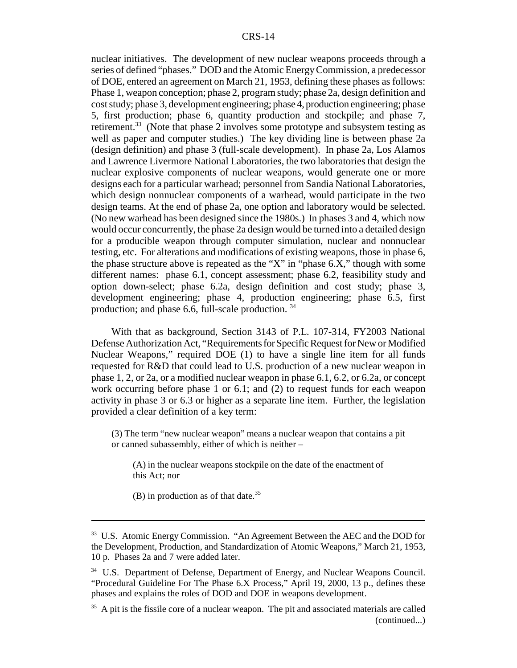nuclear initiatives. The development of new nuclear weapons proceeds through a series of defined "phases." DOD and the Atomic Energy Commission, a predecessor of DOE, entered an agreement on March 21, 1953, defining these phases as follows: Phase 1, weapon conception; phase 2, program study; phase 2a, design definition and cost study; phase 3, development engineering; phase 4, production engineering; phase 5, first production; phase 6, quantity production and stockpile; and phase 7, retirement.<sup>33</sup> (Note that phase 2 involves some prototype and subsystem testing as well as paper and computer studies.) The key dividing line is between phase 2a (design definition) and phase 3 (full-scale development). In phase 2a, Los Alamos and Lawrence Livermore National Laboratories, the two laboratories that design the nuclear explosive components of nuclear weapons, would generate one or more designs each for a particular warhead; personnel from Sandia National Laboratories, which design nonnuclear components of a warhead, would participate in the two design teams. At the end of phase 2a, one option and laboratory would be selected. (No new warhead has been designed since the 1980s.) In phases 3 and 4, which now would occur concurrently, the phase 2a design would be turned into a detailed design for a producible weapon through computer simulation, nuclear and nonnuclear testing, etc. For alterations and modifications of existing weapons, those in phase 6, the phase structure above is repeated as the "X" in "phase 6.X," though with some different names: phase 6.1, concept assessment; phase 6.2, feasibility study and option down-select; phase 6.2a, design definition and cost study; phase 3, development engineering; phase 4, production engineering; phase 6.5, first production; and phase 6.6, full-scale production. <sup>34</sup>

With that as background, Section 3143 of P.L. 107-314, FY2003 National Defense Authorization Act, "Requirements for Specific Request for New or Modified Nuclear Weapons," required DOE (1) to have a single line item for all funds requested for R&D that could lead to U.S. production of a new nuclear weapon in phase 1, 2, or 2a, or a modified nuclear weapon in phase 6.1, 6.2, or 6.2a, or concept work occurring before phase 1 or 6.1; and (2) to request funds for each weapon activity in phase 3 or 6.3 or higher as a separate line item. Further, the legislation provided a clear definition of a key term:

(3) The term "new nuclear weapon" means a nuclear weapon that contains a pit or canned subassembly, either of which is neither –

(A) in the nuclear weapons stockpile on the date of the enactment of this Act; nor

(B) in production as of that date.<sup>35</sup>

<sup>&</sup>lt;sup>33</sup> U.S. Atomic Energy Commission. "An Agreement Between the AEC and the DOD for the Development, Production, and Standardization of Atomic Weapons," March 21, 1953, 10 p. Phases 2a and 7 were added later.

<sup>&</sup>lt;sup>34</sup> U.S. Department of Defense, Department of Energy, and Nuclear Weapons Council. "Procedural Guideline For The Phase 6.X Process," April 19, 2000, 13 p., defines these phases and explains the roles of DOD and DOE in weapons development.

 $35$  A pit is the fissile core of a nuclear weapon. The pit and associated materials are called (continued...)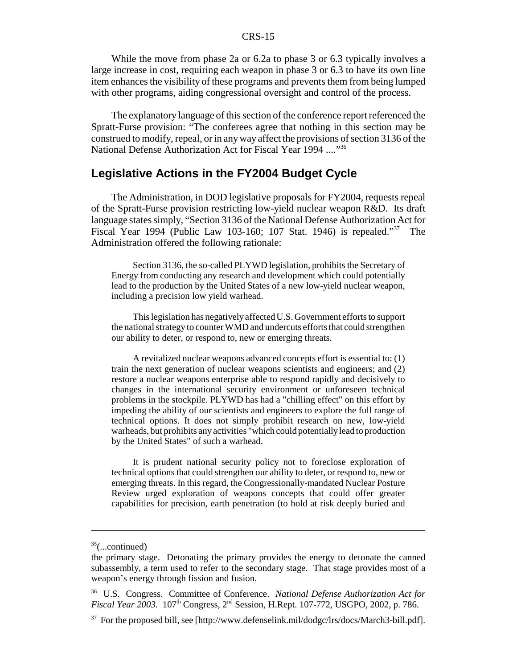While the move from phase 2a or 6.2a to phase 3 or 6.3 typically involves a large increase in cost, requiring each weapon in phase 3 or 6.3 to have its own line item enhances the visibility of these programs and prevents them from being lumped with other programs, aiding congressional oversight and control of the process.

The explanatory language of this section of the conference report referenced the Spratt-Furse provision: "The conferees agree that nothing in this section may be construed to modify, repeal, or in any way affect the provisions of section 3136 of the National Defense Authorization Act for Fiscal Year 1994 ...."36

#### **Legislative Actions in the FY2004 Budget Cycle**

The Administration, in DOD legislative proposals for FY2004, requests repeal of the Spratt-Furse provision restricting low-yield nuclear weapon R&D. Its draft language states simply, "Section 3136 of the National Defense Authorization Act for Fiscal Year 1994 (Public Law 103-160; 107 Stat. 1946) is repealed."<sup>37</sup> The Administration offered the following rationale:

Section 3136, the so-called PLYWD legislation, prohibits the Secretary of Energy from conducting any research and development which could potentially lead to the production by the United States of a new low-yield nuclear weapon, including a precision low yield warhead.

This legislation has negatively affected U.S. Government efforts to support the national strategy to counter WMD and undercuts efforts that could strengthen our ability to deter, or respond to, new or emerging threats.

A revitalized nuclear weapons advanced concepts effort is essential to: (1) train the next generation of nuclear weapons scientists and engineers; and (2) restore a nuclear weapons enterprise able to respond rapidly and decisively to changes in the international security environment or unforeseen technical problems in the stockpile. PLYWD has had a "chilling effect" on this effort by impeding the ability of our scientists and engineers to explore the full range of technical options. It does not simply prohibit research on new, low-yield warheads, but prohibits any activities "which could potentially lead to production by the United States" of such a warhead.

It is prudent national security policy not to foreclose exploration of technical options that could strengthen our ability to deter, or respond to, new or emerging threats. In this regard, the Congressionally-mandated Nuclear Posture Review urged exploration of weapons concepts that could offer greater capabilities for precision, earth penetration (to hold at risk deeply buried and

 $35$ (...continued)

the primary stage. Detonating the primary provides the energy to detonate the canned subassembly, a term used to refer to the secondary stage. That stage provides most of a weapon's energy through fission and fusion.

<sup>36</sup> U.S. Congress. Committee of Conference. *National Defense Authorization Act for Fiscal Year 2003.* 107th Congress, 2nd Session, H.Rept. 107-772, USGPO, 2002, p. 786.

 $37$  For the proposed bill, see [http://www.defenselink.mil/dodgc/lrs/docs/March3-bill.pdf].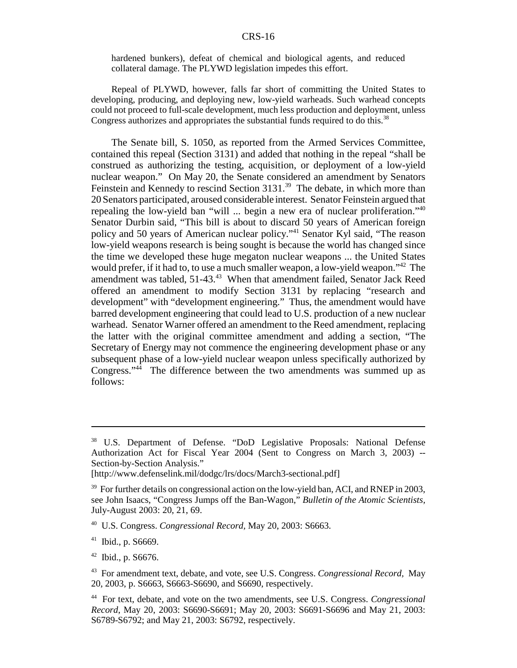hardened bunkers), defeat of chemical and biological agents, and reduced collateral damage. The PLYWD legislation impedes this effort.

Repeal of PLYWD, however, falls far short of committing the United States to developing, producing, and deploying new, low-yield warheads. Such warhead concepts could not proceed to full-scale development, much less production and deployment, unless Congress authorizes and appropriates the substantial funds required to do this.<sup>38</sup>

The Senate bill, S. 1050, as reported from the Armed Services Committee, contained this repeal (Section 3131) and added that nothing in the repeal "shall be construed as authorizing the testing, acquisition, or deployment of a low-yield nuclear weapon." On May 20, the Senate considered an amendment by Senators Feinstein and Kennedy to rescind Section 3131.<sup>39</sup> The debate, in which more than 20 Senators participated, aroused considerable interest. Senator Feinstein argued that repealing the low-yield ban "will ... begin a new era of nuclear proliferation."40 Senator Durbin said, "This bill is about to discard 50 years of American foreign policy and 50 years of American nuclear policy."<sup>41</sup> Senator Kyl said, "The reason low-yield weapons research is being sought is because the world has changed since the time we developed these huge megaton nuclear weapons ... the United States would prefer, if it had to, to use a much smaller weapon, a low-yield weapon."<sup>42</sup> The amendment was tabled, 51-43.<sup>43</sup> When that amendment failed, Senator Jack Reed offered an amendment to modify Section 3131 by replacing "research and development" with "development engineering." Thus, the amendment would have barred development engineering that could lead to U.S. production of a new nuclear warhead. Senator Warner offered an amendment to the Reed amendment, replacing the latter with the original committee amendment and adding a section, "The Secretary of Energy may not commence the engineering development phase or any subsequent phase of a low-yield nuclear weapon unless specifically authorized by Congress."44 The difference between the two amendments was summed up as follows:

<sup>41</sup> Ibid., p. S6669.

<sup>42</sup> Ibid., p. S6676.

<sup>&</sup>lt;sup>38</sup> U.S. Department of Defense. "DoD Legislative Proposals: National Defense Authorization Act for Fiscal Year 2004 (Sent to Congress on March 3, 2003) -- Section-by-Section Analysis."

<sup>[</sup>http://www.defenselink.mil/dodgc/lrs/docs/March3-sectional.pdf]

 $39$  For further details on congressional action on the low-yield ban, ACI, and RNEP in 2003, see John Isaacs, "Congress Jumps off the Ban-Wagon," *Bulletin of the Atomic Scientists,* July-August 2003: 20, 21, 69.

<sup>40</sup> U.S. Congress. *Congressional Record,* May 20, 2003: S6663.

<sup>43</sup> For amendment text, debate, and vote, see U.S. Congress. *Congressional Record,* May 20, 2003, p. S6663, S6663-S6690, and S6690, respectively.

<sup>44</sup> For text, debate, and vote on the two amendments, see U.S. Congress. *Congressional Record*, May 20, 2003: S6690-S6691; May 20, 2003: S6691-S6696 and May 21, 2003: S6789-S6792; and May 21, 2003: S6792, respectively.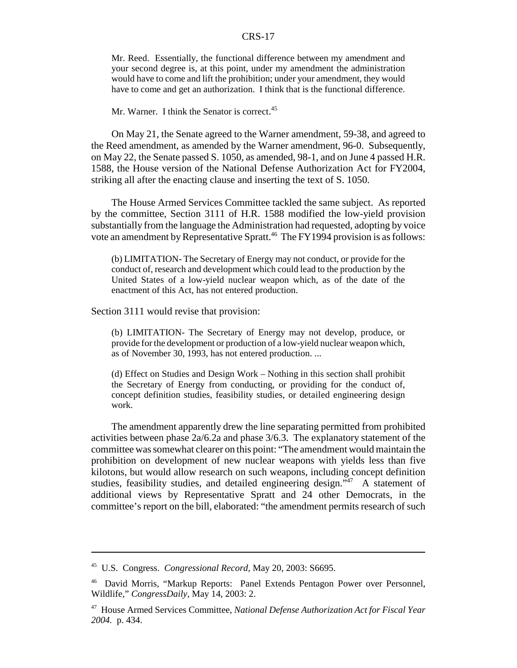Mr. Reed. Essentially, the functional difference between my amendment and your second degree is, at this point, under my amendment the administration would have to come and lift the prohibition; under your amendment, they would have to come and get an authorization. I think that is the functional difference.

#### Mr. Warner. I think the Senator is correct.<sup>45</sup>

On May 21, the Senate agreed to the Warner amendment, 59-38, and agreed to the Reed amendment, as amended by the Warner amendment, 96-0. Subsequently, on May 22, the Senate passed S. 1050, as amended, 98-1, and on June 4 passed H.R. 1588, the House version of the National Defense Authorization Act for FY2004, striking all after the enacting clause and inserting the text of S. 1050.

The House Armed Services Committee tackled the same subject. As reported by the committee, Section 3111 of H.R. 1588 modified the low-yield provision substantially from the language the Administration had requested, adopting by voice vote an amendment by Representative Spratt.<sup>46</sup> The FY1994 provision is as follows:

(b) LIMITATION- The Secretary of Energy may not conduct, or provide for the conduct of, research and development which could lead to the production by the United States of a low-yield nuclear weapon which, as of the date of the enactment of this Act, has not entered production.

Section 3111 would revise that provision:

(b) LIMITATION- The Secretary of Energy may not develop, produce, or provide for the development or production of a low-yield nuclear weapon which, as of November 30, 1993, has not entered production. ...

(d) Effect on Studies and Design Work – Nothing in this section shall prohibit the Secretary of Energy from conducting, or providing for the conduct of, concept definition studies, feasibility studies, or detailed engineering design work.

The amendment apparently drew the line separating permitted from prohibited activities between phase  $2a/6.2a$  and phase  $3/6.3$ . The explanatory statement of the committee was somewhat clearer on this point: "The amendment would maintain the prohibition on development of new nuclear weapons with yields less than five kilotons, but would allow research on such weapons, including concept definition studies, feasibility studies, and detailed engineering design."<sup>47</sup> A statement of additional views by Representative Spratt and 24 other Democrats, in the committee's report on the bill, elaborated: "the amendment permits research of such

<sup>45</sup> U.S. Congress. *Congressional Record,* May 20, 2003: S6695.

<sup>46</sup> David Morris, "Markup Reports: Panel Extends Pentagon Power over Personnel, Wildlife," *CongressDaily,* May 14, 2003: 2.

<sup>47</sup> House Armed Services Committee, *National Defense Authorization Act for Fiscal Year 2004.* p. 434.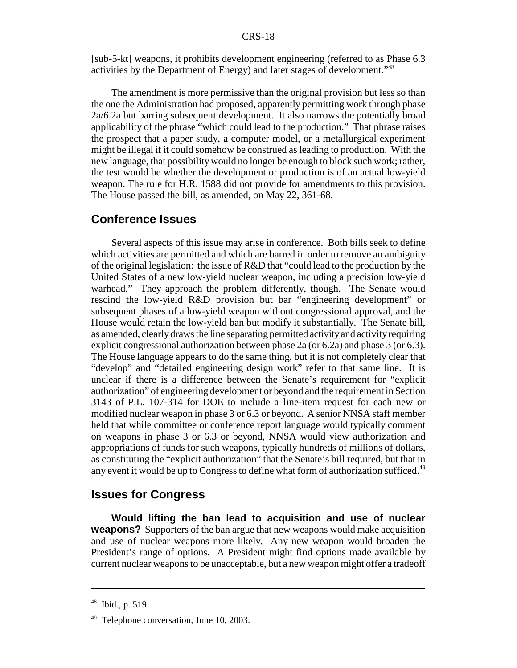[sub-5-kt] weapons, it prohibits development engineering (referred to as Phase 6.3 activities by the Department of Energy) and later stages of development."48

The amendment is more permissive than the original provision but less so than the one the Administration had proposed, apparently permitting work through phase 2a/6.2a but barring subsequent development. It also narrows the potentially broad applicability of the phrase "which could lead to the production." That phrase raises the prospect that a paper study, a computer model, or a metallurgical experiment might be illegal if it could somehow be construed as leading to production. With the new language, that possibility would no longer be enough to block such work; rather, the test would be whether the development or production is of an actual low-yield weapon. The rule for H.R. 1588 did not provide for amendments to this provision. The House passed the bill, as amended, on May 22, 361-68.

### **Conference Issues**

Several aspects of this issue may arise in conference. Both bills seek to define which activities are permitted and which are barred in order to remove an ambiguity of the original legislation: the issue of R&D that "could lead to the production by the United States of a new low-yield nuclear weapon, including a precision low-yield warhead." They approach the problem differently, though. The Senate would rescind the low-yield R&D provision but bar "engineering development" or subsequent phases of a low-yield weapon without congressional approval, and the House would retain the low-yield ban but modify it substantially. The Senate bill, as amended, clearlydraws the line separating permitted activityand activityrequiring explicit congressional authorization between phase 2a (or 6.2a) and phase 3 (or 6.3). The House language appears to do the same thing, but it is not completely clear that "develop" and "detailed engineering design work" refer to that same line. It is unclear if there is a difference between the Senate's requirement for "explicit authorization" of engineering development or beyond and the requirement in Section 3143 of P.L. 107-314 for DOE to include a line-item request for each new or modified nuclear weapon in phase 3 or 6.3 or beyond. A senior NNSA staff member held that while committee or conference report language would typically comment on weapons in phase 3 or 6.3 or beyond, NNSA would view authorization and appropriations of funds for such weapons, typically hundreds of millions of dollars, as constituting the "explicit authorization" that the Senate's bill required, but that in any event it would be up to Congress to define what form of authorization sufficed.<sup>49</sup>

#### **Issues for Congress**

**Would lifting the ban lead to acquisition and use of nuclear weapons?** Supporters of the ban argue that new weapons would make acquisition and use of nuclear weapons more likely. Any new weapon would broaden the President's range of options. A President might find options made available by current nuclear weapons to be unacceptable, but a new weapon might offer a tradeoff

 $48$  Ibid., p. 519.

 $49$  Telephone conversation, June 10, 2003.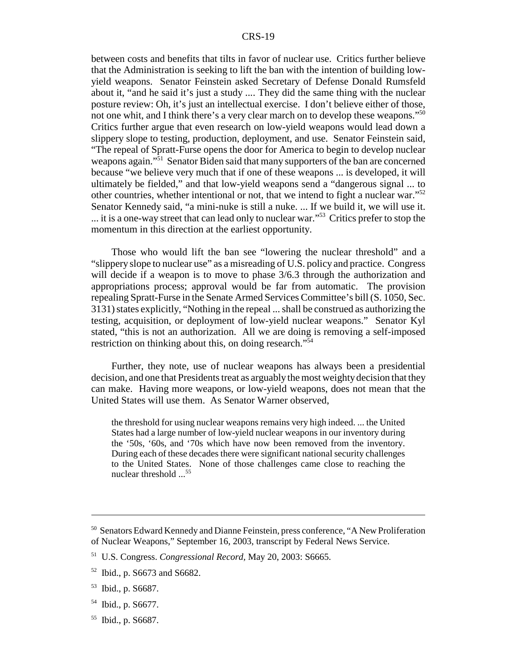between costs and benefits that tilts in favor of nuclear use. Critics further believe that the Administration is seeking to lift the ban with the intention of building lowyield weapons. Senator Feinstein asked Secretary of Defense Donald Rumsfeld about it, "and he said it's just a study .... They did the same thing with the nuclear posture review: Oh, it's just an intellectual exercise. I don't believe either of those, not one whit, and I think there's a very clear march on to develop these weapons."<sup>50</sup> Critics further argue that even research on low-yield weapons would lead down a slippery slope to testing, production, deployment, and use. Senator Feinstein said, "The repeal of Spratt-Furse opens the door for America to begin to develop nuclear weapons again."<sup>51</sup> Senator Biden said that many supporters of the ban are concerned because "we believe very much that if one of these weapons ... is developed, it will ultimately be fielded," and that low-yield weapons send a "dangerous signal ... to other countries, whether intentional or not, that we intend to fight a nuclear war."52 Senator Kennedy said, "a mini-nuke is still a nuke. ... If we build it, we will use it. ... it is a one-way street that can lead only to nuclear war."53 Critics prefer to stop the momentum in this direction at the earliest opportunity.

Those who would lift the ban see "lowering the nuclear threshold" and a "slippery slope to nuclear use" as a misreading of U.S. policy and practice. Congress will decide if a weapon is to move to phase  $3/6.3$  through the authorization and appropriations process; approval would be far from automatic. The provision repealing Spratt-Furse in the Senate Armed Services Committee's bill (S. 1050, Sec. 3131) states explicitly, "Nothing in the repeal ... shall be construed as authorizing the testing, acquisition, or deployment of low-yield nuclear weapons." Senator Kyl stated, "this is not an authorization. All we are doing is removing a self-imposed restriction on thinking about this, on doing research.<sup> $3\overline{5}4$ </sup>

Further, they note, use of nuclear weapons has always been a presidential decision, and one that Presidents treat as arguably the most weighty decision that they can make. Having more weapons, or low-yield weapons, does not mean that the United States will use them. As Senator Warner observed,

the threshold for using nuclear weapons remains very high indeed. ... the United States had a large number of low-yield nuclear weapons in our inventory during the '50s, '60s, and '70s which have now been removed from the inventory. During each of these decades there were significant national security challenges to the United States. None of those challenges came close to reaching the nuclear threshold ...<sup>55</sup>

<sup>&</sup>lt;sup>50</sup> Senators Edward Kennedy and Dianne Feinstein, press conference, "A New Proliferation of Nuclear Weapons," September 16, 2003, transcript by Federal News Service.

<sup>51</sup> U.S. Congress. *Congressional Record,* May 20, 2003: S6665.

<sup>52</sup> Ibid., p. S6673 and S6682.

<sup>53</sup> Ibid., p. S6687.

<sup>54</sup> Ibid., p. S6677.

<sup>55</sup> Ibid., p. S6687.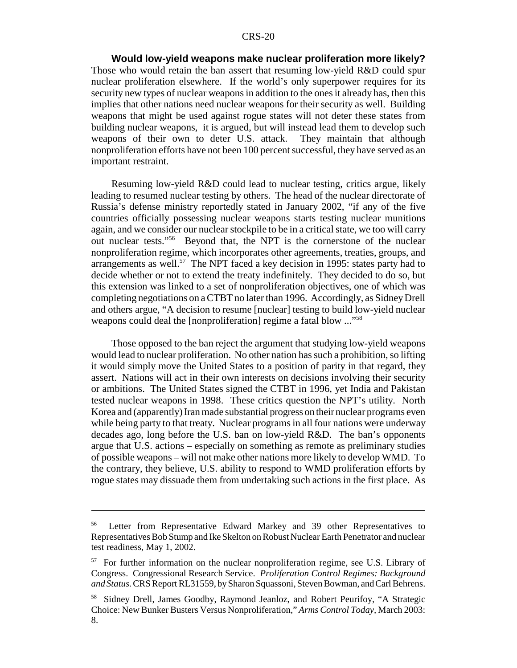**Would low-yield weapons make nuclear proliferation more likely?** Those who would retain the ban assert that resuming low-yield R&D could spur nuclear proliferation elsewhere. If the world's only superpower requires for its security new types of nuclear weapons in addition to the ones it already has, then this implies that other nations need nuclear weapons for their security as well. Building weapons that might be used against rogue states will not deter these states from building nuclear weapons, it is argued, but will instead lead them to develop such weapons of their own to deter U.S. attack. They maintain that although nonproliferation efforts have not been 100 percent successful, they have served as an important restraint.

Resuming low-yield R&D could lead to nuclear testing, critics argue, likely leading to resumed nuclear testing by others. The head of the nuclear directorate of Russia's defense ministry reportedly stated in January 2002, "if any of the five countries officially possessing nuclear weapons starts testing nuclear munitions again, and we consider our nuclear stockpile to be in a critical state, we too will carry out nuclear tests."56 Beyond that, the NPT is the cornerstone of the nuclear nonproliferation regime, which incorporates other agreements, treaties, groups, and arrangements as well.<sup>57</sup> The NPT faced a key decision in 1995: states party had to decide whether or not to extend the treaty indefinitely. They decided to do so, but this extension was linked to a set of nonproliferation objectives, one of which was completing negotiations on a CTBT no later than 1996. Accordingly, as Sidney Drell and others argue, "A decision to resume [nuclear] testing to build low-yield nuclear weapons could deal the [nonproliferation] regime a fatal blow ..."<sup>58</sup>

Those opposed to the ban reject the argument that studying low-yield weapons would lead to nuclear proliferation. No other nation has such a prohibition, so lifting it would simply move the United States to a position of parity in that regard, they assert. Nations will act in their own interests on decisions involving their security or ambitions. The United States signed the CTBT in 1996, yet India and Pakistan tested nuclear weapons in 1998. These critics question the NPT's utility. North Korea and (apparently) Iran made substantial progress on their nuclear programs even while being party to that treaty. Nuclear programs in all four nations were underway decades ago, long before the U.S. ban on low-yield R&D. The ban's opponents argue that U.S. actions – especially on something as remote as preliminary studies of possible weapons – will not make other nations more likely to develop WMD. To the contrary, they believe, U.S. ability to respond to WMD proliferation efforts by rogue states may dissuade them from undertaking such actions in the first place. As

<sup>&</sup>lt;sup>56</sup> Letter from Representative Edward Markey and 39 other Representatives to Representatives Bob Stump and Ike Skelton on Robust Nuclear Earth Penetrator and nuclear test readiness, May 1, 2002.

<sup>&</sup>lt;sup>57</sup> For further information on the nuclear nonproliferation regime, see U.S. Library of Congress. Congressional Research Service. *Proliferation Control Regimes: Background and Status.*CRS Report RL31559, by Sharon Squassoni, Steven Bowman, and Carl Behrens.

<sup>&</sup>lt;sup>58</sup> Sidney Drell, James Goodby, Raymond Jeanloz, and Robert Peurifoy, "A Strategic Choice: New Bunker Busters Versus Nonproliferation," *Arms Control Today,* March 2003: 8.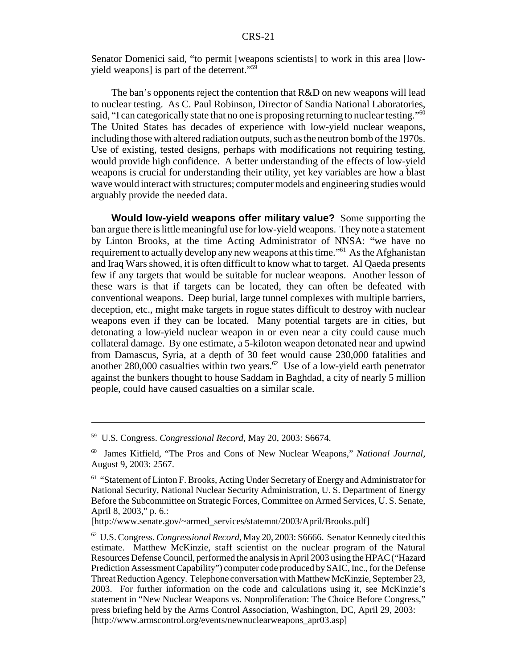Senator Domenici said, "to permit [weapons scientists] to work in this area [lowyield weapons] is part of the deterrent." $5\overline{9}$ 

The ban's opponents reject the contention that R&D on new weapons will lead to nuclear testing. As C. Paul Robinson, Director of Sandia National Laboratories, said, "I can categorically state that no one is proposing returning to nuclear testing."<sup>60</sup> The United States has decades of experience with low-yield nuclear weapons, including those with altered radiation outputs, such as the neutron bomb of the 1970s. Use of existing, tested designs, perhaps with modifications not requiring testing, would provide high confidence. A better understanding of the effects of low-yield weapons is crucial for understanding their utility, yet key variables are how a blast wave would interact with structures; computer models and engineering studies would arguably provide the needed data.

**Would low-yield weapons offer military value?** Some supporting the ban argue there is little meaningful use for low-yield weapons. They note a statement by Linton Brooks, at the time Acting Administrator of NNSA: "we have no requirement to actually develop any new weapons at this time."<sup>61</sup> As the Afghanistan and Iraq Wars showed, it is often difficult to know what to target. Al Qaeda presents few if any targets that would be suitable for nuclear weapons. Another lesson of these wars is that if targets can be located, they can often be defeated with conventional weapons. Deep burial, large tunnel complexes with multiple barriers, deception, etc., might make targets in rogue states difficult to destroy with nuclear weapons even if they can be located. Many potential targets are in cities, but detonating a low-yield nuclear weapon in or even near a city could cause much collateral damage. By one estimate, a 5-kiloton weapon detonated near and upwind from Damascus, Syria, at a depth of 30 feet would cause 230,000 fatalities and another 280,000 casualties within two years. $62$  Use of a low-yield earth penetrator against the bunkers thought to house Saddam in Baghdad, a city of nearly 5 million people, could have caused casualties on a similar scale.

<sup>59</sup> U.S. Congress. *Congressional Record,* May 20, 2003: S6674.

<sup>60</sup> James Kitfield, "The Pros and Cons of New Nuclear Weapons," *National Journal,* August 9, 2003: 2567.

<sup>&</sup>lt;sup>61</sup> "Statement of Linton F. Brooks, Acting Under Secretary of Energy and Administrator for National Security, National Nuclear Security Administration, U. S. Department of Energy Before the Subcommittee on Strategic Forces, Committee on Armed Services, U. S. Senate, April 8, 2003," p. 6.:

<sup>[</sup>http://www.senate.gov/~armed\_services/statemnt/2003/April/Brooks.pdf]

<sup>62</sup> U.S. Congress.*Congressional Record,* May 20, 2003: S6666. Senator Kennedy cited this estimate. Matthew McKinzie, staff scientist on the nuclear program of the Natural Resources Defense Council, performed the analysis in April 2003 using the HPAC ("Hazard Prediction Assessment Capability") computer code produced by SAIC, Inc., for the Defense Threat Reduction Agency. Telephone conversation with Matthew McKinzie, September 23, 2003. For further information on the code and calculations using it, see McKinzie's statement in "New Nuclear Weapons vs. Nonproliferation: The Choice Before Congress," press briefing held by the Arms Control Association, Washington, DC, April 29, 2003: [http://www.armscontrol.org/events/newnuclearweapons\_apr03.asp]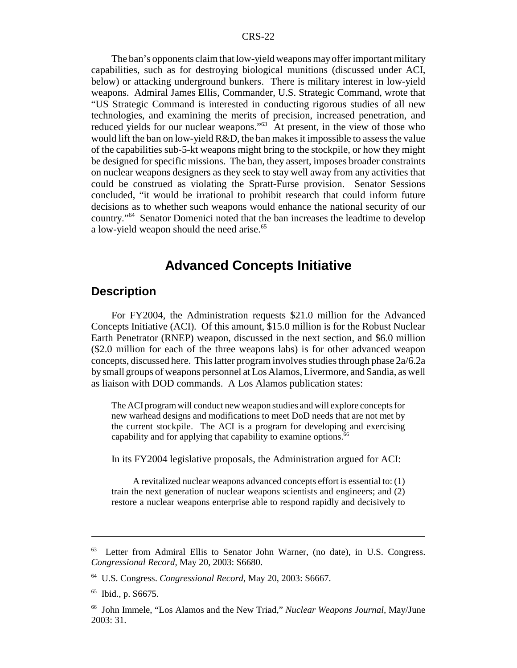The ban's opponents claim that low-yield weapons mayoffer important military capabilities, such as for destroying biological munitions (discussed under ACI, below) or attacking underground bunkers. There is military interest in low-yield weapons. Admiral James Ellis, Commander, U.S. Strategic Command, wrote that "US Strategic Command is interested in conducting rigorous studies of all new technologies, and examining the merits of precision, increased penetration, and reduced yields for our nuclear weapons."<sup>63</sup> At present, in the view of those who would lift the ban on low-yield R&D, the ban makes it impossible to assess the value of the capabilities sub-5-kt weapons might bring to the stockpile, or how they might be designed for specific missions. The ban, they assert, imposes broader constraints on nuclear weapons designers as they seek to stay well away from any activities that could be construed as violating the Spratt-Furse provision. Senator Sessions concluded, "it would be irrational to prohibit research that could inform future decisions as to whether such weapons would enhance the national security of our country."64 Senator Domenici noted that the ban increases the leadtime to develop a low-yield weapon should the need arise.<sup>65</sup>

## **Advanced Concepts Initiative**

#### **Description**

For FY2004, the Administration requests \$21.0 million for the Advanced Concepts Initiative (ACI). Of this amount, \$15.0 million is for the Robust Nuclear Earth Penetrator (RNEP) weapon, discussed in the next section, and \$6.0 million (\$2.0 million for each of the three weapons labs) is for other advanced weapon concepts, discussed here. This latter program involves studies through phase 2a/6.2a bysmall groups of weapons personnel at Los Alamos, Livermore, and Sandia, as well as liaison with DOD commands. A Los Alamos publication states:

The ACI program will conduct new weapon studies and will explore concepts for new warhead designs and modifications to meet DoD needs that are not met by the current stockpile. The ACI is a program for developing and exercising capability and for applying that capability to examine options.<sup>66</sup>

In its FY2004 legislative proposals, the Administration argued for ACI:

A revitalized nuclear weapons advanced concepts effort is essential to: (1) train the next generation of nuclear weapons scientists and engineers; and (2) restore a nuclear weapons enterprise able to respond rapidly and decisively to

<sup>63</sup> Letter from Admiral Ellis to Senator John Warner, (no date), in U.S. Congress. *Congressional Record,* May 20, 2003: S6680.

<sup>64</sup> U.S. Congress. *Congressional Record,* May 20, 2003: S6667.

<sup>65</sup> Ibid., p. S6675.

<sup>66</sup> John Immele, "Los Alamos and the New Triad," *Nuclear Weapons Journal,* May/June 2003: 31.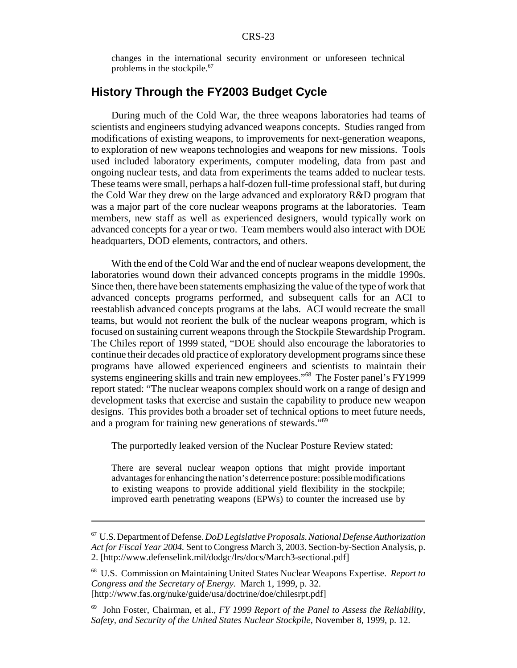changes in the international security environment or unforeseen technical problems in the stockpile.<sup>67</sup>

#### **History Through the FY2003 Budget Cycle**

During much of the Cold War, the three weapons laboratories had teams of scientists and engineers studying advanced weapons concepts. Studies ranged from modifications of existing weapons, to improvements for next-generation weapons, to exploration of new weapons technologies and weapons for new missions. Tools used included laboratory experiments, computer modeling, data from past and ongoing nuclear tests, and data from experiments the teams added to nuclear tests. These teams were small, perhaps a half-dozen full-time professional staff, but during the Cold War they drew on the large advanced and exploratory R&D program that was a major part of the core nuclear weapons programs at the laboratories. Team members, new staff as well as experienced designers, would typically work on advanced concepts for a year or two. Team members would also interact with DOE headquarters, DOD elements, contractors, and others.

With the end of the Cold War and the end of nuclear weapons development, the laboratories wound down their advanced concepts programs in the middle 1990s. Since then, there have been statements emphasizing the value of the type of work that advanced concepts programs performed, and subsequent calls for an ACI to reestablish advanced concepts programs at the labs. ACI would recreate the small teams, but would not reorient the bulk of the nuclear weapons program, which is focused on sustaining current weapons through the Stockpile Stewardship Program. The Chiles report of 1999 stated, "DOE should also encourage the laboratories to continue their decades old practice of exploratory development programs since these programs have allowed experienced engineers and scientists to maintain their systems engineering skills and train new employees."<sup>68</sup> The Foster panel's FY1999 report stated: "The nuclear weapons complex should work on a range of design and development tasks that exercise and sustain the capability to produce new weapon designs. This provides both a broader set of technical options to meet future needs, and a program for training new generations of stewards.<sup>"69</sup>

The purportedly leaked version of the Nuclear Posture Review stated:

There are several nuclear weapon options that might provide important advantages for enhancing the nation's deterrence posture: possible modifications to existing weapons to provide additional yield flexibility in the stockpile; improved earth penetrating weapons (EPWs) to counter the increased use by

<sup>67</sup> U.S. Department of Defense.*DoD Legislative Proposals. National Defense Authorization Act for Fiscal Year 2004.* Sent to Congress March 3, 2003. Section-by-Section Analysis, p. 2. [http://www.defenselink.mil/dodgc/lrs/docs/March3-sectional.pdf]

<sup>68</sup> U.S. Commission on Maintaining United States Nuclear Weapons Expertise. *Report to Congress and the Secretary of Energy.* March 1, 1999, p. 32. [http://www.fas.org/nuke/guide/usa/doctrine/doe/chilesrpt.pdf]

<sup>69</sup> John Foster, Chairman, et al., *FY 1999 Report of the Panel to Assess the Reliability, Safety, and Security of the United States Nuclear Stockpile,* November 8, 1999, p. 12.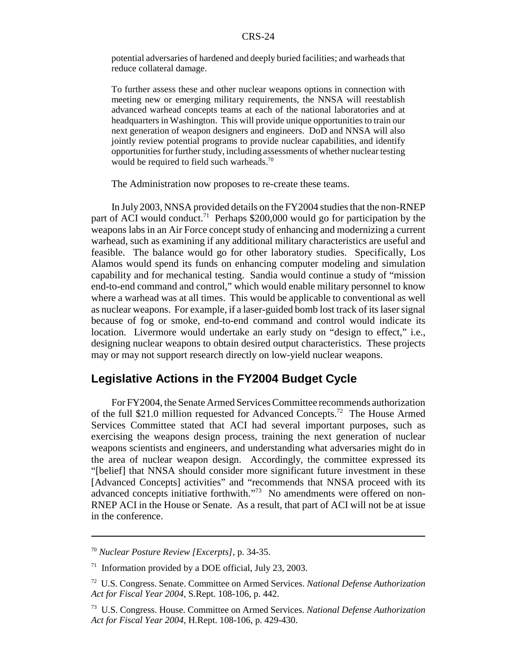potential adversaries of hardened and deeply buried facilities; and warheads that reduce collateral damage.

To further assess these and other nuclear weapons options in connection with meeting new or emerging military requirements, the NNSA will reestablish advanced warhead concepts teams at each of the national laboratories and at headquarters in Washington. This will provide unique opportunities to train our next generation of weapon designers and engineers. DoD and NNSA will also jointly review potential programs to provide nuclear capabilities, and identify opportunities for further study, including assessments of whether nuclear testing would be required to field such warheads.<sup>70</sup>

The Administration now proposes to re-create these teams.

In July 2003, NNSA provided details on the FY2004 studies that the non-RNEP part of ACI would conduct.<sup>71</sup> Perhaps \$200,000 would go for participation by the weapons labs in an Air Force concept study of enhancing and modernizing a current warhead, such as examining if any additional military characteristics are useful and feasible. The balance would go for other laboratory studies. Specifically, Los Alamos would spend its funds on enhancing computer modeling and simulation capability and for mechanical testing. Sandia would continue a study of "mission end-to-end command and control," which would enable military personnel to know where a warhead was at all times. This would be applicable to conventional as well as nuclear weapons. For example, if a laser-guided bomb lost track of its laser signal because of fog or smoke, end-to-end command and control would indicate its location. Livermore would undertake an early study on "design to effect," i.e., designing nuclear weapons to obtain desired output characteristics. These projects may or may not support research directly on low-yield nuclear weapons.

#### **Legislative Actions in the FY2004 Budget Cycle**

For FY2004, the Senate Armed Services Committee recommends authorization of the full \$21.0 million requested for Advanced Concepts.72 The House Armed Services Committee stated that ACI had several important purposes, such as exercising the weapons design process, training the next generation of nuclear weapons scientists and engineers, and understanding what adversaries might do in the area of nuclear weapon design. Accordingly, the committee expressed its "[belief] that NNSA should consider more significant future investment in these [Advanced Concepts] activities" and "recommends that NNSA proceed with its advanced concepts initiative forthwith."<sup>73</sup> No amendments were offered on non-RNEP ACI in the House or Senate. As a result, that part of ACI will not be at issue in the conference.

<sup>70</sup> *Nuclear Posture Review [Excerpts],* p. 34-35.

 $71$  Information provided by a DOE official, July 23, 2003.

<sup>72</sup> U.S. Congress. Senate. Committee on Armed Services. *National Defense Authorization Act for Fiscal Year 2004,* S.Rept. 108-106, p. 442.

<sup>73</sup> U.S. Congress. House. Committee on Armed Services. *National Defense Authorization Act for Fiscal Year 2004,* H.Rept. 108-106, p. 429-430.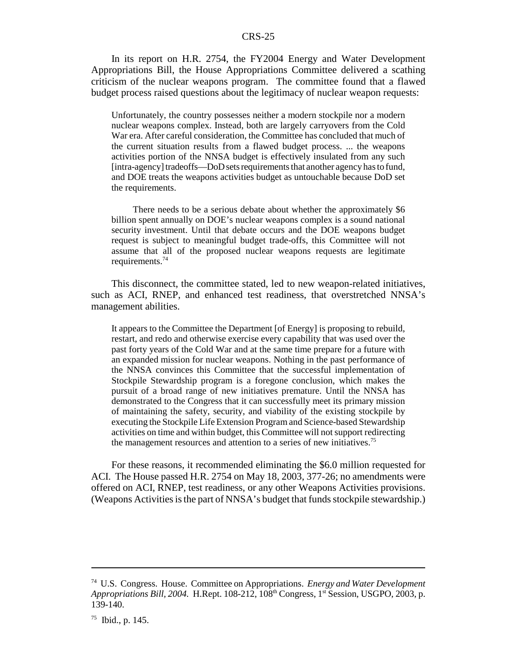In its report on H.R. 2754, the FY2004 Energy and Water Development Appropriations Bill, the House Appropriations Committee delivered a scathing criticism of the nuclear weapons program. The committee found that a flawed budget process raised questions about the legitimacy of nuclear weapon requests:

Unfortunately, the country possesses neither a modern stockpile nor a modern nuclear weapons complex. Instead, both are largely carryovers from the Cold War era. After careful consideration, the Committee has concluded that much of the current situation results from a flawed budget process. ... the weapons activities portion of the NNSA budget is effectively insulated from any such [intra-agency] tradeoffs—DoD sets requirements that another agency has to fund, and DOE treats the weapons activities budget as untouchable because DoD set the requirements.

There needs to be a serious debate about whether the approximately \$6 billion spent annually on DOE's nuclear weapons complex is a sound national security investment. Until that debate occurs and the DOE weapons budget request is subject to meaningful budget trade-offs, this Committee will not assume that all of the proposed nuclear weapons requests are legitimate requirements.<sup>74</sup>

This disconnect, the committee stated, led to new weapon-related initiatives, such as ACI, RNEP, and enhanced test readiness, that overstretched NNSA's management abilities.

It appears to the Committee the Department [of Energy] is proposing to rebuild, restart, and redo and otherwise exercise every capability that was used over the past forty years of the Cold War and at the same time prepare for a future with an expanded mission for nuclear weapons. Nothing in the past performance of the NNSA convinces this Committee that the successful implementation of Stockpile Stewardship program is a foregone conclusion, which makes the pursuit of a broad range of new initiatives premature. Until the NNSA has demonstrated to the Congress that it can successfully meet its primary mission of maintaining the safety, security, and viability of the existing stockpile by executing the Stockpile Life Extension Program and Science-based Stewardship activities on time and within budget, this Committee will not support redirecting the management resources and attention to a series of new initiatives.75

For these reasons, it recommended eliminating the \$6.0 million requested for ACI. The House passed H.R. 2754 on May 18, 2003, 377-26; no amendments were offered on ACI, RNEP, test readiness, or any other Weapons Activities provisions. (Weapons Activities is the part of NNSA's budget that funds stockpile stewardship.)

<sup>74</sup> U.S. Congress. House. Committee on Appropriations. *Energy and Water Development* Appropriations Bill, 2004. H.Rept. 108-212, 108<sup>th</sup> Congress, 1<sup>st</sup> Session, USGPO, 2003, p. 139-140.

 $75$  Ibid., p. 145.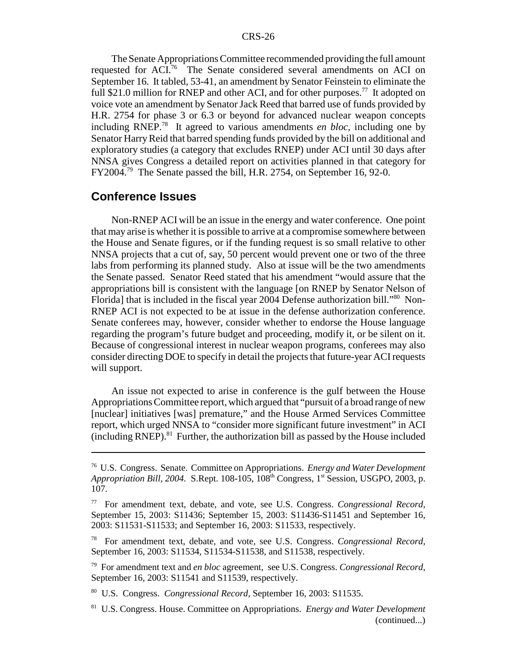The Senate Appropriations Committee recommended providing the full amount requested for ACI.76 The Senate considered several amendments on ACI on September 16. It tabled, 53-41, an amendment by Senator Feinstein to eliminate the full \$21.0 million for RNEP and other ACI, and for other purposes.<sup>77</sup> It adopted on voice vote an amendment by Senator Jack Reed that barred use of funds provided by H.R. 2754 for phase 3 or 6.3 or beyond for advanced nuclear weapon concepts including RNEP.78 It agreed to various amendments *en bloc,* including one by Senator Harry Reid that barred spending funds provided by the bill on additional and exploratory studies (a category that excludes RNEP) under ACI until 30 days after NNSA gives Congress a detailed report on activities planned in that category for FY2004.79 The Senate passed the bill, H.R. 2754, on September 16, 92-0.

#### **Conference Issues**

Non-RNEP ACI will be an issue in the energy and water conference. One point that may arise is whether it is possible to arrive at a compromise somewhere between the House and Senate figures, or if the funding request is so small relative to other NNSA projects that a cut of, say, 50 percent would prevent one or two of the three labs from performing its planned study. Also at issue will be the two amendments the Senate passed. Senator Reed stated that his amendment "would assure that the appropriations bill is consistent with the language [on RNEP by Senator Nelson of Florida] that is included in the fiscal year 2004 Defense authorization bill.<sup>880</sup> Non-RNEP ACI is not expected to be at issue in the defense authorization conference. Senate conferees may, however, consider whether to endorse the House language regarding the program's future budget and proceeding, modify it, or be silent on it. Because of congressional interest in nuclear weapon programs, conferees may also consider directing DOE to specify in detail the projects that future-year ACI requests will support.

An issue not expected to arise in conference is the gulf between the House Appropriations Committee report, which argued that "pursuit of a broad range of new [nuclear] initiatives [was] premature," and the House Armed Services Committee report, which urged NNSA to "consider more significant future investment" in ACI  $(including RNEP).$ <sup>81</sup> Further, the authorization bill as passed by the House included

<sup>76</sup> U.S. Congress. Senate. Committee on Appropriations. *Energy and Water Development Appropriation Bill, 2004.* S.Rept. 108-105, 108<sup>th</sup> Congress, 1<sup>st</sup> Session, USGPO, 2003, p. 107.

<sup>77</sup> For amendment text, debate, and vote, see U.S. Congress. *Congressional Record,* September 15, 2003: S11436; September 15, 2003: S11436-S11451 and September 16, 2003: S11531-S11533; and September 16, 2003: S11533, respectively.

<sup>78</sup> For amendment text, debate, and vote, see U.S. Congress. *Congressional Record,* September 16, 2003: S11534, S11534-S11538, and S11538, respectively.

<sup>79</sup> For amendment text and *en bloc* agreement, see U.S. Congress. *Congressional Record,* September 16, 2003: S11541 and S11539, respectively.

<sup>80</sup> U.S. Congress. *Congressional Record,* September 16, 2003: S11535.

<sup>81</sup> U.S. Congress. House. Committee on Appropriations. *Energy and Water Development* (continued...)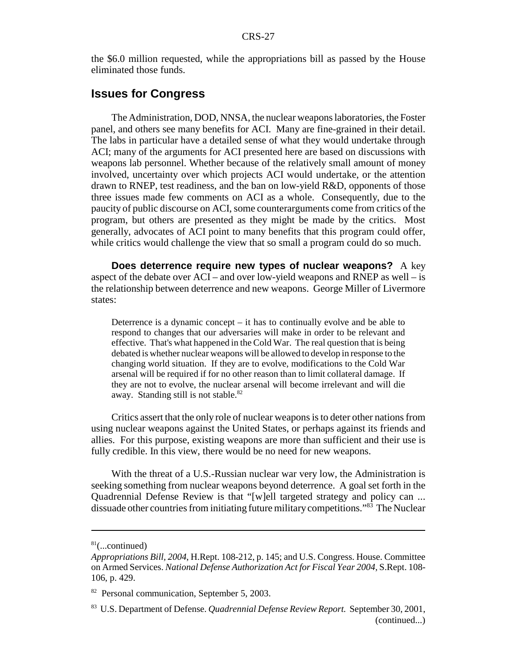the \$6.0 million requested, while the appropriations bill as passed by the House eliminated those funds.

#### **Issues for Congress**

The Administration, DOD, NNSA, the nuclear weapons laboratories, the Foster panel, and others see many benefits for ACI. Many are fine-grained in their detail. The labs in particular have a detailed sense of what they would undertake through ACI; many of the arguments for ACI presented here are based on discussions with weapons lab personnel. Whether because of the relatively small amount of money involved, uncertainty over which projects ACI would undertake, or the attention drawn to RNEP, test readiness, and the ban on low-yield R&D, opponents of those three issues made few comments on ACI as a whole. Consequently, due to the paucity of public discourse on ACI, some counterarguments come from critics of the program, but others are presented as they might be made by the critics. Most generally, advocates of ACI point to many benefits that this program could offer, while critics would challenge the view that so small a program could do so much.

**Does deterrence require new types of nuclear weapons?** A key aspect of the debate over ACI – and over low-yield weapons and RNEP as well – is the relationship between deterrence and new weapons. George Miller of Livermore states:

Deterrence is a dynamic concept – it has to continually evolve and be able to respond to changes that our adversaries will make in order to be relevant and effective. That's what happened in the Cold War. The real question that is being debated is whether nuclear weapons will be allowed to develop in response to the changing world situation. If they are to evolve, modifications to the Cold War arsenal will be required if for no other reason than to limit collateral damage. If they are not to evolve, the nuclear arsenal will become irrelevant and will die away. Standing still is not stable.<sup>82</sup>

Critics assert that the only role of nuclear weapons is to deter other nations from using nuclear weapons against the United States, or perhaps against its friends and allies. For this purpose, existing weapons are more than sufficient and their use is fully credible. In this view, there would be no need for new weapons.

With the threat of a U.S.-Russian nuclear war very low, the Administration is seeking something from nuclear weapons beyond deterrence. A goal set forth in the Quadrennial Defense Review is that "[w]ell targeted strategy and policy can ... dissuade other countries from initiating future military competitions."83 The Nuclear

 $81$ (...continued)

*Appropriations Bill, 2004*, H.Rept. 108-212, p. 145; and U.S. Congress. House. Committee on Armed Services. *National Defense Authorization Act for Fiscal Year 2004,* S.Rept. 108- 106, p. 429.

<sup>82</sup> Personal communication, September 5, 2003.

<sup>83</sup> U.S. Department of Defense. *Quadrennial Defense Review Report.* September 30, 2001, (continued...)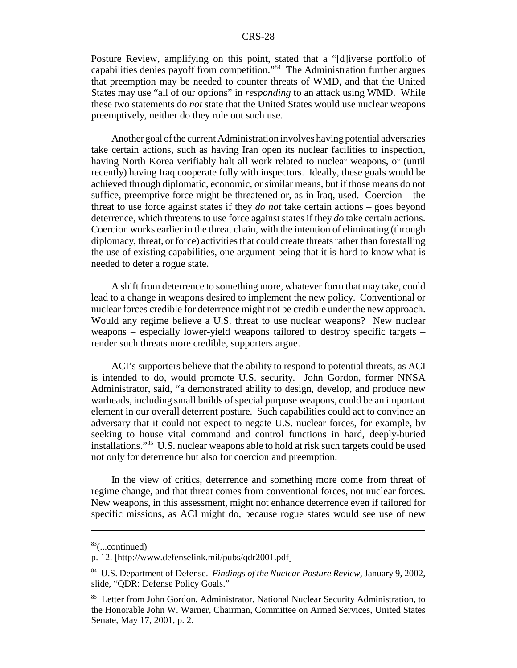Posture Review, amplifying on this point, stated that a "[d]iverse portfolio of capabilities denies payoff from competition."84 The Administration further argues that preemption may be needed to counter threats of WMD, and that the United States may use "all of our options" in *responding* to an attack using WMD. While these two statements do *not* state that the United States would use nuclear weapons preemptively, neither do they rule out such use.

Another goal of the current Administration involves having potential adversaries take certain actions, such as having Iran open its nuclear facilities to inspection, having North Korea verifiably halt all work related to nuclear weapons, or (until recently) having Iraq cooperate fully with inspectors. Ideally, these goals would be achieved through diplomatic, economic, or similar means, but if those means do not suffice, preemptive force might be threatened or, as in Iraq, used. Coercion – the threat to use force against states if they *do not* take certain actions – goes beyond deterrence, which threatens to use force against states if they *do* take certain actions. Coercion works earlier in the threat chain, with the intention of eliminating (through diplomacy, threat, or force) activities that could create threats rather than forestalling the use of existing capabilities, one argument being that it is hard to know what is needed to deter a rogue state.

A shift from deterrence to something more, whatever form that may take, could lead to a change in weapons desired to implement the new policy. Conventional or nuclear forces credible for deterrence might not be credible under the new approach. Would any regime believe a U.S. threat to use nuclear weapons? New nuclear weapons – especially lower-yield weapons tailored to destroy specific targets – render such threats more credible, supporters argue.

ACI's supporters believe that the ability to respond to potential threats, as ACI is intended to do, would promote U.S. security. John Gordon, former NNSA Administrator, said, "a demonstrated ability to design, develop, and produce new warheads, including small builds of special purpose weapons, could be an important element in our overall deterrent posture. Such capabilities could act to convince an adversary that it could not expect to negate U.S. nuclear forces, for example, by seeking to house vital command and control functions in hard, deeply-buried installations."85 U.S. nuclear weapons able to hold at risk such targets could be used not only for deterrence but also for coercion and preemption.

In the view of critics, deterrence and something more come from threat of regime change, and that threat comes from conventional forces, not nuclear forces. New weapons, in this assessment, might not enhance deterrence even if tailored for specific missions, as ACI might do, because rogue states would see use of new

 $83$ (...continued)

p. 12. [http://www.defenselink.mil/pubs/qdr2001.pdf]

<sup>84</sup> U.S. Department of Defense. *Findings of the Nuclear Posture Review,* January 9, 2002, slide, "QDR: Defense Policy Goals."

<sup>&</sup>lt;sup>85</sup> Letter from John Gordon, Administrator, National Nuclear Security Administration, to the Honorable John W. Warner, Chairman, Committee on Armed Services, United States Senate, May 17, 2001, p. 2.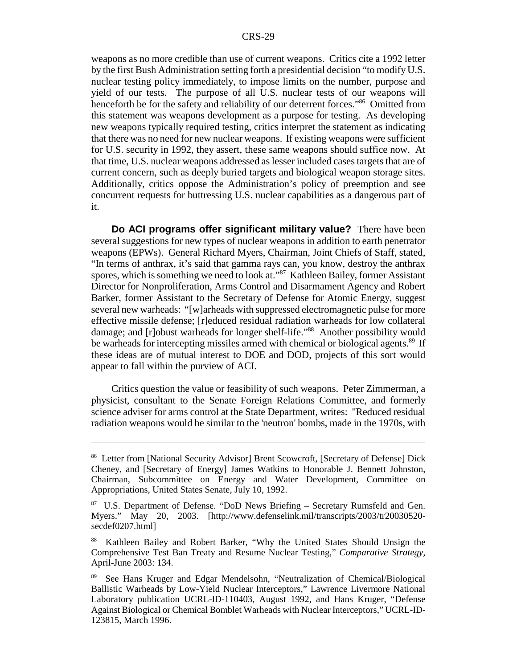weapons as no more credible than use of current weapons. Critics cite a 1992 letter by the first Bush Administration setting forth a presidential decision "to modify U.S. nuclear testing policy immediately, to impose limits on the number, purpose and yield of our tests. The purpose of all U.S. nuclear tests of our weapons will henceforth be for the safety and reliability of our deterrent forces."<sup>86</sup> Omitted from this statement was weapons development as a purpose for testing. As developing new weapons typically required testing, critics interpret the statement as indicating that there was no need for new nuclear weapons. If existing weapons were sufficient for U.S. security in 1992, they assert, these same weapons should suffice now. At that time, U.S. nuclear weapons addressed as lesser included cases targets that are of current concern, such as deeply buried targets and biological weapon storage sites. Additionally, critics oppose the Administration's policy of preemption and see concurrent requests for buttressing U.S. nuclear capabilities as a dangerous part of it.

**Do ACI programs offer significant military value?** There have been several suggestions for new types of nuclear weapons in addition to earth penetrator weapons (EPWs). General Richard Myers, Chairman, Joint Chiefs of Staff, stated, "In terms of anthrax, it's said that gamma rays can, you know, destroy the anthrax spores, which is something we need to look at."<sup>87</sup> Kathleen Bailey, former Assistant Director for Nonproliferation, Arms Control and Disarmament Agency and Robert Barker, former Assistant to the Secretary of Defense for Atomic Energy, suggest several new warheads: "[w]arheads with suppressed electromagnetic pulse for more effective missile defense; [r]educed residual radiation warheads for low collateral damage; and [r]obust warheads for longer shelf-life."<sup>88</sup> Another possibility would be warheads for intercepting missiles armed with chemical or biological agents.<sup>89</sup> If these ideas are of mutual interest to DOE and DOD, projects of this sort would appear to fall within the purview of ACI.

Critics question the value or feasibility of such weapons. Peter Zimmerman, a physicist, consultant to the Senate Foreign Relations Committee, and formerly science adviser for arms control at the State Department, writes: "Reduced residual radiation weapons would be similar to the 'neutron' bombs, made in the 1970s, with

<sup>86</sup> Letter from [National Security Advisor] Brent Scowcroft, [Secretary of Defense] Dick Cheney, and [Secretary of Energy] James Watkins to Honorable J. Bennett Johnston, Chairman, Subcommittee on Energy and Water Development, Committee on Appropriations, United States Senate, July 10, 1992.

<sup>&</sup>lt;sup>87</sup> U.S. Department of Defense. "DoD News Briefing – Secretary Rumsfeld and Gen. Myers." May 20, 2003. [http://www.defenselink.mil/transcripts/2003/tr20030520 secdef0207.html]

<sup>88</sup> Kathleen Bailey and Robert Barker, "Why the United States Should Unsign the Comprehensive Test Ban Treaty and Resume Nuclear Testing," *Comparative Strategy,* April-June 2003: 134.

<sup>89</sup> See Hans Kruger and Edgar Mendelsohn, "Neutralization of Chemical/Biological Ballistic Warheads by Low-Yield Nuclear Interceptors," Lawrence Livermore National Laboratory publication UCRL-ID-110403, August 1992, and Hans Kruger, "Defense Against Biological or Chemical Bomblet Warheads with Nuclear Interceptors," UCRL-ID-123815, March 1996.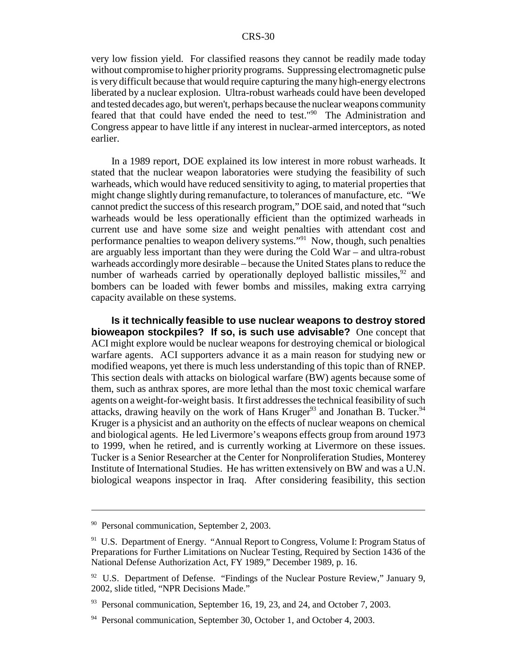very low fission yield. For classified reasons they cannot be readily made today without compromise to higher priority programs. Suppressing electromagnetic pulse is very difficult because that would require capturing the many high-energy electrons liberated by a nuclear explosion. Ultra-robust warheads could have been developed and tested decades ago, but weren't, perhaps because the nuclear weapons community feared that that could have ended the need to test."90 The Administration and Congress appear to have little if any interest in nuclear-armed interceptors, as noted earlier.

In a 1989 report, DOE explained its low interest in more robust warheads. It stated that the nuclear weapon laboratories were studying the feasibility of such warheads, which would have reduced sensitivity to aging, to material properties that might change slightly during remanufacture, to tolerances of manufacture, etc. "We cannot predict the success of this research program," DOE said, and noted that "such warheads would be less operationally efficient than the optimized warheads in current use and have some size and weight penalties with attendant cost and performance penalties to weapon delivery systems."91 Now, though, such penalties are arguably less important than they were during the Cold War – and ultra-robust warheads accordingly more desirable – because the United States plans to reduce the number of warheads carried by operationally deployed ballistic missiles,  $92$  and bombers can be loaded with fewer bombs and missiles, making extra carrying capacity available on these systems.

**Is it technically feasible to use nuclear weapons to destroy stored bioweapon stockpiles? If so, is such use advisable?** One concept that ACI might explore would be nuclear weapons for destroying chemical or biological warfare agents. ACI supporters advance it as a main reason for studying new or modified weapons, yet there is much less understanding of this topic than of RNEP. This section deals with attacks on biological warfare (BW) agents because some of them, such as anthrax spores, are more lethal than the most toxic chemical warfare agents on a weight-for-weight basis. It first addresses the technical feasibility of such attacks, drawing heavily on the work of Hans Kruger<sup>93</sup> and Jonathan B. Tucker.<sup>94</sup> Kruger is a physicist and an authority on the effects of nuclear weapons on chemical and biological agents. He led Livermore's weapons effects group from around 1973 to 1999, when he retired, and is currently working at Livermore on these issues. Tucker is a Senior Researcher at the Center for Nonproliferation Studies, Monterey Institute of International Studies. He has written extensively on BW and was a U.N. biological weapons inspector in Iraq. After considering feasibility, this section

<sup>90</sup> Personal communication, September 2, 2003.

<sup>&</sup>lt;sup>91</sup> U.S. Department of Energy. "Annual Report to Congress, Volume I: Program Status of Preparations for Further Limitations on Nuclear Testing, Required by Section 1436 of the National Defense Authorization Act, FY 1989," December 1989, p. 16.

 $92$  U.S. Department of Defense. "Findings of the Nuclear Posture Review," January 9, 2002, slide titled, "NPR Decisions Made."

<sup>&</sup>lt;sup>93</sup> Personal communication, September 16, 19, 23, and 24, and October 7, 2003.

 $94$  Personal communication, September 30, October 1, and October 4, 2003.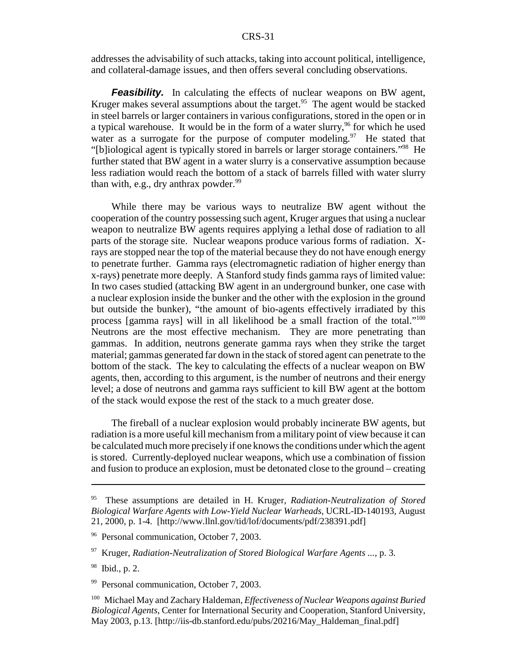addresses the advisability of such attacks, taking into account political, intelligence, and collateral-damage issues, and then offers several concluding observations.

**Feasibility.** In calculating the effects of nuclear weapons on BW agent, Kruger makes several assumptions about the target.<sup>95</sup> The agent would be stacked in steel barrels or larger containers in various configurations, stored in the open or in a typical warehouse. It would be in the form of a water slurry,<sup>96</sup> for which he used water as a surrogate for the purpose of computer modeling.<sup>97</sup> He stated that "[b]iological agent is typically stored in barrels or larger storage containers."98 He further stated that BW agent in a water slurry is a conservative assumption because less radiation would reach the bottom of a stack of barrels filled with water slurry than with, e.g., dry anthrax powder. $99$ 

While there may be various ways to neutralize BW agent without the cooperation of the country possessing such agent, Kruger argues that using a nuclear weapon to neutralize BW agents requires applying a lethal dose of radiation to all parts of the storage site. Nuclear weapons produce various forms of radiation. Xrays are stopped near the top of the material because they do not have enough energy to penetrate further. Gamma rays (electromagnetic radiation of higher energy than x-rays) penetrate more deeply. A Stanford study finds gamma rays of limited value: In two cases studied (attacking BW agent in an underground bunker, one case with a nuclear explosion inside the bunker and the other with the explosion in the ground but outside the bunker), "the amount of bio-agents effectively irradiated by this process [gamma rays] will in all likelihood be a small fraction of the total."<sup>100</sup> Neutrons are the most effective mechanism. They are more penetrating than gammas. In addition, neutrons generate gamma rays when they strike the target material; gammas generated far down in the stack of stored agent can penetrate to the bottom of the stack. The key to calculating the effects of a nuclear weapon on BW agents, then, according to this argument, is the number of neutrons and their energy level; a dose of neutrons and gamma rays sufficient to kill BW agent at the bottom of the stack would expose the rest of the stack to a much greater dose.

The fireball of a nuclear explosion would probably incinerate BW agents, but radiation is a more useful kill mechanism from a military point of view because it can be calculated much more precisely if one knows the conditions under which the agent is stored. Currently-deployed nuclear weapons, which use a combination of fission and fusion to produce an explosion, must be detonated close to the ground – creating

<sup>95</sup> These assumptions are detailed in H. Kruger, *Radiation-Neutralization of Stored Biological Warfare Agents with Low-Yield Nuclear Warheads,* UCRL-ID-140193, August 21, 2000, p. 1-4. [http://www.llnl.gov/tid/lof/documents/pdf/238391.pdf]

<sup>&</sup>lt;sup>96</sup> Personal communication, October 7, 2003.

<sup>97</sup> Kruger, *Radiation-Neutralization of Stored Biological Warfare Agents ...,* p. 3.

<sup>98</sup> Ibid., p. 2.

<sup>&</sup>lt;sup>99</sup> Personal communication, October 7, 2003.

<sup>100</sup> Michael May and Zachary Haldeman, *Effectiveness of Nuclear Weapons against Buried Biological Agents,* Center for International Security and Cooperation, Stanford University, May 2003, p.13. [http://iis-db.stanford.edu/pubs/20216/May\_Haldeman\_final.pdf]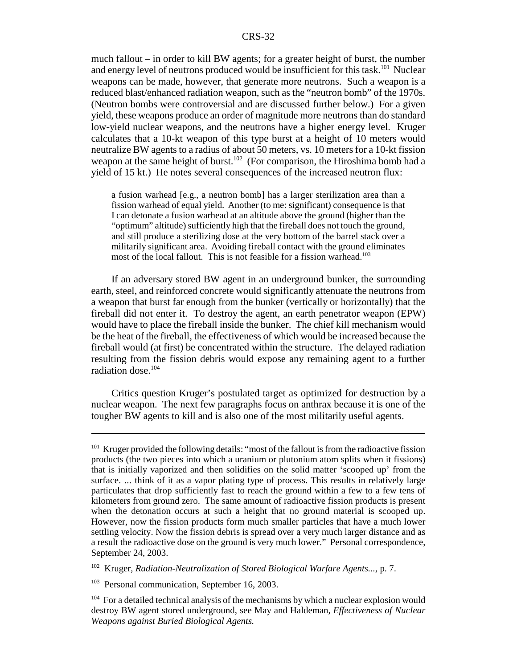much fallout – in order to kill BW agents; for a greater height of burst, the number and energy level of neutrons produced would be insufficient for this task.<sup>101</sup> Nuclear weapons can be made, however, that generate more neutrons. Such a weapon is a reduced blast/enhanced radiation weapon, such as the "neutron bomb" of the 1970s. (Neutron bombs were controversial and are discussed further below.) For a given yield, these weapons produce an order of magnitude more neutrons than do standard low-yield nuclear weapons, and the neutrons have a higher energy level. Kruger calculates that a 10-kt weapon of this type burst at a height of 10 meters would neutralize BW agents to a radius of about 50 meters, vs. 10 meters for a 10-kt fission weapon at the same height of burst.<sup>102</sup> (For comparison, the Hiroshima bomb had a yield of 15 kt.) He notes several consequences of the increased neutron flux:

a fusion warhead [e.g., a neutron bomb] has a larger sterilization area than a fission warhead of equal yield. Another (to me: significant) consequence is that I can detonate a fusion warhead at an altitude above the ground (higher than the "optimum" altitude) sufficiently high that the fireball does not touch the ground, and still produce a sterilizing dose at the very bottom of the barrel stack over a militarily significant area. Avoiding fireball contact with the ground eliminates most of the local fallout. This is not feasible for a fission warhead.<sup>103</sup>

If an adversary stored BW agent in an underground bunker, the surrounding earth, steel, and reinforced concrete would significantly attenuate the neutrons from a weapon that burst far enough from the bunker (vertically or horizontally) that the fireball did not enter it. To destroy the agent, an earth penetrator weapon (EPW) would have to place the fireball inside the bunker. The chief kill mechanism would be the heat of the fireball, the effectiveness of which would be increased because the fireball would (at first) be concentrated within the structure. The delayed radiation resulting from the fission debris would expose any remaining agent to a further radiation dose.<sup>104</sup>

Critics question Kruger's postulated target as optimized for destruction by a nuclear weapon. The next few paragraphs focus on anthrax because it is one of the tougher BW agents to kill and is also one of the most militarily useful agents.

<sup>102</sup> Kruger, *Radiation-Neutralization of Stored Biological Warfare Agents...,* p. 7.

<sup>103</sup> Personal communication, September 16, 2003.

<sup>&</sup>lt;sup>101</sup> Kruger provided the following details: "most of the fallout is from the radioactive fission products (the two pieces into which a uranium or plutonium atom splits when it fissions) that is initially vaporized and then solidifies on the solid matter 'scooped up' from the surface. ... think of it as a vapor plating type of process. This results in relatively large particulates that drop sufficiently fast to reach the ground within a few to a few tens of kilometers from ground zero. The same amount of radioactive fission products is present when the detonation occurs at such a height that no ground material is scooped up. However, now the fission products form much smaller particles that have a much lower settling velocity. Now the fission debris is spread over a very much larger distance and as a result the radioactive dose on the ground is very much lower." Personal correspondence, September 24, 2003.

<sup>&</sup>lt;sup>104</sup> For a detailed technical analysis of the mechanisms by which a nuclear explosion would destroy BW agent stored underground, see May and Haldeman, *Effectiveness of Nuclear Weapons against Buried Biological Agents.*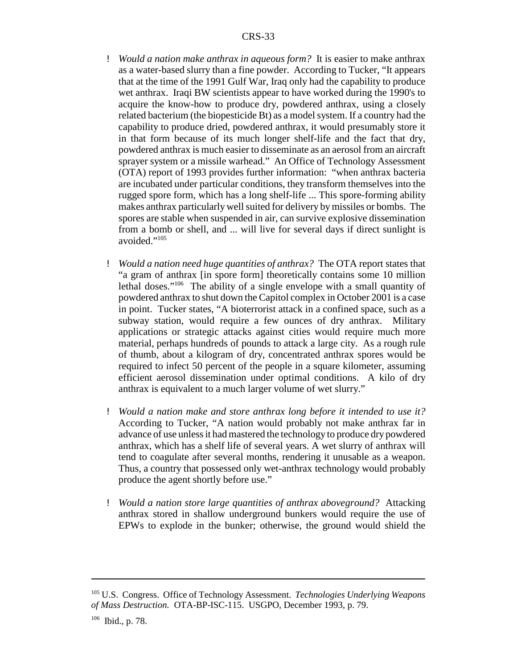- ! *Would a nation make anthrax in aqueous form?* It is easier to make anthrax as a water-based slurry than a fine powder. According to Tucker, "It appears that at the time of the 1991 Gulf War, Iraq only had the capability to produce wet anthrax. Iraqi BW scientists appear to have worked during the 1990's to acquire the know-how to produce dry, powdered anthrax, using a closely related bacterium (the biopesticide Bt) as a model system. If a country had the capability to produce dried, powdered anthrax, it would presumably store it in that form because of its much longer shelf-life and the fact that dry, powdered anthrax is much easier to disseminate as an aerosol from an aircraft sprayer system or a missile warhead." An Office of Technology Assessment (OTA) report of 1993 provides further information: "when anthrax bacteria are incubated under particular conditions, they transform themselves into the rugged spore form, which has a long shelf-life ... This spore-forming ability makes anthrax particularly well suited for delivery by missiles or bombs. The spores are stable when suspended in air, can survive explosive dissemination from a bomb or shell, and ... will live for several days if direct sunlight is avoided."105
- ! *Would a nation need huge quantities of anthrax?* The OTA report states that "a gram of anthrax [in spore form] theoretically contains some 10 million lethal doses."106 The ability of a single envelope with a small quantity of powdered anthrax to shut down the Capitol complex in October 2001 is a case in point. Tucker states, "A bioterrorist attack in a confined space, such as a subway station, would require a few ounces of dry anthrax. Military applications or strategic attacks against cities would require much more material, perhaps hundreds of pounds to attack a large city. As a rough rule of thumb, about a kilogram of dry, concentrated anthrax spores would be required to infect 50 percent of the people in a square kilometer, assuming efficient aerosol dissemination under optimal conditions. A kilo of dry anthrax is equivalent to a much larger volume of wet slurry."
- ! *Would a nation make and store anthrax long before it intended to use it?* According to Tucker, "A nation would probably not make anthrax far in advance of use unless it had mastered the technology to produce dry powdered anthrax, which has a shelf life of several years. A wet slurry of anthrax will tend to coagulate after several months, rendering it unusable as a weapon. Thus, a country that possessed only wet-anthrax technology would probably produce the agent shortly before use."
- ! *Would a nation store large quantities of anthrax aboveground?* Attacking anthrax stored in shallow underground bunkers would require the use of EPWs to explode in the bunker; otherwise, the ground would shield the

<sup>105</sup> U.S. Congress. Office of Technology Assessment. *Technologies Underlying Weapons of Mass Destruction.* OTA-BP-ISC-115. USGPO, December 1993, p. 79.

<sup>106</sup> Ibid., p. 78.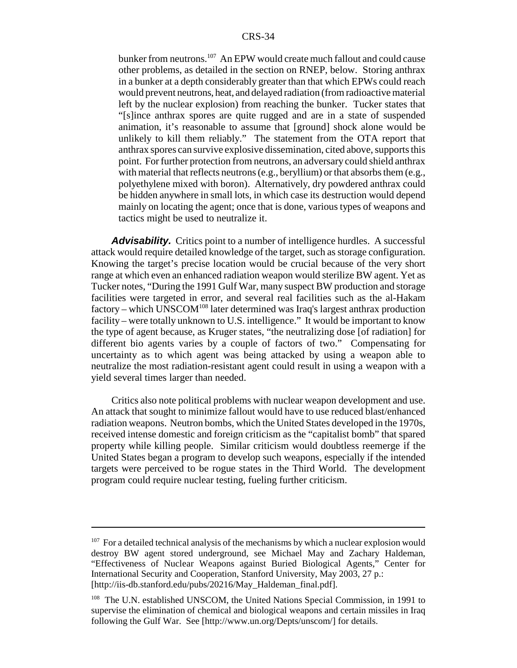bunker from neutrons.<sup>107</sup> An EPW would create much fallout and could cause other problems, as detailed in the section on RNEP, below. Storing anthrax in a bunker at a depth considerably greater than that which EPWs could reach would prevent neutrons, heat, and delayed radiation (from radioactive material left by the nuclear explosion) from reaching the bunker. Tucker states that "[s]ince anthrax spores are quite rugged and are in a state of suspended animation, it's reasonable to assume that [ground] shock alone would be unlikely to kill them reliably." The statement from the OTA report that anthrax spores can survive explosive dissemination, cited above, supports this point. For further protection from neutrons, an adversary could shield anthrax with material that reflects neutrons (e.g., beryllium) or that absorbs them (e.g., polyethylene mixed with boron). Alternatively, dry powdered anthrax could be hidden anywhere in small lots, in which case its destruction would depend mainly on locating the agent; once that is done, various types of weapons and tactics might be used to neutralize it.

Advisability. Critics point to a number of intelligence hurdles. A successful attack would require detailed knowledge of the target, such as storage configuration. Knowing the target's precise location would be crucial because of the very short range at which even an enhanced radiation weapon would sterilize BW agent. Yet as Tucker notes, "During the 1991 Gulf War, many suspect BW production and storage facilities were targeted in error, and several real facilities such as the al-Hakam  $factory$  – which UNSCOM<sup>108</sup> later determined was Iraq's largest anthrax production facility – were totally unknown to U.S. intelligence." It would be important to know the type of agent because, as Kruger states, "the neutralizing dose [of radiation] for different bio agents varies by a couple of factors of two." Compensating for uncertainty as to which agent was being attacked by using a weapon able to neutralize the most radiation-resistant agent could result in using a weapon with a yield several times larger than needed.

Critics also note political problems with nuclear weapon development and use. An attack that sought to minimize fallout would have to use reduced blast/enhanced radiation weapons. Neutron bombs, which the United States developed in the 1970s, received intense domestic and foreign criticism as the "capitalist bomb" that spared property while killing people. Similar criticism would doubtless reemerge if the United States began a program to develop such weapons, especially if the intended targets were perceived to be rogue states in the Third World. The development program could require nuclear testing, fueling further criticism.

 $107$  For a detailed technical analysis of the mechanisms by which a nuclear explosion would destroy BW agent stored underground, see Michael May and Zachary Haldeman, "Effectiveness of Nuclear Weapons against Buried Biological Agents," Center for International Security and Cooperation, Stanford University, May 2003, 27 p.: [http://iis-db.stanford.edu/pubs/20216/May\_Haldeman\_final.pdf].

<sup>108</sup> The U.N. established UNSCOM, the United Nations Special Commission, in 1991 to supervise the elimination of chemical and biological weapons and certain missiles in Iraq following the Gulf War. See [http://www.un.org/Depts/unscom/] for details.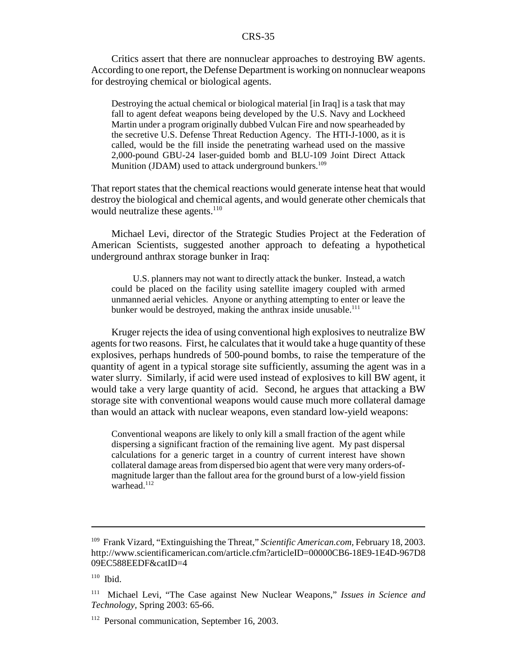Critics assert that there are nonnuclear approaches to destroying BW agents. According to one report, the Defense Department is working on nonnuclear weapons for destroying chemical or biological agents.

Destroying the actual chemical or biological material [in Iraq] is a task that may fall to agent defeat weapons being developed by the U.S. Navy and Lockheed Martin under a program originally dubbed Vulcan Fire and now spearheaded by the secretive U.S. Defense Threat Reduction Agency. The HTI-J-1000, as it is called, would be the fill inside the penetrating warhead used on the massive 2,000-pound GBU-24 laser-guided bomb and BLU-109 Joint Direct Attack Munition (JDAM) used to attack underground bunkers.<sup>109</sup>

That report states that the chemical reactions would generate intense heat that would destroy the biological and chemical agents, and would generate other chemicals that would neutralize these agents.<sup>110</sup>

Michael Levi, director of the Strategic Studies Project at the Federation of American Scientists, suggested another approach to defeating a hypothetical underground anthrax storage bunker in Iraq:

U.S. planners may not want to directly attack the bunker. Instead, a watch could be placed on the facility using satellite imagery coupled with armed unmanned aerial vehicles. Anyone or anything attempting to enter or leave the bunker would be destroyed, making the anthrax inside unusable.<sup>111</sup>

Kruger rejects the idea of using conventional high explosives to neutralize BW agents for two reasons. First, he calculates that it would take a huge quantity of these explosives, perhaps hundreds of 500-pound bombs, to raise the temperature of the quantity of agent in a typical storage site sufficiently, assuming the agent was in a water slurry. Similarly, if acid were used instead of explosives to kill BW agent, it would take a very large quantity of acid. Second, he argues that attacking a BW storage site with conventional weapons would cause much more collateral damage than would an attack with nuclear weapons, even standard low-yield weapons:

Conventional weapons are likely to only kill a small fraction of the agent while dispersing a significant fraction of the remaining live agent. My past dispersal calculations for a generic target in a country of current interest have shown collateral damage areas from dispersed bio agent that were very many orders-ofmagnitude larger than the fallout area for the ground burst of a low-yield fission warhead.<sup>112</sup>

<sup>109</sup> Frank Vizard, "Extinguishing the Threat," *Scientific American.com,* February 18, 2003. http://www.scientificamerican.com/article.cfm?articleID=00000CB6-18E9-1E4D-967D8 09EC588EEDF&catID=4

<sup>110</sup> Ibid.

<sup>111</sup> Michael Levi, "The Case against New Nuclear Weapons," *Issues in Science and Technology,* Spring 2003: 65-66.

<sup>&</sup>lt;sup>112</sup> Personal communication, September 16, 2003.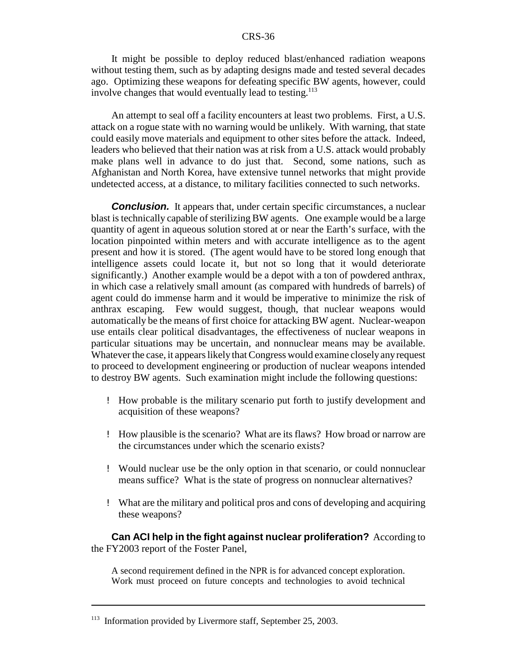It might be possible to deploy reduced blast/enhanced radiation weapons without testing them, such as by adapting designs made and tested several decades ago. Optimizing these weapons for defeating specific BW agents, however, could involve changes that would eventually lead to testing.<sup>113</sup>

An attempt to seal off a facility encounters at least two problems. First, a U.S. attack on a rogue state with no warning would be unlikely. With warning, that state could easily move materials and equipment to other sites before the attack. Indeed, leaders who believed that their nation was at risk from a U.S. attack would probably make plans well in advance to do just that. Second, some nations, such as Afghanistan and North Korea, have extensive tunnel networks that might provide undetected access, at a distance, to military facilities connected to such networks.

**Conclusion.** It appears that, under certain specific circumstances, a nuclear blast is technically capable of sterilizing BW agents. One example would be a large quantity of agent in aqueous solution stored at or near the Earth's surface, with the location pinpointed within meters and with accurate intelligence as to the agent present and how it is stored. (The agent would have to be stored long enough that intelligence assets could locate it, but not so long that it would deteriorate significantly.) Another example would be a depot with a ton of powdered anthrax, in which case a relatively small amount (as compared with hundreds of barrels) of agent could do immense harm and it would be imperative to minimize the risk of anthrax escaping. Few would suggest, though, that nuclear weapons would automatically be the means of first choice for attacking BW agent. Nuclear-weapon use entails clear political disadvantages, the effectiveness of nuclear weapons in particular situations may be uncertain, and nonnuclear means may be available. Whatever the case, it appears likely that Congress would examine closelyanyrequest to proceed to development engineering or production of nuclear weapons intended to destroy BW agents. Such examination might include the following questions:

- ! How probable is the military scenario put forth to justify development and acquisition of these weapons?
- ! How plausible is the scenario? What are its flaws? How broad or narrow are the circumstances under which the scenario exists?
- ! Would nuclear use be the only option in that scenario, or could nonnuclear means suffice? What is the state of progress on nonnuclear alternatives?
- ! What are the military and political pros and cons of developing and acquiring these weapons?

**Can ACI help in the fight against nuclear proliferation?** According to the FY2003 report of the Foster Panel,

A second requirement defined in the NPR is for advanced concept exploration. Work must proceed on future concepts and technologies to avoid technical

<sup>&</sup>lt;sup>113</sup> Information provided by Livermore staff, September 25, 2003.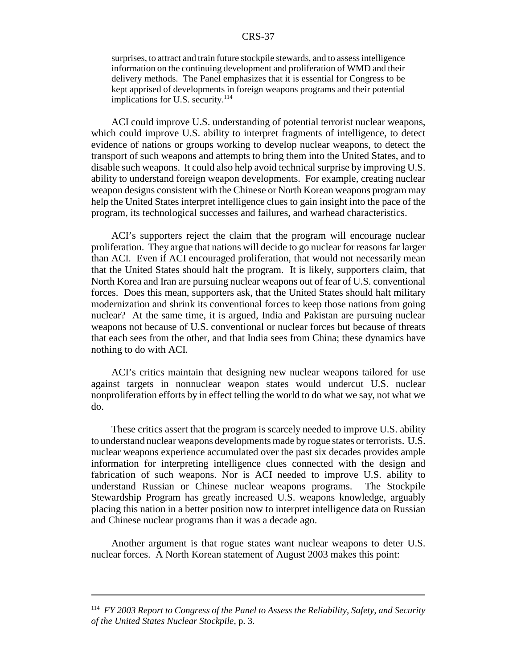surprises, to attract and train future stockpile stewards, and to assess intelligence information on the continuing development and proliferation of WMD and their delivery methods. The Panel emphasizes that it is essential for Congress to be kept apprised of developments in foreign weapons programs and their potential implications for U.S. security. $114$ 

ACI could improve U.S. understanding of potential terrorist nuclear weapons, which could improve U.S. ability to interpret fragments of intelligence, to detect evidence of nations or groups working to develop nuclear weapons, to detect the transport of such weapons and attempts to bring them into the United States, and to disable such weapons. It could also help avoid technical surprise by improving U.S. ability to understand foreign weapon developments. For example, creating nuclear weapon designs consistent with the Chinese or North Korean weapons program may help the United States interpret intelligence clues to gain insight into the pace of the program, its technological successes and failures, and warhead characteristics.

ACI's supporters reject the claim that the program will encourage nuclear proliferation. They argue that nations will decide to go nuclear for reasons far larger than ACI. Even if ACI encouraged proliferation, that would not necessarily mean that the United States should halt the program. It is likely, supporters claim, that North Korea and Iran are pursuing nuclear weapons out of fear of U.S. conventional forces. Does this mean, supporters ask, that the United States should halt military modernization and shrink its conventional forces to keep those nations from going nuclear? At the same time, it is argued, India and Pakistan are pursuing nuclear weapons not because of U.S. conventional or nuclear forces but because of threats that each sees from the other, and that India sees from China; these dynamics have nothing to do with ACI.

ACI's critics maintain that designing new nuclear weapons tailored for use against targets in nonnuclear weapon states would undercut U.S. nuclear nonproliferation efforts by in effect telling the world to do what we say, not what we do.

These critics assert that the program is scarcely needed to improve U.S. ability to understand nuclear weapons developments made by rogue states or terrorists. U.S. nuclear weapons experience accumulated over the past six decades provides ample information for interpreting intelligence clues connected with the design and fabrication of such weapons. Nor is ACI needed to improve U.S. ability to understand Russian or Chinese nuclear weapons programs. The Stockpile Stewardship Program has greatly increased U.S. weapons knowledge, arguably placing this nation in a better position now to interpret intelligence data on Russian and Chinese nuclear programs than it was a decade ago.

Another argument is that rogue states want nuclear weapons to deter U.S. nuclear forces. A North Korean statement of August 2003 makes this point:

<sup>114</sup> *FY 2003 Report to Congress of the Panel to Assess the Reliability, Safety, and Security of the United States Nuclear Stockpile,* p. 3.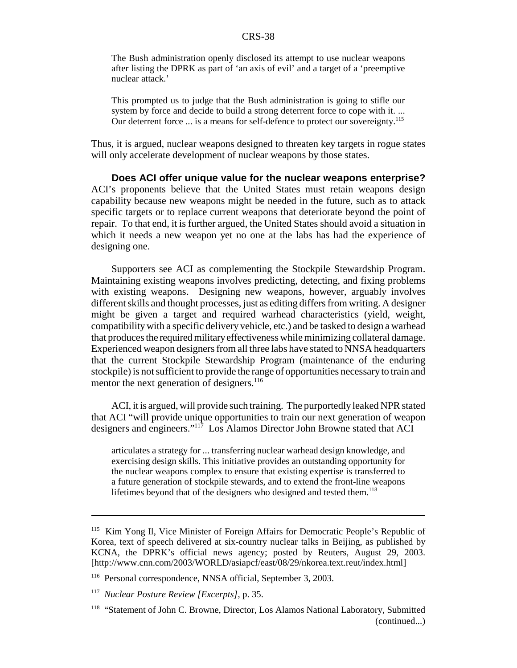The Bush administration openly disclosed its attempt to use nuclear weapons after listing the DPRK as part of 'an axis of evil' and a target of a 'preemptive nuclear attack.'

This prompted us to judge that the Bush administration is going to stifle our system by force and decide to build a strong deterrent force to cope with it. ... Our deterrent force ... is a means for self-defence to protect our sovereignty.<sup>115</sup>

Thus, it is argued, nuclear weapons designed to threaten key targets in rogue states will only accelerate development of nuclear weapons by those states.

**Does ACI offer unique value for the nuclear weapons enterprise?** ACI's proponents believe that the United States must retain weapons design capability because new weapons might be needed in the future, such as to attack specific targets or to replace current weapons that deteriorate beyond the point of repair. To that end, it is further argued, the United States should avoid a situation in which it needs a new weapon yet no one at the labs has had the experience of designing one.

Supporters see ACI as complementing the Stockpile Stewardship Program. Maintaining existing weapons involves predicting, detecting, and fixing problems with existing weapons. Designing new weapons, however, arguably involves different skills and thought processes, just as editing differs from writing. A designer might be given a target and required warhead characteristics (yield, weight, compatibility with a specific delivery vehicle, etc.) and be tasked to design a warhead that produces the required militaryeffectiveness while minimizing collateral damage. Experienced weapon designers from all three labs have stated to NNSA headquarters that the current Stockpile Stewardship Program (maintenance of the enduring stockpile) is not sufficient to provide the range of opportunities necessary to train and mentor the next generation of designers.<sup>116</sup>

ACI, it is argued, will provide such training. The purportedly leaked NPR stated that ACI "will provide unique opportunities to train our next generation of weapon designers and engineers."117 Los Alamos Director John Browne stated that ACI

articulates a strategy for ... transferring nuclear warhead design knowledge, and exercising design skills. This initiative provides an outstanding opportunity for the nuclear weapons complex to ensure that existing expertise is transferred to a future generation of stockpile stewards, and to extend the front-line weapons lifetimes beyond that of the designers who designed and tested them.<sup>118</sup>

<sup>115</sup> Kim Yong Il, Vice Minister of Foreign Affairs for Democratic People's Republic of Korea, text of speech delivered at six-country nuclear talks in Beijing, as published by KCNA, the DPRK's official news agency; posted by Reuters, August 29, 2003. [http://www.cnn.com/2003/WORLD/asiapcf/east/08/29/nkorea.text.reut/index.html]

<sup>116</sup> Personal correspondence, NNSA official, September 3, 2003.

<sup>117</sup> *Nuclear Posture Review [Excerpts],* p. 35.

<sup>&</sup>lt;sup>118</sup> "Statement of John C. Browne, Director, Los Alamos National Laboratory, Submitted (continued...)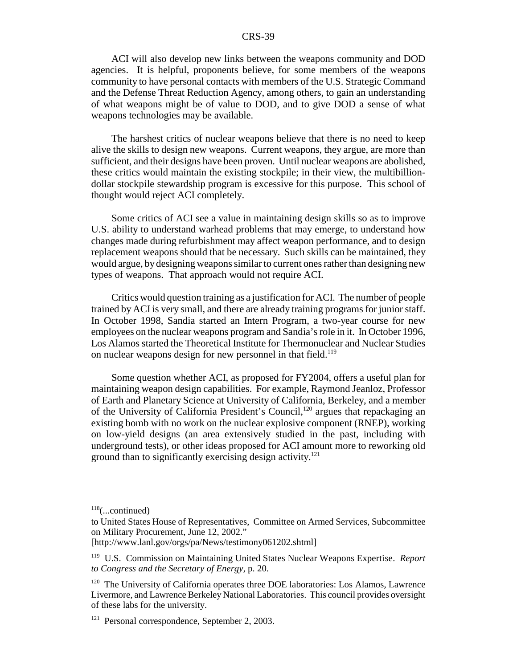ACI will also develop new links between the weapons community and DOD agencies. It is helpful, proponents believe, for some members of the weapons community to have personal contacts with members of the U.S. Strategic Command and the Defense Threat Reduction Agency, among others, to gain an understanding of what weapons might be of value to DOD, and to give DOD a sense of what weapons technologies may be available.

The harshest critics of nuclear weapons believe that there is no need to keep alive the skills to design new weapons. Current weapons, they argue, are more than sufficient, and their designs have been proven. Until nuclear weapons are abolished, these critics would maintain the existing stockpile; in their view, the multibilliondollar stockpile stewardship program is excessive for this purpose. This school of thought would reject ACI completely.

Some critics of ACI see a value in maintaining design skills so as to improve U.S. ability to understand warhead problems that may emerge, to understand how changes made during refurbishment may affect weapon performance, and to design replacement weapons should that be necessary. Such skills can be maintained, they would argue, by designing weapons similar to current ones rather than designing new types of weapons. That approach would not require ACI.

Critics would question training as a justification for ACI. The number of people trained by ACI is very small, and there are already training programs for junior staff. In October 1998, Sandia started an Intern Program, a two-year course for new employees on the nuclear weapons program and Sandia's role in it. In October 1996, Los Alamos started the Theoretical Institute for Thermonuclear and Nuclear Studies on nuclear weapons design for new personnel in that field.<sup>119</sup>

Some question whether ACI, as proposed for FY2004, offers a useful plan for maintaining weapon design capabilities. For example, Raymond Jeanloz, Professor of Earth and Planetary Science at University of California, Berkeley, and a member of the University of California President's Council,<sup>120</sup> argues that repackaging an existing bomb with no work on the nuclear explosive component (RNEP), working on low-yield designs (an area extensively studied in the past, including with underground tests), or other ideas proposed for ACI amount more to reworking old ground than to significantly exercising design activity.<sup>121</sup>

 $118$ (...continued)

to United States House of Representatives, Committee on Armed Services, Subcommittee on Military Procurement, June 12, 2002."

<sup>[</sup>http://www.lanl.gov/orgs/pa/News/testimony061202.shtml]

<sup>119</sup> U.S. Commission on Maintaining United States Nuclear Weapons Expertise. *Report to Congress and the Secretary of Energy,* p. 20.

<sup>120</sup> The University of California operates three DOE laboratories: Los Alamos, Lawrence Livermore, and Lawrence Berkeley National Laboratories. This council provides oversight of these labs for the university.

<sup>&</sup>lt;sup>121</sup> Personal correspondence, September 2, 2003.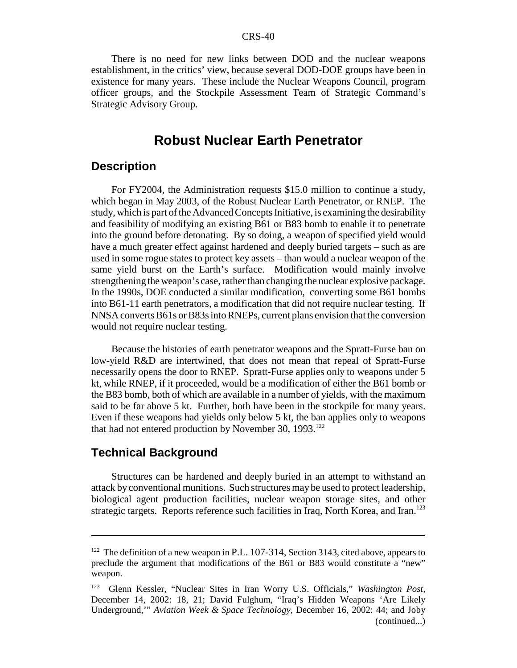There is no need for new links between DOD and the nuclear weapons establishment, in the critics' view, because several DOD-DOE groups have been in existence for many years. These include the Nuclear Weapons Council, program officer groups, and the Stockpile Assessment Team of Strategic Command's Strategic Advisory Group.

## **Robust Nuclear Earth Penetrator**

#### **Description**

For FY2004, the Administration requests \$15.0 million to continue a study, which began in May 2003, of the Robust Nuclear Earth Penetrator, or RNEP. The study, which is part of the Advanced Concepts Initiative, is examining the desirability and feasibility of modifying an existing B61 or B83 bomb to enable it to penetrate into the ground before detonating. By so doing, a weapon of specified yield would have a much greater effect against hardened and deeply buried targets – such as are used in some rogue states to protect key assets – than would a nuclear weapon of the same yield burst on the Earth's surface. Modification would mainly involve strengthening the weapon's case, rather than changing the nuclear explosive package. In the 1990s, DOE conducted a similar modification, converting some B61 bombs into B61-11 earth penetrators, a modification that did not require nuclear testing. If NNSA converts B61s or B83s into RNEPs, current plans envision that the conversion would not require nuclear testing.

Because the histories of earth penetrator weapons and the Spratt-Furse ban on low-yield R&D are intertwined, that does not mean that repeal of Spratt-Furse necessarily opens the door to RNEP. Spratt-Furse applies only to weapons under 5 kt, while RNEP, if it proceeded, would be a modification of either the B61 bomb or the B83 bomb, both of which are available in a number of yields, with the maximum said to be far above 5 kt. Further, both have been in the stockpile for many years. Even if these weapons had yields only below 5 kt, the ban applies only to weapons that had not entered production by November 30,  $1993$ <sup>122</sup>

#### **Technical Background**

Structures can be hardened and deeply buried in an attempt to withstand an attack by conventional munitions. Such structures may be used to protect leadership, biological agent production facilities, nuclear weapon storage sites, and other strategic targets. Reports reference such facilities in Iraq, North Korea, and Iran.<sup>123</sup>

 $122$  The definition of a new weapon in P.L. 107-314, Section 3143, cited above, appears to preclude the argument that modifications of the B61 or B83 would constitute a "new" weapon.

<sup>123</sup> Glenn Kessler, "Nuclear Sites in Iran Worry U.S. Officials," *Washington Post,* December 14, 2002: 18, 21; David Fulghum, "Iraq's Hidden Weapons 'Are Likely Underground,'" *Aviation Week & Space Technology,* December 16, 2002: 44; and Joby (continued...)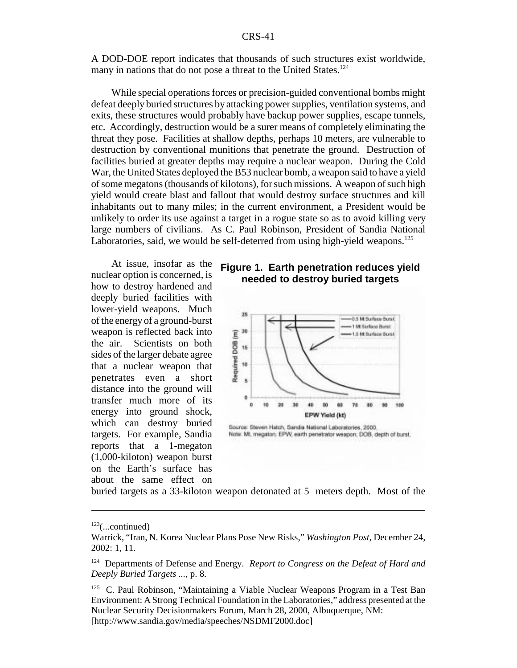A DOD-DOE report indicates that thousands of such structures exist worldwide, many in nations that do not pose a threat to the United States.<sup>124</sup>

While special operations forces or precision-guided conventional bombs might defeat deeply buried structures by attacking power supplies, ventilation systems, and exits, these structures would probably have backup power supplies, escape tunnels, etc. Accordingly, destruction would be a surer means of completely eliminating the threat they pose. Facilities at shallow depths, perhaps 10 meters, are vulnerable to destruction by conventional munitions that penetrate the ground. Destruction of facilities buried at greater depths may require a nuclear weapon. During the Cold War, the United States deployed the B53 nuclear bomb, a weapon said to have a yield of some megatons (thousands of kilotons), for such missions. A weapon of such high yield would create blast and fallout that would destroy surface structures and kill inhabitants out to many miles; in the current environment, a President would be unlikely to order its use against a target in a rogue state so as to avoid killing very large numbers of civilians. As C. Paul Robinson, President of Sandia National Laboratories, said, we would be self-deterred from using high-yield weapons.<sup>125</sup>

At issue, insofar as the nuclear option is concerned, is how to destroy hardened and deeply buried facilities with lower-yield weapons. Much of the energy of a ground-burst weapon is reflected back into the air. Scientists on both sides of the larger debate agree that a nuclear weapon that penetrates even a short distance into the ground will transfer much more of its energy into ground shock, which can destroy buried targets. For example, Sandia reports that a 1-megaton (1,000-kiloton) weapon burst on the Earth's surface has about the same effect on





Source: Steven Hatch, Sandia National Laboratories, 2000. Note: Mt. megaton; EPW, earth penetrator weapon; DOB, depth of burst.

buried targets as a 33-kiloton weapon detonated at 5 meters depth. Most of the

 $123$ (...continued)

Warrick, "Iran, N. Korea Nuclear Plans Pose New Risks," *Washington Post,* December 24, 2002: 1, 11.

<sup>124</sup> Departments of Defense and Energy. *Report to Congress on the Defeat of Hard and Deeply Buried Targets ...*, p. 8.

 $125$  C. Paul Robinson, "Maintaining a Viable Nuclear Weapons Program in a Test Ban Environment: A Strong Technical Foundation in the Laboratories," address presented at the Nuclear Security Decisionmakers Forum, March 28, 2000, Albuquerque, NM: [http://www.sandia.gov/media/speeches/NSDMF2000.doc]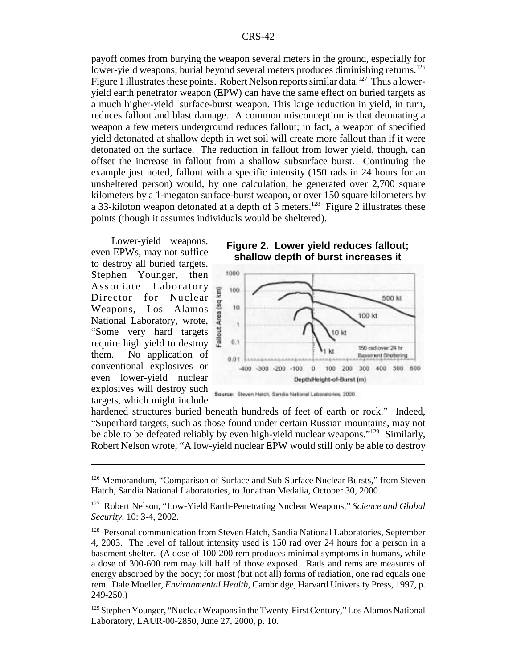payoff comes from burying the weapon several meters in the ground, especially for lower-yield weapons; burial beyond several meters produces diminishing returns.<sup>126</sup> Figure 1 illustrates these points. Robert Nelson reports similar data.<sup>127</sup> Thus a loweryield earth penetrator weapon (EPW) can have the same effect on buried targets as a much higher-yield surface-burst weapon. This large reduction in yield, in turn, reduces fallout and blast damage. A common misconception is that detonating a weapon a few meters underground reduces fallout; in fact, a weapon of specified yield detonated at shallow depth in wet soil will create more fallout than if it were detonated on the surface. The reduction in fallout from lower yield, though, can offset the increase in fallout from a shallow subsurface burst. Continuing the example just noted, fallout with a specific intensity (150 rads in 24 hours for an unsheltered person) would, by one calculation, be generated over 2,700 square kilometers by a 1-megaton surface-burst weapon, or over 150 square kilometers by a 33-kiloton weapon detonated at a depth of 5 meters.<sup>128</sup> Figure 2 illustrates these points (though it assumes individuals would be sheltered).

Lower-yield weapons, even EPWs, may not suffice to destroy all buried targets. Stephen Younger, then Associate Laboratory Director for Nuclear Weapons, Los Alamos National Laboratory, wrote, "Some very hard targets require high yield to destroy them. No application of conventional explosives or even lower-yield nuclear explosives will destroy such targets, which might include





Source: Steven Hatch, Sandia National Laboratories, 2000.

hardened structures buried beneath hundreds of feet of earth or rock." Indeed, "Superhard targets, such as those found under certain Russian mountains, may not be able to be defeated reliably by even high-yield nuclear weapons."<sup>129</sup> Similarly, Robert Nelson wrote, "A low-yield nuclear EPW would still only be able to destroy

<sup>&</sup>lt;sup>126</sup> Memorandum, "Comparison of Surface and Sub-Surface Nuclear Bursts," from Steven Hatch, Sandia National Laboratories, to Jonathan Medalia, October 30, 2000.

<sup>127</sup> Robert Nelson, "Low-Yield Earth-Penetrating Nuclear Weapons," *Science and Global Security,* 10: 3-4, 2002.

<sup>&</sup>lt;sup>128</sup> Personal communication from Steven Hatch, Sandia National Laboratories, September 4, 2003. The level of fallout intensity used is 150 rad over 24 hours for a person in a basement shelter. (A dose of 100-200 rem produces minimal symptoms in humans, while a dose of 300-600 rem may kill half of those exposed. Rads and rems are measures of energy absorbed by the body; for most (but not all) forms of radiation, one rad equals one rem. Dale Moeller, *Environmental Health,* Cambridge, Harvard University Press, 1997, p. 249-250.)

<sup>129</sup> Stephen Younger, "Nuclear Weapons in the Twenty-First Century," Los Alamos National Laboratory, LAUR-00-2850, June 27, 2000, p. 10.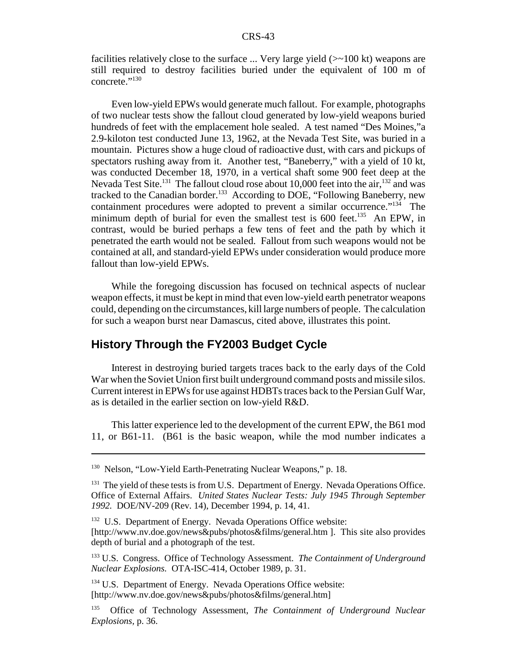facilities relatively close to the surface ... Very large yield  $(\geq 100 \text{ kt})$  weapons are still required to destroy facilities buried under the equivalent of 100 m of concrete."130

Even low-yield EPWs would generate much fallout. For example, photographs of two nuclear tests show the fallout cloud generated by low-yield weapons buried hundreds of feet with the emplacement hole sealed. A test named "Des Moines,"a 2.9-kiloton test conducted June 13, 1962, at the Nevada Test Site, was buried in a mountain. Pictures show a huge cloud of radioactive dust, with cars and pickups of spectators rushing away from it. Another test, "Baneberry," with a yield of 10 kt, was conducted December 18, 1970, in a vertical shaft some 900 feet deep at the Nevada Test Site.<sup>131</sup> The fallout cloud rose about 10,000 feet into the air, <sup>132</sup> and was tracked to the Canadian border.<sup>133</sup> According to DOE, "Following Baneberry, new containment procedures were adopted to prevent a similar occurrence." $134$  The minimum depth of burial for even the smallest test is  $600$  feet.<sup>135</sup> An EPW, in contrast, would be buried perhaps a few tens of feet and the path by which it penetrated the earth would not be sealed. Fallout from such weapons would not be contained at all, and standard-yield EPWs under consideration would produce more fallout than low-yield EPWs.

While the foregoing discussion has focused on technical aspects of nuclear weapon effects, it must be kept in mind that even low-yield earth penetrator weapons could, depending on the circumstances, kill large numbers of people. The calculation for such a weapon burst near Damascus, cited above, illustrates this point.

## **History Through the FY2003 Budget Cycle**

Interest in destroying buried targets traces back to the early days of the Cold War when the Soviet Union first built underground command posts and missile silos. Current interest in EPWs for use against HDBTs traces back to the Persian Gulf War, as is detailed in the earlier section on low-yield R&D.

This latter experience led to the development of the current EPW, the B61 mod 11, or B61-11. (B61 is the basic weapon, while the mod number indicates a

<sup>&</sup>lt;sup>130</sup> Nelson, "Low-Yield Earth-Penetrating Nuclear Weapons," p. 18.

<sup>&</sup>lt;sup>131</sup> The yield of these tests is from U.S. Department of Energy. Nevada Operations Office. Office of External Affairs. *United States Nuclear Tests: July 1945 Through September 1992.* DOE/NV-209 (Rev. 14), December 1994, p. 14, 41.

<sup>&</sup>lt;sup>132</sup> U.S. Department of Energy. Nevada Operations Office website: [http://www.nv.doe.gov/news&pubs/photos&films/general.htm ]. This site also provides depth of burial and a photograph of the test.

<sup>133</sup> U.S. Congress. Office of Technology Assessment. *The Containment of Underground Nuclear Explosions.* OTA-ISC-414, October 1989, p. 31.

<sup>&</sup>lt;sup>134</sup> U.S. Department of Energy. Nevada Operations Office website: [http://www.nv.doe.gov/news&pubs/photos&films/general.htm]

<sup>135</sup> Office of Technology Assessment, *The Containment of Underground Nuclear Explosions,* p. 36.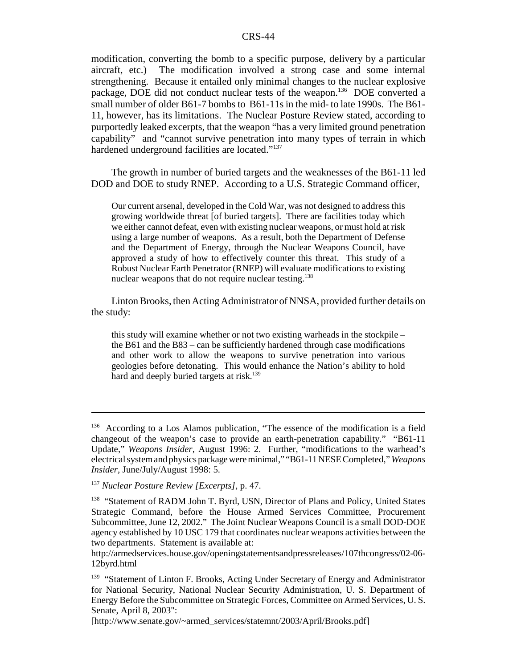modification, converting the bomb to a specific purpose, delivery by a particular aircraft, etc.) The modification involved a strong case and some internal strengthening. Because it entailed only minimal changes to the nuclear explosive package, DOE did not conduct nuclear tests of the weapon.<sup>136</sup> DOE converted a small number of older B61-7 bombs to B61-11s in the mid- to late 1990s. The B61- 11, however, has its limitations. The Nuclear Posture Review stated, according to purportedly leaked excerpts, that the weapon "has a very limited ground penetration capability" and "cannot survive penetration into many types of terrain in which hardened underground facilities are located."<sup>137</sup>

The growth in number of buried targets and the weaknesses of the B61-11 led DOD and DOE to study RNEP. According to a U.S. Strategic Command officer,

Our current arsenal, developed in the Cold War, was not designed to address this growing worldwide threat [of buried targets]. There are facilities today which we either cannot defeat, even with existing nuclear weapons, or must hold at risk using a large number of weapons. As a result, both the Department of Defense and the Department of Energy, through the Nuclear Weapons Council, have approved a study of how to effectively counter this threat. This study of a Robust Nuclear Earth Penetrator (RNEP) will evaluate modifications to existing nuclear weapons that do not require nuclear testing.<sup>138</sup>

Linton Brooks, then Acting Administrator of NNSA, provided further details on the study:

this study will examine whether or not two existing warheads in the stockpile – the B61 and the B83 – can be sufficiently hardened through case modifications and other work to allow the weapons to survive penetration into various geologies before detonating. This would enhance the Nation's ability to hold hard and deeply buried targets at risk.<sup>139</sup>

<sup>&</sup>lt;sup>136</sup> According to a Los Alamos publication, "The essence of the modification is a field changeout of the weapon's case to provide an earth-penetration capability." "B61-11 Update," *Weapons Insider,* August 1996: 2. Further, "modifications to the warhead's electrical systemand physics package were minimal," "B61-11 NESE Completed," *Weapons Insider,* June/July/August 1998: 5.

<sup>137</sup> *Nuclear Posture Review [Excerpts],* p. 47.

<sup>&</sup>lt;sup>138</sup> "Statement of RADM John T. Byrd, USN, Director of Plans and Policy, United States Strategic Command, before the House Armed Services Committee, Procurement Subcommittee, June 12, 2002." The Joint Nuclear Weapons Council is a small DOD-DOE agency established by 10 USC 179 that coordinates nuclear weapons activities between the two departments. Statement is available at:

http://armedservices.house.gov/openingstatementsandpressreleases/107thcongress/02-06- 12byrd.html

<sup>&</sup>lt;sup>139</sup> "Statement of Linton F. Brooks, Acting Under Secretary of Energy and Administrator for National Security, National Nuclear Security Administration, U. S. Department of Energy Before the Subcommittee on Strategic Forces, Committee on Armed Services, U. S. Senate, April 8, 2003":

<sup>[</sup>http://www.senate.gov/~armed\_services/statemnt/2003/April/Brooks.pdf]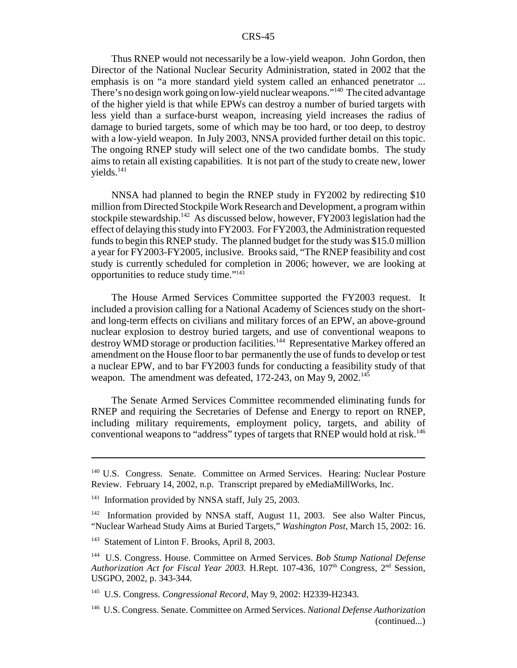Thus RNEP would not necessarily be a low-yield weapon. John Gordon, then Director of the National Nuclear Security Administration, stated in 2002 that the emphasis is on "a more standard yield system called an enhanced penetrator ... There's no design work going on low-yield nuclear weapons."140 The cited advantage of the higher yield is that while EPWs can destroy a number of buried targets with less yield than a surface-burst weapon, increasing yield increases the radius of damage to buried targets, some of which may be too hard, or too deep, to destroy with a low-yield weapon. In July 2003, NNSA provided further detail on this topic. The ongoing RNEP study will select one of the two candidate bombs. The study aims to retain all existing capabilities. It is not part of the study to create new, lower  $yields.<sup>141</sup>$ 

NNSA had planned to begin the RNEP study in FY2002 by redirecting \$10 million from Directed Stockpile Work Research and Development, a program within stockpile stewardship.<sup>142</sup> As discussed below, however, FY2003 legislation had the effect of delaying this study into FY2003. For FY2003, the Administration requested funds to begin this RNEP study. The planned budget for the study was \$15.0 million a year for FY2003-FY2005, inclusive. Brooks said, "The RNEP feasibility and cost study is currently scheduled for completion in 2006; however, we are looking at opportunities to reduce study time."143

The House Armed Services Committee supported the FY2003 request. It included a provision calling for a National Academy of Sciences study on the shortand long-term effects on civilians and military forces of an EPW, an above-ground nuclear explosion to destroy buried targets, and use of conventional weapons to destroy WMD storage or production facilities.<sup>144</sup> Representative Markey offered an amendment on the House floor to bar permanently the use of funds to develop or test a nuclear EPW, and to bar FY2003 funds for conducting a feasibility study of that weapon. The amendment was defeated,  $172-243$ , on May 9,  $2002$ <sup>145</sup>

The Senate Armed Services Committee recommended eliminating funds for RNEP and requiring the Secretaries of Defense and Energy to report on RNEP, including military requirements, employment policy, targets, and ability of conventional weapons to "address" types of targets that RNEP would hold at risk.<sup>146</sup>

<sup>&</sup>lt;sup>140</sup> U.S. Congress. Senate. Committee on Armed Services. Hearing: Nuclear Posture Review. February 14, 2002, n.p. Transcript prepared by eMediaMillWorks, Inc.

<sup>&</sup>lt;sup>141</sup> Information provided by NNSA staff, July 25, 2003.

<sup>&</sup>lt;sup>142</sup> Information provided by NNSA staff, August 11, 2003. See also Walter Pincus, "Nuclear Warhead Study Aims at Buried Targets," *Washington Post,* March 15, 2002: 16.

<sup>&</sup>lt;sup>143</sup> Statement of Linton F. Brooks, April 8, 2003.

<sup>144</sup> U.S. Congress. House. Committee on Armed Services. *Bob Stump National Defense Authorization Act for Fiscal Year 2003.* H.Rept. 107-436, 107<sup>th</sup> Congress, 2<sup>nd</sup> Session, USGPO, 2002, p. 343-344.

<sup>145</sup> U.S. Congress. *Congressional Record,* May 9, 2002: H2339-H2343.

<sup>146</sup> U.S. Congress. Senate. Committee on Armed Services. *National Defense Authorization* (continued...)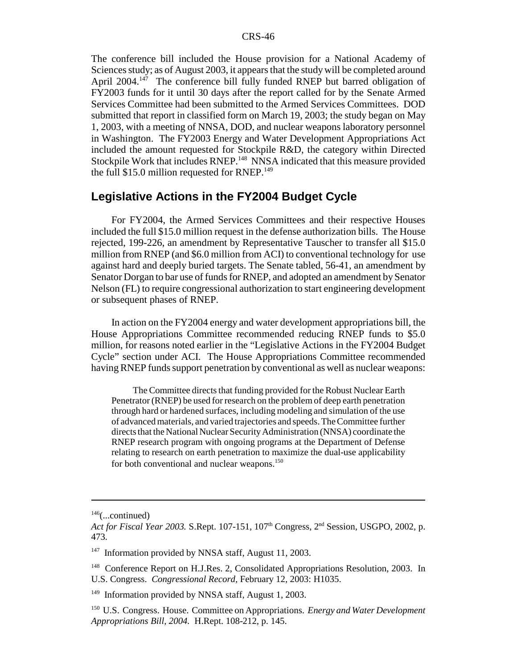The conference bill included the House provision for a National Academy of Sciences study; as of August 2003, it appears that the study will be completed around April  $2004$ <sup>147</sup> The conference bill fully funded RNEP but barred obligation of FY2003 funds for it until 30 days after the report called for by the Senate Armed Services Committee had been submitted to the Armed Services Committees. DOD submitted that report in classified form on March 19, 2003; the study began on May 1, 2003, with a meeting of NNSA, DOD, and nuclear weapons laboratory personnel in Washington. The FY2003 Energy and Water Development Appropriations Act included the amount requested for Stockpile R&D, the category within Directed Stockpile Work that includes RNEP.<sup>148</sup> NNSA indicated that this measure provided the full  $$15.0$  million requested for RNEP.<sup>149</sup>

#### **Legislative Actions in the FY2004 Budget Cycle**

For FY2004, the Armed Services Committees and their respective Houses included the full \$15.0 million request in the defense authorization bills. The House rejected, 199-226, an amendment by Representative Tauscher to transfer all \$15.0 million from RNEP (and \$6.0 million from ACI) to conventional technology for use against hard and deeply buried targets. The Senate tabled, 56-41, an amendment by Senator Dorgan to bar use of funds for RNEP, and adopted an amendment by Senator Nelson (FL) to require congressional authorization to start engineering development or subsequent phases of RNEP.

In action on the FY2004 energy and water development appropriations bill, the House Appropriations Committee recommended reducing RNEP funds to \$5.0 million, for reasons noted earlier in the "Legislative Actions in the FY2004 Budget Cycle" section under ACI. The House Appropriations Committee recommended having RNEP funds support penetration by conventional as well as nuclear weapons:

The Committee directs that funding provided for the Robust Nuclear Earth Penetrator (RNEP) be used for research on the problem of deep earth penetration through hard or hardened surfaces, including modeling and simulation of the use of advanced materials, and varied trajectories and speeds. The Committee further directs that the National Nuclear Security Administration (NNSA) coordinate the RNEP research program with ongoing programs at the Department of Defense relating to research on earth penetration to maximize the dual-use applicability for both conventional and nuclear weapons.<sup>150</sup>

 $146$ (...continued)

*Act for Fiscal Year 2003.* S.Rept. 107-151, 107th Congress, 2nd Session, USGPO, 2002, p. 473.

<sup>&</sup>lt;sup>147</sup> Information provided by NNSA staff, August 11, 2003.

<sup>&</sup>lt;sup>148</sup> Conference Report on H.J.Res. 2, Consolidated Appropriations Resolution, 2003. In U.S. Congress. *Congressional Record,* February 12, 2003: H1035.

<sup>&</sup>lt;sup>149</sup> Information provided by NNSA staff, August 1, 2003.

<sup>150</sup> U.S. Congress. House. Committee on Appropriations. *Energy and Water Development Appropriations Bill, 2004.* H.Rept. 108-212, p. 145.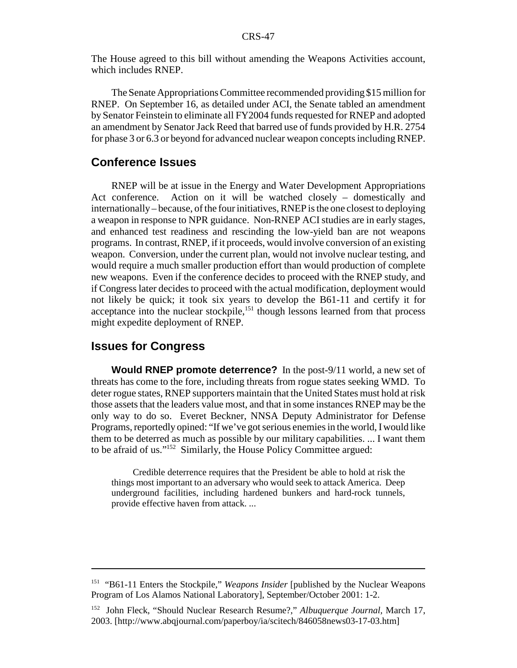The House agreed to this bill without amending the Weapons Activities account, which includes RNEP.

The Senate Appropriations Committee recommended providing \$15 million for RNEP. On September 16, as detailed under ACI, the Senate tabled an amendment by Senator Feinstein to eliminate all FY2004 funds requested for RNEP and adopted an amendment by Senator Jack Reed that barred use of funds provided by H.R. 2754 for phase 3 or 6.3 or beyond for advanced nuclear weapon concepts including RNEP.

#### **Conference Issues**

RNEP will be at issue in the Energy and Water Development Appropriations Act conference. Action on it will be watched closely – domestically and internationally – because, of the four initiatives, RNEP is the one closest to deploying a weapon in response to NPR guidance. Non-RNEP ACI studies are in early stages, and enhanced test readiness and rescinding the low-yield ban are not weapons programs. In contrast, RNEP, if it proceeds, would involve conversion of an existing weapon. Conversion, under the current plan, would not involve nuclear testing, and would require a much smaller production effort than would production of complete new weapons. Even if the conference decides to proceed with the RNEP study, and if Congress later decides to proceed with the actual modification, deployment would not likely be quick; it took six years to develop the B61-11 and certify it for acceptance into the nuclear stockpile, $151$  though lessons learned from that process might expedite deployment of RNEP.

#### **Issues for Congress**

**Would RNEP promote deterrence?** In the post-9/11 world, a new set of threats has come to the fore, including threats from rogue states seeking WMD. To deter rogue states, RNEP supporters maintain that the United States must hold at risk those assets that the leaders value most, and that in some instances RNEP may be the only way to do so. Everet Beckner, NNSA Deputy Administrator for Defense Programs, reportedly opined: "If we've got serious enemies in the world, I would like them to be deterred as much as possible by our military capabilities. ... I want them to be afraid of us."152 Similarly, the House Policy Committee argued:

Credible deterrence requires that the President be able to hold at risk the things most important to an adversary who would seek to attack America. Deep underground facilities, including hardened bunkers and hard-rock tunnels, provide effective haven from attack. ...

<sup>151</sup> "B61-11 Enters the Stockpile," *Weapons Insider* [published by the Nuclear Weapons Program of Los Alamos National Laboratory], September/October 2001: 1-2.

<sup>152</sup> John Fleck, "Should Nuclear Research Resume?," *Albuquerque Journal,* March 17, 2003. [http://www.abqjournal.com/paperboy/ia/scitech/846058news03-17-03.htm]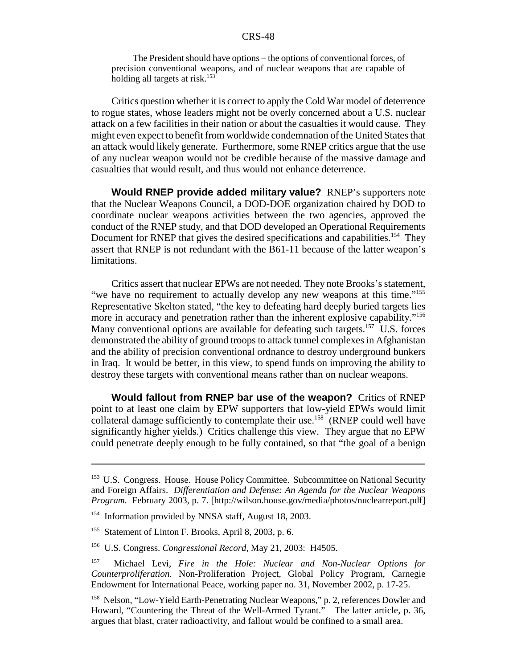The President should have options – the options of conventional forces, of precision conventional weapons, and of nuclear weapons that are capable of holding all targets at risk.<sup>153</sup>

Critics question whether it is correct to apply the Cold War model of deterrence to rogue states, whose leaders might not be overly concerned about a U.S. nuclear attack on a few facilities in their nation or about the casualties it would cause. They might even expect to benefit from worldwide condemnation of the United States that an attack would likely generate. Furthermore, some RNEP critics argue that the use of any nuclear weapon would not be credible because of the massive damage and casualties that would result, and thus would not enhance deterrence.

**Would RNEP provide added military value?** RNEP's supporters note that the Nuclear Weapons Council, a DOD-DOE organization chaired by DOD to coordinate nuclear weapons activities between the two agencies, approved the conduct of the RNEP study, and that DOD developed an Operational Requirements Document for RNEP that gives the desired specifications and capabilities.<sup>154</sup> They assert that RNEP is not redundant with the B61-11 because of the latter weapon's limitations.

Critics assert that nuclear EPWs are not needed. They note Brooks's statement, "we have no requirement to actually develop any new weapons at this time."<sup>155</sup> Representative Skelton stated, "the key to defeating hard deeply buried targets lies more in accuracy and penetration rather than the inherent explosive capability."<sup>156</sup> Many conventional options are available for defeating such targets.<sup>157</sup> U.S. forces demonstrated the ability of ground troops to attack tunnel complexes in Afghanistan and the ability of precision conventional ordnance to destroy underground bunkers in Iraq. It would be better, in this view, to spend funds on improving the ability to destroy these targets with conventional means rather than on nuclear weapons.

**Would fallout from RNEP bar use of the weapon?** Critics of RNEP point to at least one claim by EPW supporters that low-yield EPWs would limit collateral damage sufficiently to contemplate their use.<sup>158</sup> (RNEP could well have significantly higher yields.) Critics challenge this view. They argue that no EPW could penetrate deeply enough to be fully contained, so that "the goal of a benign

<sup>153</sup> U.S. Congress. House. House Policy Committee. Subcommittee on National Security and Foreign Affairs. *Differentiation and Defense: An Agenda for the Nuclear Weapons Program.* February 2003, p. 7. [http://wilson.house.gov/media/photos/nuclearreport.pdf]

<sup>&</sup>lt;sup>154</sup> Information provided by NNSA staff, August 18, 2003.

<sup>155</sup> Statement of Linton F. Brooks, April 8, 2003, p. 6.

<sup>156</sup> U.S. Congress. *Congressional Record,* May 21, 2003: H4505.

<sup>157</sup> Michael Levi, *Fire in the Hole: Nuclear and Non-Nuclear Options for Counterproliferation.* Non-Proliferation Project, Global Policy Program, Carnegie Endowment for International Peace, working paper no. 31, November 2002, p. 17-25.

<sup>&</sup>lt;sup>158</sup> Nelson, "Low-Yield Earth-Penetrating Nuclear Weapons," p. 2, references Dowler and Howard, "Countering the Threat of the Well-Armed Tyrant." The latter article, p. 36, argues that blast, crater radioactivity, and fallout would be confined to a small area.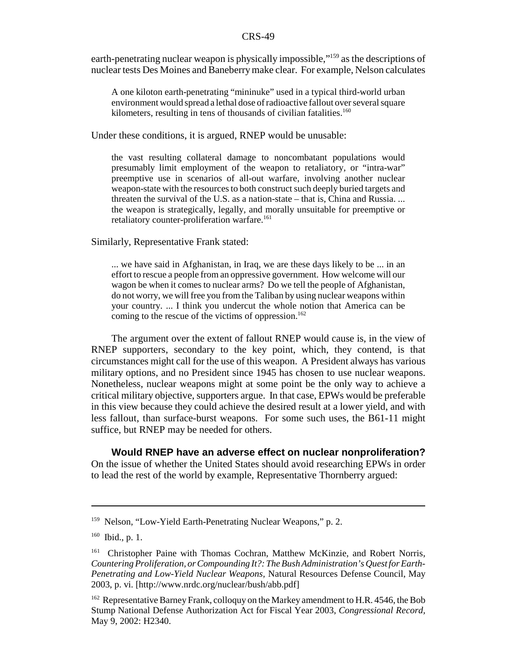earth-penetrating nuclear weapon is physically impossible,"<sup>159</sup> as the descriptions of nuclear tests Des Moines and Baneberry make clear. For example, Nelson calculates

A one kiloton earth-penetrating "mininuke" used in a typical third-world urban environment would spread a lethal dose of radioactive fallout over several square kilometers, resulting in tens of thousands of civilian fatalities.<sup>160</sup>

Under these conditions, it is argued, RNEP would be unusable:

the vast resulting collateral damage to noncombatant populations would presumably limit employment of the weapon to retaliatory, or "intra-war" preemptive use in scenarios of all-out warfare, involving another nuclear weapon-state with the resources to both construct such deeply buried targets and threaten the survival of the U.S. as a nation-state – that is, China and Russia. ... the weapon is strategically, legally, and morally unsuitable for preemptive or retaliatory counter-proliferation warfare.<sup>161</sup>

Similarly, Representative Frank stated:

... we have said in Afghanistan, in Iraq, we are these days likely to be ... in an effort to rescue a people from an oppressive government. How welcome will our wagon be when it comes to nuclear arms? Do we tell the people of Afghanistan, do not worry, we will free you from the Taliban by using nuclear weapons within your country. ... I think you undercut the whole notion that America can be coming to the rescue of the victims of oppression.<sup>162</sup>

The argument over the extent of fallout RNEP would cause is, in the view of RNEP supporters, secondary to the key point, which, they contend, is that circumstances might call for the use of this weapon. A President always has various military options, and no President since 1945 has chosen to use nuclear weapons. Nonetheless, nuclear weapons might at some point be the only way to achieve a critical military objective, supporters argue. In that case, EPWs would be preferable in this view because they could achieve the desired result at a lower yield, and with less fallout, than surface-burst weapons. For some such uses, the B61-11 might suffice, but RNEP may be needed for others.

**Would RNEP have an adverse effect on nuclear nonproliferation?**

On the issue of whether the United States should avoid researching EPWs in order to lead the rest of the world by example, Representative Thornberry argued:

<sup>&</sup>lt;sup>159</sup> Nelson, "Low-Yield Earth-Penetrating Nuclear Weapons," p. 2.

<sup>160</sup> Ibid., p. 1.

<sup>&</sup>lt;sup>161</sup> Christopher Paine with Thomas Cochran, Matthew McKinzie, and Robert Norris, *Countering Proliferation, or Compounding It?: The Bush Administration's Quest for Earth-Penetrating and Low-Yield Nuclear Weapons,* Natural Resources Defense Council, May 2003, p. vi. [http://www.nrdc.org/nuclear/bush/abb.pdf]

<sup>&</sup>lt;sup>162</sup> Representative Barney Frank, colloquy on the Markey amendment to H.R. 4546, the Bob Stump National Defense Authorization Act for Fiscal Year 2003, *Congressional Record,* May 9, 2002: H2340.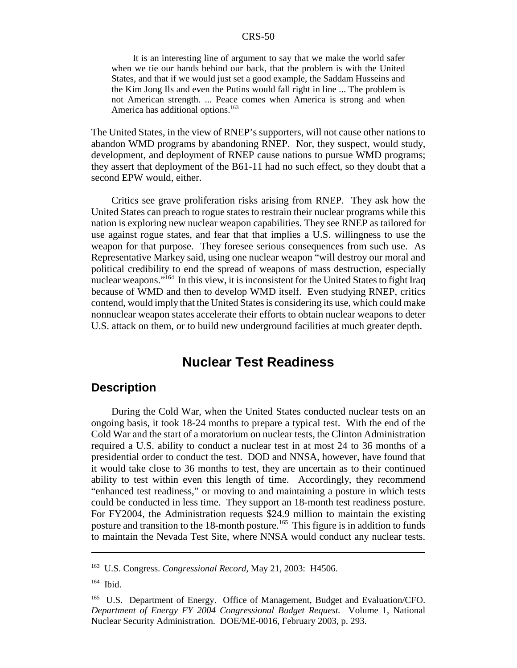It is an interesting line of argument to say that we make the world safer when we tie our hands behind our back, that the problem is with the United States, and that if we would just set a good example, the Saddam Husseins and the Kim Jong Ils and even the Putins would fall right in line ... The problem is not American strength. ... Peace comes when America is strong and when America has additional options.<sup>163</sup>

The United States, in the view of RNEP's supporters, will not cause other nations to abandon WMD programs by abandoning RNEP. Nor, they suspect, would study, development, and deployment of RNEP cause nations to pursue WMD programs; they assert that deployment of the B61-11 had no such effect, so they doubt that a second EPW would, either.

Critics see grave proliferation risks arising from RNEP. They ask how the United States can preach to rogue states to restrain their nuclear programs while this nation is exploring new nuclear weapon capabilities. They see RNEP as tailored for use against rogue states, and fear that that implies a U.S. willingness to use the weapon for that purpose. They foresee serious consequences from such use. As Representative Markey said, using one nuclear weapon "will destroy our moral and political credibility to end the spread of weapons of mass destruction, especially nuclear weapons."<sup>164</sup> In this view, it is inconsistent for the United States to fight Iraq because of WMD and then to develop WMD itself. Even studying RNEP, critics contend, would imply that the United States is considering its use, which could make nonnuclear weapon states accelerate their efforts to obtain nuclear weapons to deter U.S. attack on them, or to build new underground facilities at much greater depth.

## **Nuclear Test Readiness**

## **Description**

During the Cold War, when the United States conducted nuclear tests on an ongoing basis, it took 18-24 months to prepare a typical test. With the end of the Cold War and the start of a moratorium on nuclear tests, the Clinton Administration required a U.S. ability to conduct a nuclear test in at most 24 to 36 months of a presidential order to conduct the test. DOD and NNSA, however, have found that it would take close to 36 months to test, they are uncertain as to their continued ability to test within even this length of time. Accordingly, they recommend "enhanced test readiness," or moving to and maintaining a posture in which tests could be conducted in less time. They support an 18-month test readiness posture. For FY2004, the Administration requests \$24.9 million to maintain the existing posture and transition to the 18-month posture.<sup>165</sup> This figure is in addition to funds to maintain the Nevada Test Site, where NNSA would conduct any nuclear tests.

<sup>163</sup> U.S. Congress. *Congressional Record,* May 21, 2003: H4506.

<sup>164</sup> Ibid.

<sup>&</sup>lt;sup>165</sup> U.S. Department of Energy. Office of Management, Budget and Evaluation/CFO. *Department of Energy FY 2004 Congressional Budget Request.* Volume 1, National Nuclear Security Administration. DOE/ME-0016, February 2003, p. 293.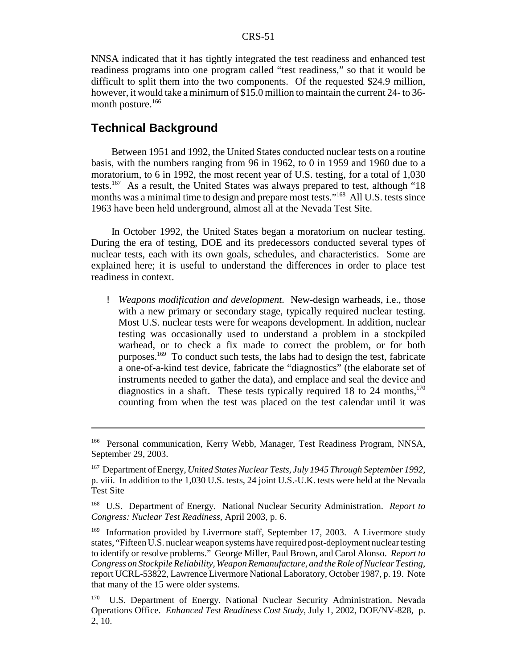NNSA indicated that it has tightly integrated the test readiness and enhanced test readiness programs into one program called "test readiness," so that it would be difficult to split them into the two components. Of the requested \$24.9 million, however, it would take a minimum of \$15.0 million to maintain the current 24- to 36 month posture. $166$ 

#### **Technical Background**

Between 1951 and 1992, the United States conducted nuclear tests on a routine basis, with the numbers ranging from 96 in 1962, to 0 in 1959 and 1960 due to a moratorium, to 6 in 1992, the most recent year of U.S. testing, for a total of 1,030 tests.<sup>167</sup> As a result, the United States was always prepared to test, although "18" months was a minimal time to design and prepare most tests."<sup>168</sup> All U.S. tests since 1963 have been held underground, almost all at the Nevada Test Site.

In October 1992, the United States began a moratorium on nuclear testing. During the era of testing, DOE and its predecessors conducted several types of nuclear tests, each with its own goals, schedules, and characteristics. Some are explained here; it is useful to understand the differences in order to place test readiness in context.

! *Weapons modification and development.* New-design warheads, i.e., those with a new primary or secondary stage, typically required nuclear testing. Most U.S. nuclear tests were for weapons development. In addition, nuclear testing was occasionally used to understand a problem in a stockpiled warhead, or to check a fix made to correct the problem, or for both purposes.<sup>169</sup> To conduct such tests, the labs had to design the test, fabricate a one-of-a-kind test device, fabricate the "diagnostics" (the elaborate set of instruments needed to gather the data), and emplace and seal the device and diagnostics in a shaft. These tests typically required 18 to 24 months,  $170$ counting from when the test was placed on the test calendar until it was

<sup>166</sup> Personal communication, Kerry Webb, Manager, Test Readiness Program, NNSA, September 29, 2003.

<sup>167</sup> Department of Energy, *United States Nuclear Tests, July 1945 Through September 1992,* p. viii. In addition to the 1,030 U.S. tests, 24 joint U.S.-U.K. tests were held at the Nevada Test Site

<sup>168</sup> U.S. Department of Energy. National Nuclear Security Administration. *Report to Congress: Nuclear Test Readiness,* April 2003, p. 6.

<sup>&</sup>lt;sup>169</sup> Information provided by Livermore staff, September 17, 2003. A Livermore study states, "Fifteen U.S. nuclear weapon systems have required post-deployment nuclear testing to identify or resolve problems." George Miller, Paul Brown, and Carol Alonso. *Report to Congress on Stockpile Reliability, Weapon Remanufacture, and the Role of Nuclear Testing,* report UCRL-53822, Lawrence Livermore National Laboratory, October 1987, p. 19. Note that many of the 15 were older systems.

<sup>&</sup>lt;sup>170</sup> U.S. Department of Energy. National Nuclear Security Administration. Nevada Operations Office. *Enhanced Test Readiness Cost Study,* July 1, 2002, DOE/NV-828, p. 2, 10.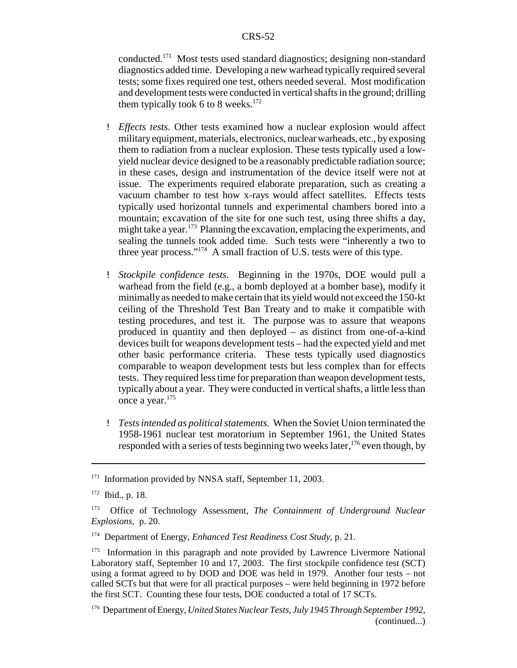conducted.171 Most tests used standard diagnostics; designing non-standard diagnostics added time. Developing a new warhead typically required several tests; some fixes required one test, others needed several. Most modification and development tests were conducted in vertical shafts in the ground; drilling them typically took 6 to 8 weeks.<sup>172</sup>

- ! *Effects tests.* Other tests examined how a nuclear explosion would affect militaryequipment, materials, electronics, nuclear warheads, etc., byexposing them to radiation from a nuclear explosion. These tests typically used a lowyield nuclear device designed to be a reasonably predictable radiation source; in these cases, design and instrumentation of the device itself were not at issue. The experiments required elaborate preparation, such as creating a vacuum chamber to test how x-rays would affect satellites. Effects tests typically used horizontal tunnels and experimental chambers bored into a mountain; excavation of the site for one such test, using three shifts a day, might take a year.<sup>173</sup> Planning the excavation, emplacing the experiments, and sealing the tunnels took added time. Such tests were "inherently a two to three year process."174 A small fraction of U.S. tests were of this type.
- ! *Stockpile confidence tests.* Beginning in the 1970s, DOE would pull a warhead from the field (e.g., a bomb deployed at a bomber base), modify it minimally as needed to make certain that its yield would not exceed the 150-kt ceiling of the Threshold Test Ban Treaty and to make it compatible with testing procedures, and test it. The purpose was to assure that weapons produced in quantity and then deployed – as distinct from one-of-a-kind devices built for weapons development tests – had the expected yield and met other basic performance criteria. These tests typically used diagnostics comparable to weapon development tests but less complex than for effects tests. They required less time for preparation than weapon development tests, typically about a year. They were conducted in vertical shafts, a little less than once a year.175
- ! *Tests intended as political statements.* When the Soviet Union terminated the 1958-1961 nuclear test moratorium in September 1961, the United States responded with a series of tests beginning two weeks later,  $176$  even though, by

<sup>&</sup>lt;sup>171</sup> Information provided by NNSA staff, September 11, 2003.

<sup>172</sup> Ibid., p. 18.

<sup>173</sup> Office of Technology Assessment, *The Containment of Underground Nuclear Explosions,* p. 20.

<sup>174</sup> Department of Energy, *Enhanced Test Readiness Cost Study,* p. 21.

<sup>&</sup>lt;sup>175</sup> Information in this paragraph and note provided by Lawrence Livermore National Laboratory staff, September 10 and 17, 2003. The first stockpile confidence test (SCT) using a format agreed to by DOD and DOE was held in 1979. Another four tests – not called SCTs but that were for all practical purposes – were held beginning in 1972 before the first SCT. Counting these four tests, DOE conducted a total of 17 SCTs.

<sup>176</sup> Department of Energy, *United States Nuclear Tests, July 1945 Through September 1992,* (continued...)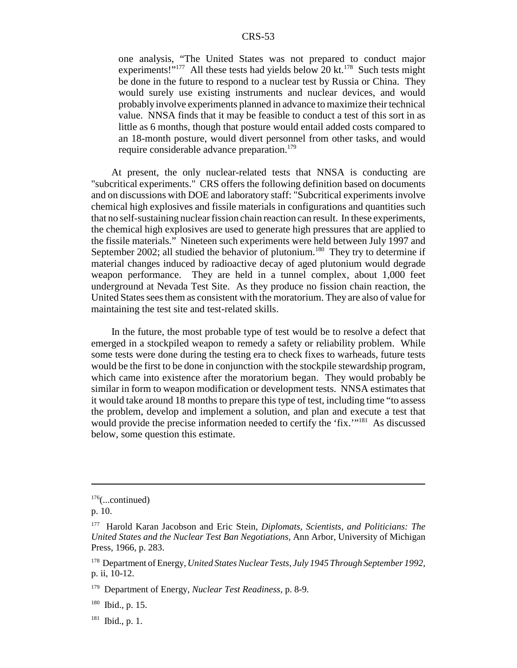one analysis, "The United States was not prepared to conduct major experiments!"<sup>177</sup> All these tests had yields below 20 kt.<sup>178</sup> Such tests might be done in the future to respond to a nuclear test by Russia or China. They would surely use existing instruments and nuclear devices, and would probably involve experiments planned in advance to maximize their technical value. NNSA finds that it may be feasible to conduct a test of this sort in as little as 6 months, though that posture would entail added costs compared to an 18-month posture, would divert personnel from other tasks, and would require considerable advance preparation.<sup>179</sup>

At present, the only nuclear-related tests that NNSA is conducting are "subcritical experiments." CRS offers the following definition based on documents and on discussions with DOE and laboratory staff: "Subcritical experiments involve chemical high explosives and fissile materials in configurations and quantities such that no self-sustaining nuclear fission chain reaction can result. In these experiments, the chemical high explosives are used to generate high pressures that are applied to the fissile materials." Nineteen such experiments were held between July 1997 and September 2002; all studied the behavior of plutonium.<sup>180</sup> They try to determine if material changes induced by radioactive decay of aged plutonium would degrade weapon performance. They are held in a tunnel complex, about 1,000 feet underground at Nevada Test Site. As they produce no fission chain reaction, the United States sees them as consistent with the moratorium. They are also of value for maintaining the test site and test-related skills.

In the future, the most probable type of test would be to resolve a defect that emerged in a stockpiled weapon to remedy a safety or reliability problem. While some tests were done during the testing era to check fixes to warheads, future tests would be the first to be done in conjunction with the stockpile stewardship program, which came into existence after the moratorium began. They would probably be similar in form to weapon modification or development tests. NNSA estimates that it would take around 18 months to prepare this type of test, including time "to assess the problem, develop and implement a solution, and plan and execute a test that would provide the precise information needed to certify the 'fix.'"<sup>181</sup> As discussed below, some question this estimate.

 $176$ (...continued)

p. 10.

<sup>177</sup> Harold Karan Jacobson and Eric Stein, *Diplomats, Scientists, and Politicians: The United States and the Nuclear Test Ban Negotiations,* Ann Arbor, University of Michigan Press, 1966, p. 283.

<sup>178</sup> Department of Energy, *United States Nuclear Tests, July 1945 Through September 1992,* p. ii, 10-12.

<sup>179</sup> Department of Energy, *Nuclear Test Readiness,* p. 8-9.

<sup>180</sup> Ibid.*,* p. 15.

 $181$  Ibid., p. 1.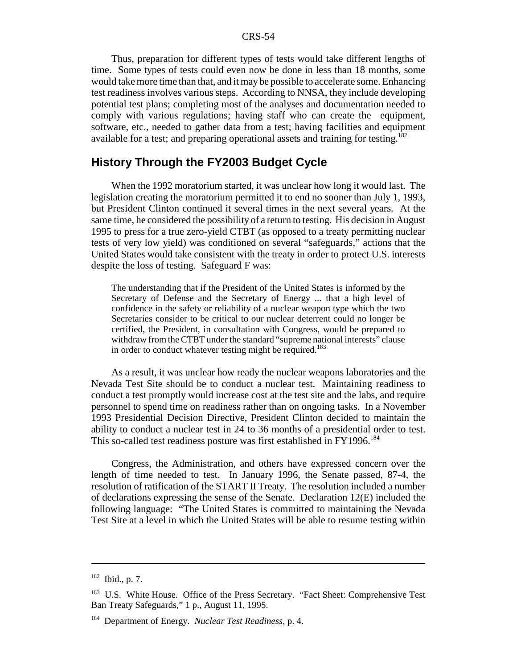Thus, preparation for different types of tests would take different lengths of time. Some types of tests could even now be done in less than 18 months, some would take more time than that, and it may be possible to accelerate some. Enhancing test readiness involves various steps. According to NNSA, they include developing potential test plans; completing most of the analyses and documentation needed to comply with various regulations; having staff who can create the equipment, software, etc., needed to gather data from a test; having facilities and equipment available for a test; and preparing operational assets and training for testing.<sup>182</sup>

### **History Through the FY2003 Budget Cycle**

When the 1992 moratorium started, it was unclear how long it would last. The legislation creating the moratorium permitted it to end no sooner than July 1, 1993, but President Clinton continued it several times in the next several years. At the same time, he considered the possibility of a return to testing. His decision in August 1995 to press for a true zero-yield CTBT (as opposed to a treaty permitting nuclear tests of very low yield) was conditioned on several "safeguards," actions that the United States would take consistent with the treaty in order to protect U.S. interests despite the loss of testing. Safeguard F was:

The understanding that if the President of the United States is informed by the Secretary of Defense and the Secretary of Energy ... that a high level of confidence in the safety or reliability of a nuclear weapon type which the two Secretaries consider to be critical to our nuclear deterrent could no longer be certified, the President, in consultation with Congress, would be prepared to withdraw from the CTBT under the standard "supreme national interests" clause in order to conduct whatever testing might be required.<sup>183</sup>

As a result, it was unclear how ready the nuclear weapons laboratories and the Nevada Test Site should be to conduct a nuclear test. Maintaining readiness to conduct a test promptly would increase cost at the test site and the labs, and require personnel to spend time on readiness rather than on ongoing tasks. In a November 1993 Presidential Decision Directive, President Clinton decided to maintain the ability to conduct a nuclear test in 24 to 36 months of a presidential order to test. This so-called test readiness posture was first established in FY1996.<sup>184</sup>

Congress, the Administration, and others have expressed concern over the length of time needed to test. In January 1996, the Senate passed, 87-4, the resolution of ratification of the START II Treaty. The resolution included a number of declarations expressing the sense of the Senate. Declaration 12(E) included the following language: "The United States is committed to maintaining the Nevada Test Site at a level in which the United States will be able to resume testing within

<sup>182</sup> Ibid., p. 7.

<sup>&</sup>lt;sup>183</sup> U.S. White House. Office of the Press Secretary. "Fact Sheet: Comprehensive Test Ban Treaty Safeguards," 1 p., August 11, 1995.

<sup>184</sup> Department of Energy. *Nuclear Test Readiness,* p. 4.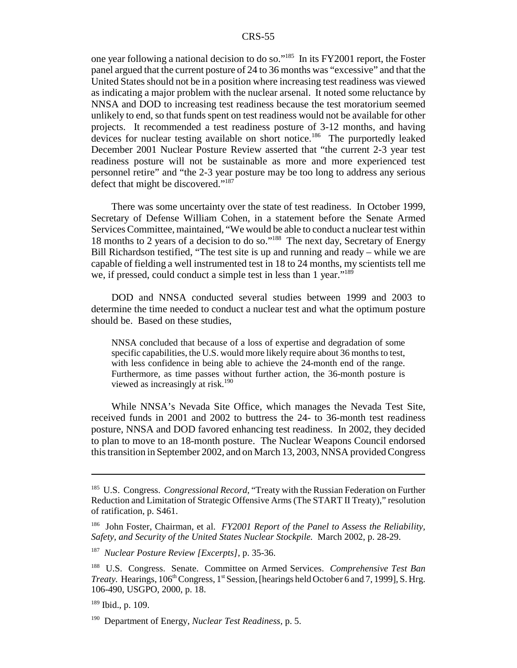one year following a national decision to do so."185 In its FY2001 report, the Foster panel argued that the current posture of 24 to 36 months was "excessive" and that the United States should not be in a position where increasing test readiness was viewed as indicating a major problem with the nuclear arsenal. It noted some reluctance by NNSA and DOD to increasing test readiness because the test moratorium seemed unlikely to end, so that funds spent on test readiness would not be available for other projects. It recommended a test readiness posture of 3-12 months, and having devices for nuclear testing available on short notice.<sup>186</sup> The purportedly leaked December 2001 Nuclear Posture Review asserted that "the current 2-3 year test readiness posture will not be sustainable as more and more experienced test personnel retire" and "the 2-3 year posture may be too long to address any serious defect that might be discovered."187

There was some uncertainty over the state of test readiness. In October 1999, Secretary of Defense William Cohen, in a statement before the Senate Armed Services Committee, maintained, "We would be able to conduct a nuclear test within 18 months to 2 years of a decision to do so."188 The next day, Secretary of Energy Bill Richardson testified, "The test site is up and running and ready – while we are capable of fielding a well instrumented test in 18 to 24 months, my scientists tell me we, if pressed, could conduct a simple test in less than 1 year."<sup>189</sup>

DOD and NNSA conducted several studies between 1999 and 2003 to determine the time needed to conduct a nuclear test and what the optimum posture should be. Based on these studies,

NNSA concluded that because of a loss of expertise and degradation of some specific capabilities, the U.S. would more likely require about 36 months to test, with less confidence in being able to achieve the 24-month end of the range. Furthermore, as time passes without further action, the 36-month posture is viewed as increasingly at risk.<sup>190</sup>

While NNSA's Nevada Site Office, which manages the Nevada Test Site, received funds in 2001 and 2002 to buttress the 24- to 36-month test readiness posture, NNSA and DOD favored enhancing test readiness. In 2002, they decided to plan to move to an 18-month posture. The Nuclear Weapons Council endorsed this transition in September 2002, and on March 13, 2003, NNSA provided Congress

<sup>185</sup> U.S. Congress. *Congressional Record,* "Treaty with the Russian Federation on Further Reduction and Limitation of Strategic Offensive Arms (The START II Treaty)," resolution of ratification, p. S461.

<sup>186</sup> John Foster, Chairman, et al. *FY2001 Report of the Panel to Assess the Reliability, Safety, and Security of the United States Nuclear Stockpile.* March 2002, p. 28-29.

<sup>187</sup> *Nuclear Posture Review [Excerpts],* p. 35-36.

<sup>188</sup> U.S. Congress. Senate. Committee on Armed Services. *Comprehensive Test Ban Treaty.* Hearings, 106<sup>th</sup> Congress, 1<sup>st</sup> Session, [hearings held October 6 and 7, 1999], S. Hrg. 106-490, USGPO, 2000, p. 18.

 $189$  Ibid., p. 109.

<sup>190</sup> Department of Energy, *Nuclear Test Readiness,* p. 5.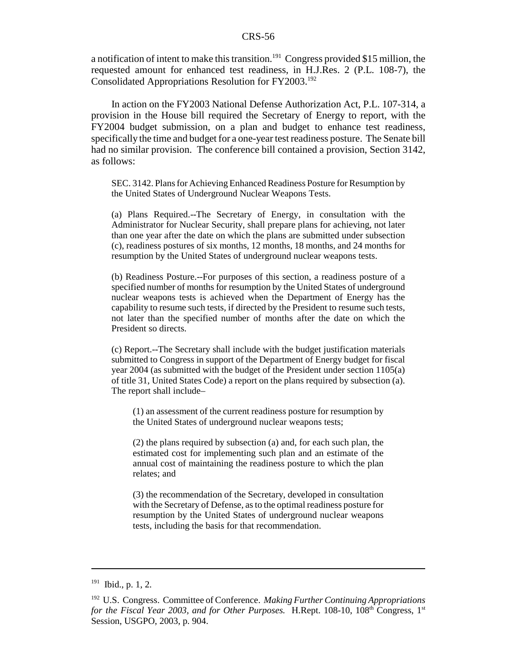a notification of intent to make this transition.<sup>191</sup> Congress provided \$15 million, the requested amount for enhanced test readiness, in H.J.Res. 2 (P.L. 108-7), the Consolidated Appropriations Resolution for FY2003.<sup>192</sup>

In action on the FY2003 National Defense Authorization Act, P.L. 107-314, a provision in the House bill required the Secretary of Energy to report, with the FY2004 budget submission, on a plan and budget to enhance test readiness, specifically the time and budget for a one-year test readiness posture. The Senate bill had no similar provision. The conference bill contained a provision, Section 3142, as follows:

SEC. 3142. Plans for Achieving Enhanced Readiness Posture for Resumption by the United States of Underground Nuclear Weapons Tests.

(a) Plans Required.--The Secretary of Energy, in consultation with the Administrator for Nuclear Security, shall prepare plans for achieving, not later than one year after the date on which the plans are submitted under subsection (c), readiness postures of six months, 12 months, 18 months, and 24 months for resumption by the United States of underground nuclear weapons tests.

(b) Readiness Posture.--For purposes of this section, a readiness posture of a specified number of months for resumption by the United States of underground nuclear weapons tests is achieved when the Department of Energy has the capability to resume such tests, if directed by the President to resume such tests, not later than the specified number of months after the date on which the President so directs.

(c) Report.--The Secretary shall include with the budget justification materials submitted to Congress in support of the Department of Energy budget for fiscal year 2004 (as submitted with the budget of the President under section 1105(a) of title 31, United States Code) a report on the plans required by subsection (a). The report shall include–

(1) an assessment of the current readiness posture for resumption by the United States of underground nuclear weapons tests;

(2) the plans required by subsection (a) and, for each such plan, the estimated cost for implementing such plan and an estimate of the annual cost of maintaining the readiness posture to which the plan relates; and

(3) the recommendation of the Secretary, developed in consultation with the Secretary of Defense, as to the optimal readiness posture for resumption by the United States of underground nuclear weapons tests, including the basis for that recommendation.

 $191$  Ibid., p. 1, 2.

<sup>192</sup> U.S. Congress. Committee of Conference. *Making Further Continuing Appropriations for the Fiscal Year 2003, and for Other Purposes.* H.Rept.  $108-10$ ,  $108<sup>th</sup>$  Congress,  $1<sup>st</sup>$ Session, USGPO, 2003, p. 904.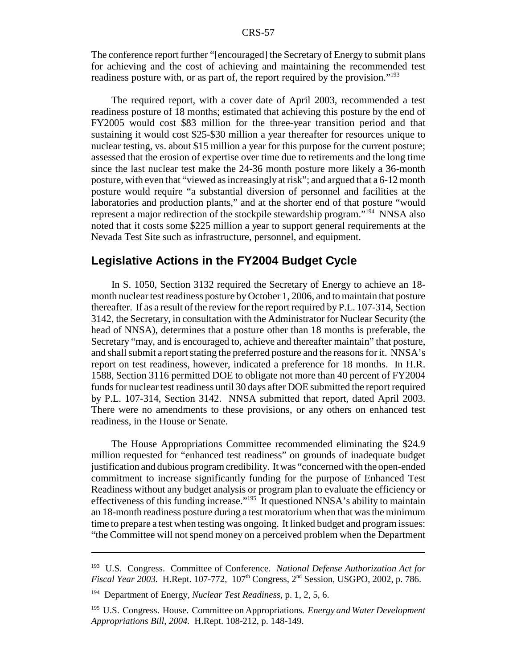The conference report further "[encouraged] the Secretary of Energy to submit plans for achieving and the cost of achieving and maintaining the recommended test readiness posture with, or as part of, the report required by the provision."<sup>193</sup>

The required report, with a cover date of April 2003, recommended a test readiness posture of 18 months; estimated that achieving this posture by the end of FY2005 would cost \$83 million for the three-year transition period and that sustaining it would cost \$25-\$30 million a year thereafter for resources unique to nuclear testing, vs. about \$15 million a year for this purpose for the current posture; assessed that the erosion of expertise over time due to retirements and the long time since the last nuclear test make the 24-36 month posture more likely a 36-month posture, with even that "viewed as increasingly at risk"; and argued that a 6-12 month posture would require "a substantial diversion of personnel and facilities at the laboratories and production plants," and at the shorter end of that posture "would represent a major redirection of the stockpile stewardship program.<sup>7194</sup> NNSA also noted that it costs some \$225 million a year to support general requirements at the Nevada Test Site such as infrastructure, personnel, and equipment.

#### **Legislative Actions in the FY2004 Budget Cycle**

In S. 1050, Section 3132 required the Secretary of Energy to achieve an 18 month nuclear test readiness posture by October 1, 2006, and to maintain that posture thereafter. If as a result of the review for the report required by P.L. 107-314, Section 3142, the Secretary, in consultation with the Administrator for Nuclear Security (the head of NNSA), determines that a posture other than 18 months is preferable, the Secretary "may, and is encouraged to, achieve and thereafter maintain" that posture, and shall submit a report stating the preferred posture and the reasons for it. NNSA's report on test readiness, however, indicated a preference for 18 months. In H.R. 1588, Section 3116 permitted DOE to obligate not more than 40 percent of FY2004 funds for nuclear test readiness until 30 days after DOE submitted the report required by P.L. 107-314, Section 3142. NNSA submitted that report, dated April 2003. There were no amendments to these provisions, or any others on enhanced test readiness, in the House or Senate.

The House Appropriations Committee recommended eliminating the \$24.9 million requested for "enhanced test readiness" on grounds of inadequate budget justification and dubious program credibility. It was "concerned with the open-ended commitment to increase significantly funding for the purpose of Enhanced Test Readiness without any budget analysis or program plan to evaluate the efficiency or effectiveness of this funding increase."195 It questioned NNSA's ability to maintain an 18-month readiness posture during a test moratorium when that was the minimum time to prepare a test when testing was ongoing. It linked budget and program issues: "the Committee will not spend money on a perceived problem when the Department

<sup>193</sup> U.S. Congress. Committee of Conference. *National Defense Authorization Act for Fiscal Year 2003.* H.Rept. 107-772, 107<sup>th</sup> Congress, 2<sup>nd</sup> Session, USGPO, 2002, p. 786.

<sup>194</sup> Department of Energy, *Nuclear Test Readiness,* p. 1, 2, 5, 6.

<sup>195</sup> U.S. Congress. House. Committee on Appropriations. *Energy and Water Development Appropriations Bill, 2004.* H.Rept. 108-212, p. 148-149.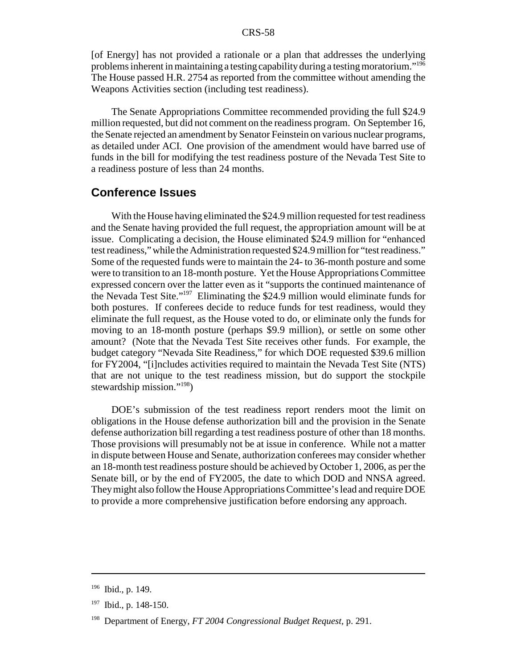[of Energy] has not provided a rationale or a plan that addresses the underlying problems inherent in maintaining a testing capabilityduring a testing moratorium."196 The House passed H.R. 2754 as reported from the committee without amending the Weapons Activities section (including test readiness).

The Senate Appropriations Committee recommended providing the full \$24.9 million requested, but did not comment on the readiness program. On September 16, the Senate rejected an amendment by Senator Feinstein on various nuclear programs, as detailed under ACI. One provision of the amendment would have barred use of funds in the bill for modifying the test readiness posture of the Nevada Test Site to a readiness posture of less than 24 months.

#### **Conference Issues**

With the House having eliminated the \$24.9 million requested for test readiness and the Senate having provided the full request, the appropriation amount will be at issue. Complicating a decision, the House eliminated \$24.9 million for "enhanced test readiness," while the Administration requested \$24.9 million for "test readiness." Some of the requested funds were to maintain the 24- to 36-month posture and some were to transition to an 18-month posture. Yet the House Appropriations Committee expressed concern over the latter even as it "supports the continued maintenance of the Nevada Test Site."197 Eliminating the \$24.9 million would eliminate funds for both postures. If conferees decide to reduce funds for test readiness, would they eliminate the full request, as the House voted to do, or eliminate only the funds for moving to an 18-month posture (perhaps \$9.9 million), or settle on some other amount? (Note that the Nevada Test Site receives other funds. For example, the budget category "Nevada Site Readiness," for which DOE requested \$39.6 million for FY2004, "[i]ncludes activities required to maintain the Nevada Test Site (NTS) that are not unique to the test readiness mission, but do support the stockpile stewardship mission."198)

DOE's submission of the test readiness report renders moot the limit on obligations in the House defense authorization bill and the provision in the Senate defense authorization bill regarding a test readiness posture of other than 18 months. Those provisions will presumably not be at issue in conference. While not a matter in dispute between House and Senate, authorization conferees may consider whether an 18-month test readiness posture should be achieved by October 1, 2006, as per the Senate bill, or by the end of FY2005, the date to which DOD and NNSA agreed. Theymight also follow the House Appropriations Committee's lead and require DOE to provide a more comprehensive justification before endorsing any approach.

<sup>196</sup> Ibid., p. 149.

<sup>197</sup> Ibid., p. 148-150.

<sup>198</sup> Department of Energy, *FT 2004 Congressional Budget Request,* p. 291.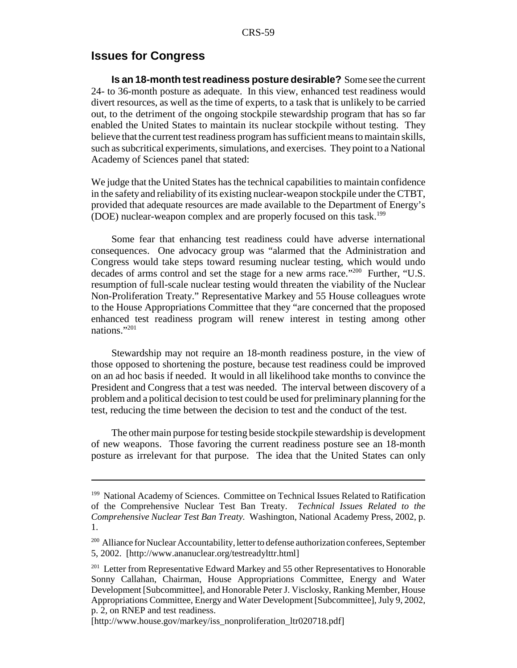#### **Issues for Congress**

**Is an 18-month test readiness posture desirable?** Some see the current 24- to 36-month posture as adequate. In this view, enhanced test readiness would divert resources, as well as the time of experts, to a task that is unlikely to be carried out, to the detriment of the ongoing stockpile stewardship program that has so far enabled the United States to maintain its nuclear stockpile without testing. They believe that the current test readiness program has sufficient means to maintain skills, such as subcritical experiments, simulations, and exercises. They point to a National Academy of Sciences panel that stated:

We judge that the United States has the technical capabilities to maintain confidence in the safety and reliability of its existing nuclear-weapon stockpile under the CTBT, provided that adequate resources are made available to the Department of Energy's (DOE) nuclear-weapon complex and are properly focused on this task.<sup>199</sup>

Some fear that enhancing test readiness could have adverse international consequences. One advocacy group was "alarmed that the Administration and Congress would take steps toward resuming nuclear testing, which would undo decades of arms control and set the stage for a new arms race."<sup>200</sup> Further, "U.S. resumption of full-scale nuclear testing would threaten the viability of the Nuclear Non-Proliferation Treaty." Representative Markey and 55 House colleagues wrote to the House Appropriations Committee that they "are concerned that the proposed enhanced test readiness program will renew interest in testing among other nations."201

Stewardship may not require an 18-month readiness posture, in the view of those opposed to shortening the posture, because test readiness could be improved on an ad hoc basis if needed. It would in all likelihood take months to convince the President and Congress that a test was needed. The interval between discovery of a problem and a political decision to test could be used for preliminary planning for the test, reducing the time between the decision to test and the conduct of the test.

The other main purpose for testing beside stockpile stewardship is development of new weapons. Those favoring the current readiness posture see an 18-month posture as irrelevant for that purpose. The idea that the United States can only

<sup>&</sup>lt;sup>199</sup> National Academy of Sciences. Committee on Technical Issues Related to Ratification of the Comprehensive Nuclear Test Ban Treaty. *Technical Issues Related to the Comprehensive Nuclear Test Ban Treaty.* Washington, National Academy Press, 2002, p. 1.

<sup>&</sup>lt;sup>200</sup> Alliance for Nuclear Accountability, letter to defense authorization conferees, September 5, 2002. [http://www.ananuclear.org/testreadylttr.html]

<sup>&</sup>lt;sup>201</sup> Letter from Representative Edward Markey and 55 other Representatives to Honorable Sonny Callahan, Chairman, House Appropriations Committee, Energy and Water Development [Subcommittee], and Honorable Peter J. Visclosky, Ranking Member, House Appropriations Committee, Energy and Water Development [Subcommittee], July 9, 2002, p. 2, on RNEP and test readiness.

<sup>[</sup>http://www.house.gov/markey/iss\_nonproliferation\_ltr020718.pdf]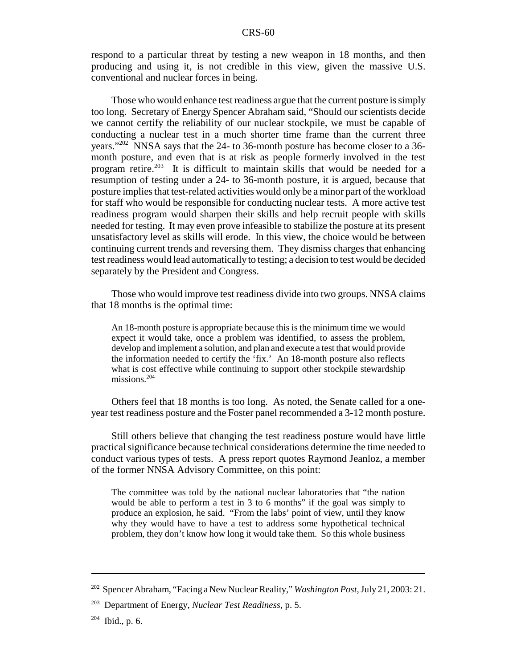respond to a particular threat by testing a new weapon in 18 months, and then producing and using it, is not credible in this view, given the massive U.S. conventional and nuclear forces in being.

Those who would enhance test readiness argue that the current posture is simply too long. Secretary of Energy Spencer Abraham said, "Should our scientists decide we cannot certify the reliability of our nuclear stockpile, we must be capable of conducting a nuclear test in a much shorter time frame than the current three years."202 NNSA says that the 24- to 36-month posture has become closer to a 36 month posture, and even that is at risk as people formerly involved in the test program retire.<sup>203</sup> It is difficult to maintain skills that would be needed for a resumption of testing under a 24- to 36-month posture, it is argued, because that posture implies that test-related activities would only be a minor part of the workload for staff who would be responsible for conducting nuclear tests. A more active test readiness program would sharpen their skills and help recruit people with skills needed for testing. It may even prove infeasible to stabilize the posture at its present unsatisfactory level as skills will erode. In this view, the choice would be between continuing current trends and reversing them. They dismiss charges that enhancing test readiness would lead automatically to testing; a decision to test would be decided separately by the President and Congress.

Those who would improve test readiness divide into two groups. NNSA claims that 18 months is the optimal time:

An 18-month posture is appropriate because this is the minimum time we would expect it would take, once a problem was identified, to assess the problem, develop and implement a solution, and plan and execute a test that would provide the information needed to certify the 'fix.' An 18-month posture also reflects what is cost effective while continuing to support other stockpile stewardship missions.<sup>204</sup>

Others feel that 18 months is too long. As noted, the Senate called for a oneyear test readiness posture and the Foster panel recommended a 3-12 month posture.

Still others believe that changing the test readiness posture would have little practical significance because technical considerations determine the time needed to conduct various types of tests. A press report quotes Raymond Jeanloz, a member of the former NNSA Advisory Committee, on this point:

The committee was told by the national nuclear laboratories that "the nation would be able to perform a test in 3 to 6 months" if the goal was simply to produce an explosion, he said. "From the labs' point of view, until they know why they would have to have a test to address some hypothetical technical problem, they don't know how long it would take them. So this whole business

<sup>202</sup> Spencer Abraham, "Facing a New Nuclear Reality," *Washington Post,*July 21, 2003: 21.

<sup>203</sup> Department of Energy, *Nuclear Test Readiness,* p. 5.

 $204$  Ibid., p. 6.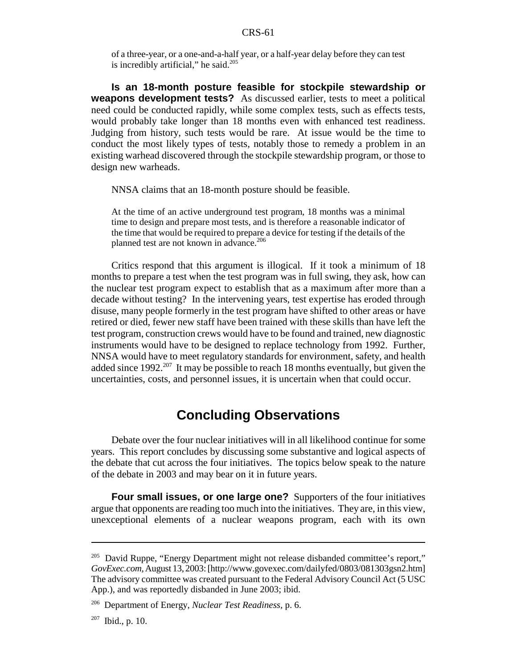of a three-year, or a one-and-a-half year, or a half-year delay before they can test is incredibly artificial," he said. $205$ 

**Is an 18-month posture feasible for stockpile stewardship or weapons development tests?** As discussed earlier, tests to meet a political need could be conducted rapidly, while some complex tests, such as effects tests, would probably take longer than 18 months even with enhanced test readiness. Judging from history, such tests would be rare. At issue would be the time to conduct the most likely types of tests, notably those to remedy a problem in an existing warhead discovered through the stockpile stewardship program, or those to design new warheads.

NNSA claims that an 18-month posture should be feasible.

At the time of an active underground test program, 18 months was a minimal time to design and prepare most tests, and is therefore a reasonable indicator of the time that would be required to prepare a device for testing if the details of the planned test are not known in advance.<sup>206</sup>

Critics respond that this argument is illogical. If it took a minimum of 18 months to prepare a test when the test program was in full swing, they ask, how can the nuclear test program expect to establish that as a maximum after more than a decade without testing? In the intervening years, test expertise has eroded through disuse, many people formerly in the test program have shifted to other areas or have retired or died, fewer new staff have been trained with these skills than have left the test program, construction crews would have to be found and trained, new diagnostic instruments would have to be designed to replace technology from 1992. Further, NNSA would have to meet regulatory standards for environment, safety, and health added since  $1992^{207}$  It may be possible to reach 18 months eventually, but given the uncertainties, costs, and personnel issues, it is uncertain when that could occur.

## **Concluding Observations**

Debate over the four nuclear initiatives will in all likelihood continue for some years. This report concludes by discussing some substantive and logical aspects of the debate that cut across the four initiatives. The topics below speak to the nature of the debate in 2003 and may bear on it in future years.

**Four small issues, or one large one?** Supporters of the four initiatives argue that opponents are reading too much into the initiatives. They are, in this view, unexceptional elements of a nuclear weapons program, each with its own

 $^{205}$  David Ruppe, "Energy Department might not release disbanded committee's report," *GovExec.com,*August 13, 2003: [http://www.govexec.com/dailyfed/0803/081303gsn2.htm] The advisory committee was created pursuant to the Federal Advisory Council Act (5 USC App.), and was reportedly disbanded in June 2003; ibid.

<sup>206</sup> Department of Energy, *Nuclear Test Readiness,* p. 6.

 $207$  Ibid., p. 10.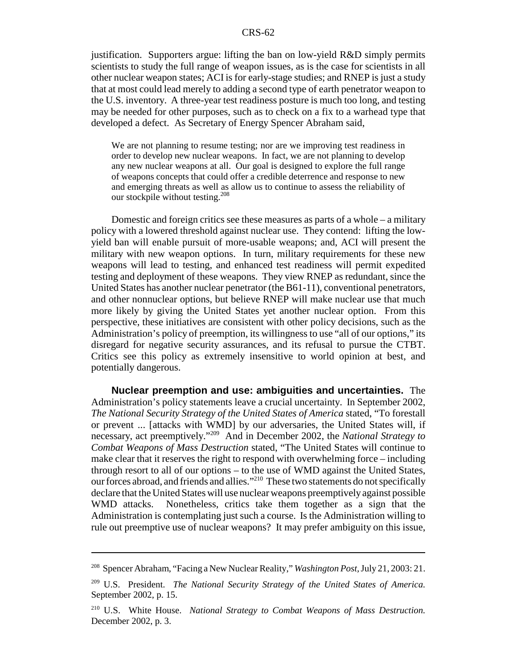justification. Supporters argue: lifting the ban on low-yield R&D simply permits scientists to study the full range of weapon issues, as is the case for scientists in all other nuclear weapon states; ACI is for early-stage studies; and RNEP is just a study that at most could lead merely to adding a second type of earth penetrator weapon to the U.S. inventory. A three-year test readiness posture is much too long, and testing may be needed for other purposes, such as to check on a fix to a warhead type that developed a defect. As Secretary of Energy Spencer Abraham said,

We are not planning to resume testing; nor are we improving test readiness in order to develop new nuclear weapons. In fact, we are not planning to develop any new nuclear weapons at all. Our goal is designed to explore the full range of weapons concepts that could offer a credible deterrence and response to new and emerging threats as well as allow us to continue to assess the reliability of our stockpile without testing.<sup>208</sup>

Domestic and foreign critics see these measures as parts of a whole – a military policy with a lowered threshold against nuclear use. They contend: lifting the lowyield ban will enable pursuit of more-usable weapons; and, ACI will present the military with new weapon options. In turn, military requirements for these new weapons will lead to testing, and enhanced test readiness will permit expedited testing and deployment of these weapons. They view RNEP as redundant, since the United States has another nuclear penetrator (the B61-11), conventional penetrators, and other nonnuclear options, but believe RNEP will make nuclear use that much more likely by giving the United States yet another nuclear option. From this perspective, these initiatives are consistent with other policy decisions, such as the Administration's policy of preemption, its willingness to use "all of our options," its disregard for negative security assurances, and its refusal to pursue the CTBT. Critics see this policy as extremely insensitive to world opinion at best, and potentially dangerous.

**Nuclear preemption and use: ambiguities and uncertainties.** The Administration's policy statements leave a crucial uncertainty. In September 2002, *The National Security Strategy of the United States of America* stated, "To forestall or prevent ... [attacks with WMD] by our adversaries, the United States will, if necessary, act preemptively."209 And in December 2002, the *National Strategy to Combat Weapons of Mass Destruction* stated, "The United States will continue to make clear that it reserves the right to respond with overwhelming force – including through resort to all of our options – to the use of WMD against the United States, our forces abroad, and friends and allies."<sup>210</sup> These two statements do not specifically declare that the United States will use nuclear weapons preemptivelyagainst possible WMD attacks. Nonetheless, critics take them together as a sign that the Administration is contemplating just such a course. Is the Administration willing to rule out preemptive use of nuclear weapons? It may prefer ambiguity on this issue,

<sup>208</sup> Spencer Abraham, "Facing a New Nuclear Reality," *Washington Post,*July 21, 2003: 21.

<sup>209</sup> U.S. President. *The National Security Strategy of the United States of America.* September 2002, p. 15.

<sup>210</sup> U.S. White House. *National Strategy to Combat Weapons of Mass Destruction.* December 2002, p. 3.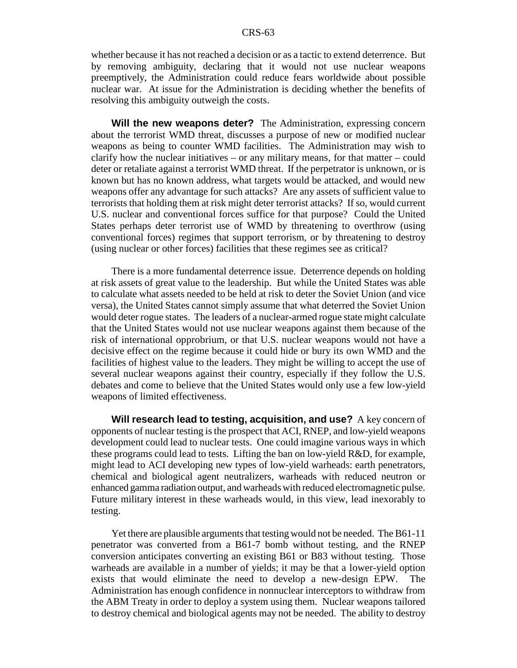whether because it has not reached a decision or as a tactic to extend deterrence. But by removing ambiguity, declaring that it would not use nuclear weapons preemptively, the Administration could reduce fears worldwide about possible nuclear war. At issue for the Administration is deciding whether the benefits of resolving this ambiguity outweigh the costs.

**Will the new weapons deter?** The Administration, expressing concern about the terrorist WMD threat, discusses a purpose of new or modified nuclear weapons as being to counter WMD facilities. The Administration may wish to clarify how the nuclear initiatives – or any military means, for that matter – could deter or retaliate against a terrorist WMD threat. If the perpetrator is unknown, or is known but has no known address, what targets would be attacked, and would new weapons offer any advantage for such attacks? Are any assets of sufficient value to terrorists that holding them at risk might deter terrorist attacks? If so, would current U.S. nuclear and conventional forces suffice for that purpose? Could the United States perhaps deter terrorist use of WMD by threatening to overthrow (using conventional forces) regimes that support terrorism, or by threatening to destroy (using nuclear or other forces) facilities that these regimes see as critical?

There is a more fundamental deterrence issue. Deterrence depends on holding at risk assets of great value to the leadership. But while the United States was able to calculate what assets needed to be held at risk to deter the Soviet Union (and vice versa), the United States cannot simply assume that what deterred the Soviet Union would deter rogue states. The leaders of a nuclear-armed rogue state might calculate that the United States would not use nuclear weapons against them because of the risk of international opprobrium, or that U.S. nuclear weapons would not have a decisive effect on the regime because it could hide or bury its own WMD and the facilities of highest value to the leaders. They might be willing to accept the use of several nuclear weapons against their country, especially if they follow the U.S. debates and come to believe that the United States would only use a few low-yield weapons of limited effectiveness.

**Will research lead to testing, acquisition, and use?** A key concern of opponents of nuclear testing is the prospect that ACI, RNEP, and low-yield weapons development could lead to nuclear tests. One could imagine various ways in which these programs could lead to tests. Lifting the ban on low-yield R&D, for example, might lead to ACI developing new types of low-yield warheads: earth penetrators, chemical and biological agent neutralizers, warheads with reduced neutron or enhanced gamma radiation output, and warheads with reduced electromagnetic pulse. Future military interest in these warheads would, in this view, lead inexorably to testing.

Yet there are plausible arguments that testing would not be needed. The B61-11 penetrator was converted from a B61-7 bomb without testing, and the RNEP conversion anticipates converting an existing B61 or B83 without testing. Those warheads are available in a number of yields; it may be that a lower-yield option exists that would eliminate the need to develop a new-design EPW. The Administration has enough confidence in nonnuclear interceptors to withdraw from the ABM Treaty in order to deploy a system using them. Nuclear weapons tailored to destroy chemical and biological agents may not be needed. The ability to destroy